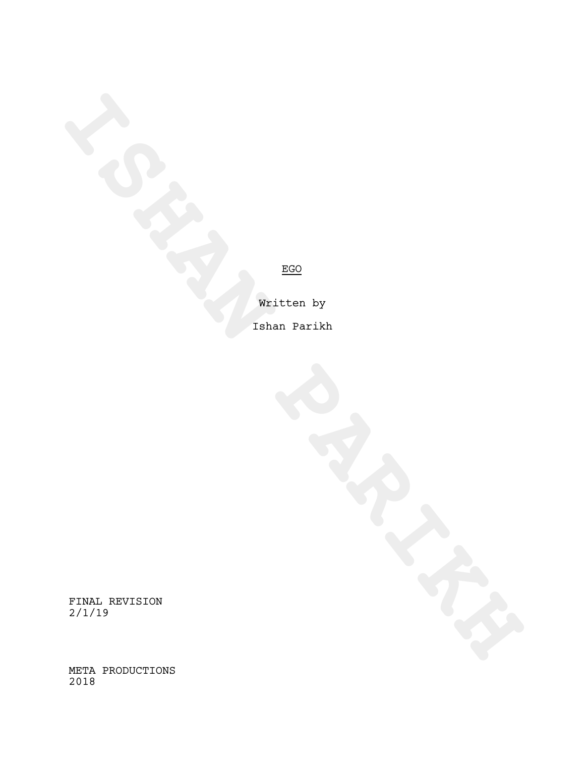**ISHAN PARTICULAR PARTICULAR PARTICULAR PARTICULAR PARTICULAR PARTICULAR PARTICULAR PARTICULAR PARTICULAR PARTICULAR PARTICULAR PARTICULAR PARTICULAR PARTICULAR PARTICULAR PARTICULAR PARTICULAR PARTICULAR PARTICULAR PARTIC** Written by Ishan Parikh

FINAL REVISION 2/1/19

META PRODUCTIONS 2018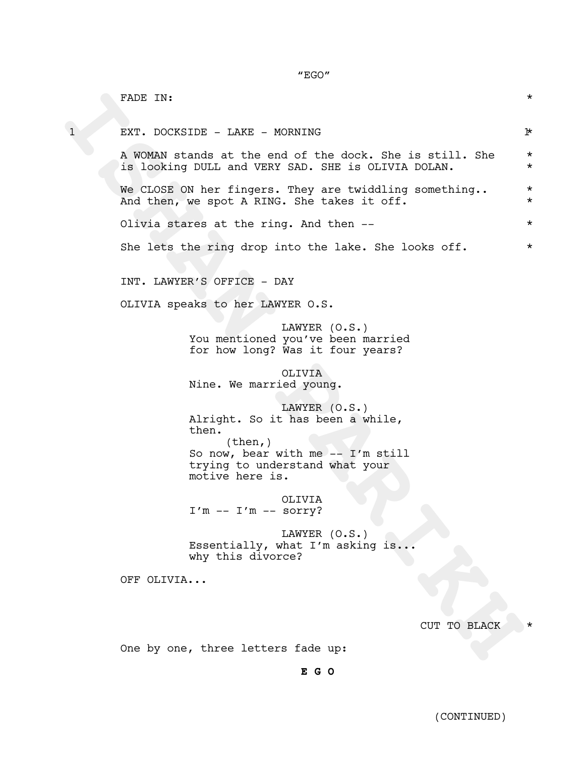"EGO"

|              | FADE IN:                                                                                                                                                           | $^\star$            |
|--------------|--------------------------------------------------------------------------------------------------------------------------------------------------------------------|---------------------|
| $\mathbf{1}$ | EXT. DOCKSIDE - LAKE - MORNING                                                                                                                                     | ŀ                   |
|              | A WOMAN stands at the end of the dock. She is still. She<br>is looking DULL and VERY SAD. SHE is OLIVIA DOLAN.                                                     | $\star$<br>$\star$  |
|              | We CLOSE ON her fingers. They are twiddling something<br>And then, we spot A RING. She takes it off.                                                               | $^\star$<br>$\star$ |
|              | Olivia stares at the ring. And then --                                                                                                                             | $^\star$            |
|              | She lets the ring drop into the lake. She looks off.                                                                                                               | $^\star$            |
|              | INT. LAWYER'S OFFICE - DAY                                                                                                                                         |                     |
|              | OLIVIA speaks to her LAWYER O.S.                                                                                                                                   |                     |
|              | LAWYER (O.S.)<br>You mentioned you've been married<br>for how long? Was it four years?                                                                             |                     |
|              | OLIVIA<br>Nine. We married young.                                                                                                                                  |                     |
|              | LAWYER (O.S.)<br>Alright. So it has been a while,<br>then.<br>(then, )<br>So now, bear with me $--$ I'm still<br>trying to understand what your<br>motive here is. |                     |
|              | OLIVIA<br>$I'm -- I'm -- sortY?$                                                                                                                                   |                     |
|              | LAWYER (O.S.)<br>Essentially, what I'm asking is<br>why this divorce?                                                                                              |                     |
|              | OFF OLIVIA                                                                                                                                                         |                     |
|              | CUT TO BLACK                                                                                                                                                       |                     |
|              | One by one, three letters fade up:                                                                                                                                 |                     |
|              | E G O                                                                                                                                                              |                     |

(CONTINUED)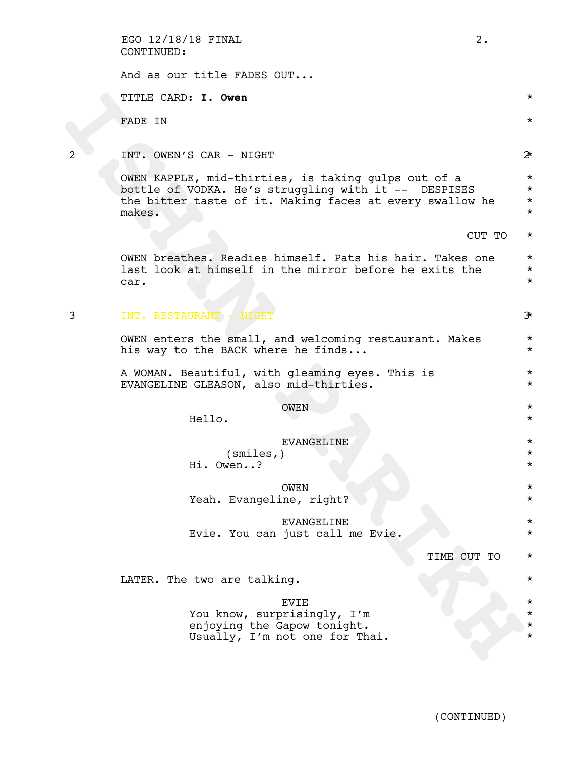|   | EGO 12/18/18 FINAL<br>$2$ .<br>CONTINUED:                                                                                                                                         |                                              |
|---|-----------------------------------------------------------------------------------------------------------------------------------------------------------------------------------|----------------------------------------------|
|   | And as our title FADES OUT                                                                                                                                                        |                                              |
|   | TITLE CARD: I. Owen                                                                                                                                                               | $\star$                                      |
|   | FADE IN                                                                                                                                                                           | $\star$                                      |
| 2 | INT. OWEN'S CAR - NIGHT                                                                                                                                                           | $2^{\star}$                                  |
|   | OWEN KAPPLE, mid-thirties, is taking gulps out of a<br>bottle of VODKA. He's struggling with it -- DESPISES<br>the bitter taste of it. Making faces at every swallow he<br>makes. | $\star$<br>$\star$<br>$\star$<br>$^\star$    |
|   | CUT TO                                                                                                                                                                            | $^\star$                                     |
|   | OWEN breathes. Readies himself. Pats his hair. Takes one<br>last look at himself in the mirror before he exits the<br>car.                                                        | $\star$<br>$\star$<br>$^\star$               |
| 3 | INT. RESTAURANT - NIGHT                                                                                                                                                           | $\mathcal{F}$                                |
|   | OWEN enters the small, and welcoming restaurant. Makes<br>his way to the BACK where he finds                                                                                      | $\star$<br>$^\star$                          |
|   | A WOMAN. Beautiful, with gleaming eyes. This is<br>EVANGELINE GLEASON, also mid-thirties.                                                                                         | $\star$<br>$\star$                           |
|   | <b>OWEN</b><br>Hello.                                                                                                                                                             | $\star$<br>$^\star$                          |
|   | <b>EVANGELINE</b><br>(smles, )<br>Hi. Owen?                                                                                                                                       | $^\star$<br>$^\star$                         |
|   | OWEN<br>Yeah. Evangeline, right?                                                                                                                                                  | $^\star$<br>$^\star$                         |
|   | <b>EVANGELINE</b><br>Evie. You can just call me Evie.                                                                                                                             | $^\star$<br>$^\star$                         |
|   | TIME CUT TO                                                                                                                                                                       | $^\star$                                     |
|   | LATER. The two are talking.                                                                                                                                                       | $^\star$                                     |
|   | <b>EVIE</b><br>You know, surprisingly, I'm<br>enjoying the Gapow tonight.<br>Usually, I'm not one for Thai.                                                                       | $^\star$<br>$^\star$<br>$^\star$<br>$^\star$ |
|   |                                                                                                                                                                                   |                                              |

(CONTINUED)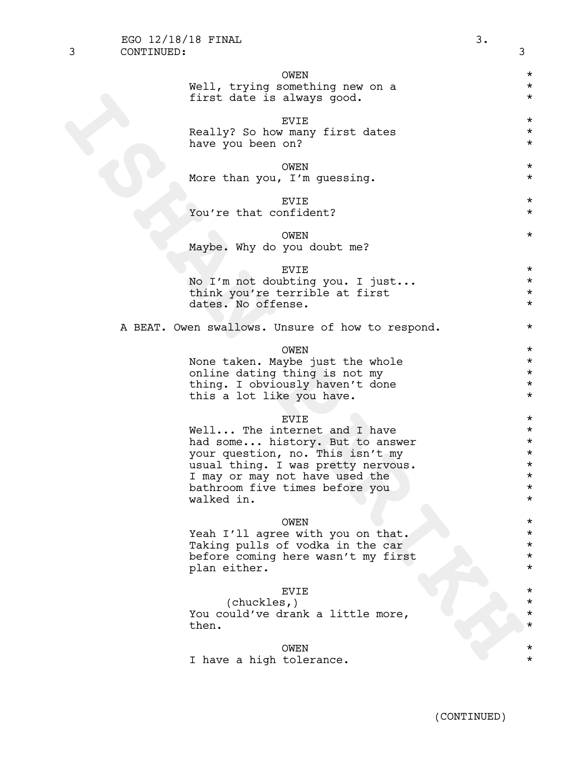| 3 | CONTINUED: |                                                                        | 3                                |
|---|------------|------------------------------------------------------------------------|----------------------------------|
|   |            | OWEN<br>Well, trying something new on a<br>first date is always good.  | $^\star$<br>$\star$<br>$^\star$  |
|   |            | <b>EVIE</b><br>Really? So how many first dates<br>have you been on?    | $^\star$<br>$^\star$<br>$^\star$ |
|   |            | OWEN<br>More than you, I'm guessing.                                   | $^\star$<br>$^\star$             |
|   |            | <b>EVIE</b><br>You're that confident?                                  | $^\star$<br>$^\star$             |
|   |            | OWEN<br>Maybe. Why do you doubt me?                                    | $^\star$                         |
|   |            | <b>EVIE</b>                                                            | $^\star$                         |
|   |            | No I'm not doubting you. I just<br>think you're terrible at first      | $^\star$<br>$^\star$             |
|   |            | dates. No offense.                                                     | $^\star$                         |
|   |            | A BEAT. Owen swallows. Unsure of how to respond.                       | $^\star$                         |
|   |            | <b>OWEN</b>                                                            | $^\star$                         |
|   |            | None taken. Maybe just the whole<br>online dating thing is not my      | $^\star$<br>$^\star$             |
|   |            | thing. I obviously haven't done                                        | $^\star$                         |
|   |            | this a lot like you have.                                              | $^\star$                         |
|   |            | <b>EVIE</b>                                                            | $^\star$                         |
|   |            | Well The internet and I have                                           | $^\star$                         |
|   |            | had some history. But to answer<br>your question, no. This isn't my    | $^\star$<br>$^\star$             |
|   |            | usual thing. I was pretty nervous.                                     | $^\star$                         |
|   |            | I may or may not have used the                                         |                                  |
|   |            | bathroom five times before you<br>walked in.                           | $^\star$<br>$^\star$             |
|   |            |                                                                        |                                  |
|   |            | <b>OWEN</b>                                                            | $^\star$                         |
|   |            | Yeah I'll agree with you on that.                                      | $^\star$<br>$^\star$             |
|   |            | Taking pulls of vodka in the car<br>before coming here wasn't my first | $^\star$                         |
|   |            | plan either.                                                           | $^\star$                         |
|   |            | <b>EVIE</b>                                                            | $^\star$                         |
|   |            | (chuckles, )<br>You could've drank a little more,                      | $^\star$<br>$^\star$             |
|   |            | then.                                                                  | $^\star$                         |
|   |            | OWEN                                                                   | $^\star$                         |
|   |            | I have a high tolerance.                                               | $^\star$                         |

EGO 12/18/18 FINAL 3.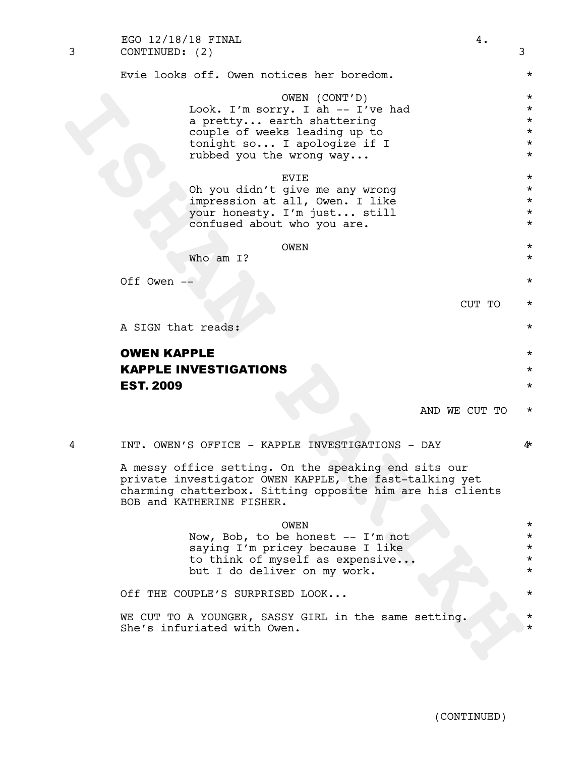| 3 | EGO 12/18/18 FINAL<br>4.<br>CONTINUED: (2)                                                                                                                                                               | 3                                                                   |
|---|----------------------------------------------------------------------------------------------------------------------------------------------------------------------------------------------------------|---------------------------------------------------------------------|
|   | Evie looks off. Owen notices her boredom.                                                                                                                                                                | $^\star$                                                            |
|   | OWEN (CONT'D)<br>Look. I'm sorry. I ah -- I've had<br>a pretty earth shattering<br>couple of weeks leading up to<br>tonight so I apologize if I<br>rubbed you the wrong way                              | $^\star$<br>$^\star$<br>$^\star$<br>$\star$<br>$^\star$<br>$^\star$ |
|   | <b>EVIE</b><br>Oh you didn't give me any wrong<br>impression at all, Owen. I like<br>your honesty. I'm just still<br>confused about who you are.                                                         | $^\star$<br>$\star$<br>$\star$<br>$\star$<br>$^\star$               |
|   | OWEN<br>Who am I?                                                                                                                                                                                        | $\star$<br>$\star$                                                  |
|   | Off Owen --                                                                                                                                                                                              | $\star$                                                             |
|   | CUT TO                                                                                                                                                                                                   | $^\star$                                                            |
|   | A SIGN that reads:                                                                                                                                                                                       | $^\star$                                                            |
|   | <b>OWEN KAPPLE</b>                                                                                                                                                                                       | $^\star$                                                            |
|   | <b>KAPPLE INVESTIGATIONS</b>                                                                                                                                                                             | $^\star$                                                            |
|   | <b>EST. 2009</b>                                                                                                                                                                                         | $^\star$                                                            |
|   | AND WE CUT TO                                                                                                                                                                                            | $\star$                                                             |
| 4 | INT. OWEN'S OFFICE - KAPPLE INVESTIGATIONS - DAY                                                                                                                                                         | 4∗                                                                  |
|   | A messy office setting. On the speaking end sits our<br>private investigator OWEN KAPPLE, the fast-talking yet<br>charming chatterbox. Sitting opposite him are his clients<br>BOB and KATHERINE FISHER. |                                                                     |
|   | <b>OWEN</b>                                                                                                                                                                                              | $\star$                                                             |
|   | Now, Bob, to be honest -- I'm not                                                                                                                                                                        | $^\star$<br>$^\star$                                                |
|   | saying I'm pricey because I like<br>to think of myself as expensive                                                                                                                                      | $^\star$                                                            |
|   | but I do deliver on my work.                                                                                                                                                                             | $^\star$                                                            |
|   | Off THE COUPLE'S SURPRISED LOOK                                                                                                                                                                          | $^\star$                                                            |
|   | WE CUT TO A YOUNGER, SASSY GIRL in the same setting.<br>She's infuriated with Owen.                                                                                                                      | $^\star$                                                            |
|   |                                                                                                                                                                                                          |                                                                     |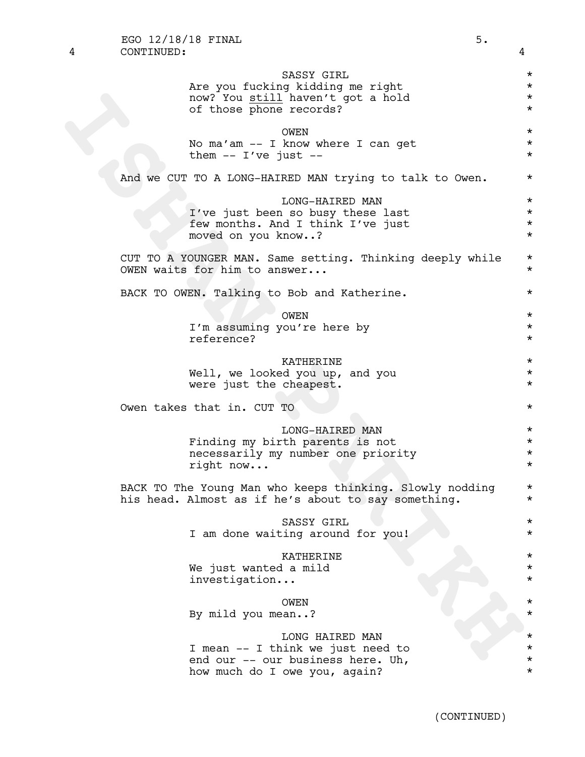| SASSY GIRL<br>Are you fucking kidding me right<br>now? You still haven't got a hold<br>of those phone records?             | $^\star$<br>$^\star$<br>$^\star$<br>$\star$  |
|----------------------------------------------------------------------------------------------------------------------------|----------------------------------------------|
| <b>OWEN</b><br>No ma'am -- I know where I can get<br>them $--$ I've just $--$                                              | $^\star$<br>$^\star$<br>$^\star$             |
| And we CUT TO A LONG-HAIRED MAN trying to talk to Owen.                                                                    | $^\star$                                     |
| LONG-HAIRED MAN<br>I've just been so busy these last<br>few months. And I think I've just<br>moved on you know?            | $^\star$<br>$^\star$<br>$^\star$<br>$\star$  |
| CUT TO A YOUNGER MAN. Same setting. Thinking deeply while<br>OWEN waits for him to answer                                  | $^\star$<br>$^\star$                         |
| BACK TO OWEN. Talking to Bob and Katherine.                                                                                | $^\star$                                     |
| OWEN                                                                                                                       | $^\star$                                     |
| I'm assuming you're here by<br>reference?                                                                                  | $^\star$<br>$^\star$                         |
| KATHERINE<br>Well, we looked you up, and you<br>were just the cheapest.                                                    | $^\star$<br>$^\star$<br>$^\star$             |
| Owen takes that in. CUT TO                                                                                                 | $^\star$                                     |
| LONG-HAIRED MAN<br>Finding my birth parents is not<br>necessarily my number one priority<br>right now                      | $^\star$<br>$^\star$<br>$^\star$<br>$^\star$ |
| BACK TO The Young Man who keeps thinking. Slowly nodding<br>his head. Almost as if he's about to say something.            | $^\star$<br>*                                |
| SASSY GIRL<br>I am done waiting around for you!                                                                            | *                                            |
| KATHERINE<br>We just wanted a mild<br>investigation                                                                        |                                              |
| OWEN<br>By mild you mean?                                                                                                  |                                              |
| LONG HAIRED MAN<br>I mean -- I think we just need to<br>end our -- our business here. Uh,<br>how much do I owe you, again? | $^\star$                                     |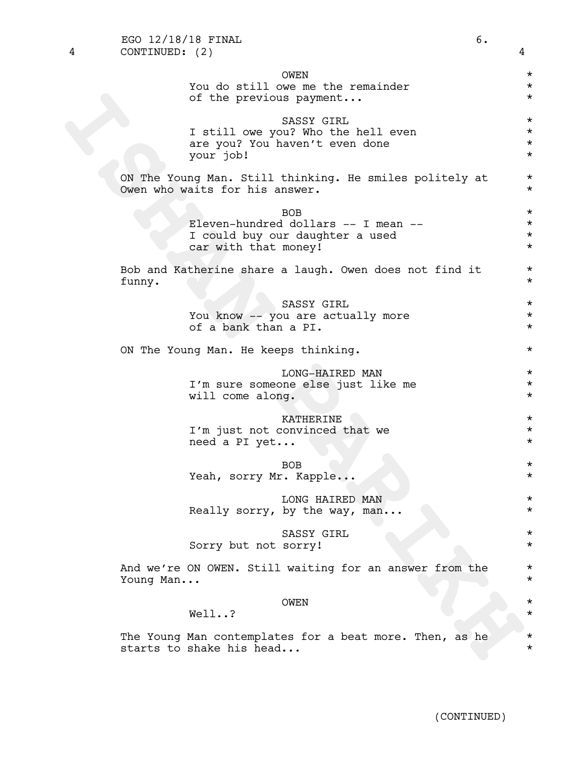| 4 | CONTINUED: (2)                                                                                               | 4                                            |  |  |  |
|---|--------------------------------------------------------------------------------------------------------------|----------------------------------------------|--|--|--|
|   | <b>OWEN</b><br>You do still owe me the remainder<br>of the previous payment                                  | $^\star$<br>$^\star$<br>$^\star$             |  |  |  |
|   | SASSY GIRL<br>I still owe you? Who the hell even<br>are you? You haven't even done<br>your job!              | $^\star$<br>$^\star$<br>$^\star$<br>$^\star$ |  |  |  |
|   | ON The Young Man. Still thinking. He smiles politely at<br>Owen who waits for his answer.                    | $^\star$<br>$^\star$                         |  |  |  |
|   | <b>BOB</b><br>Eleven-hundred dollars -- I mean --<br>I could buy our daughter a used<br>car with that money! | $^\star$<br>$^\star$<br>$^\star$<br>$^\star$ |  |  |  |
|   | Bob and Katherine share a laugh. Owen does not find it<br>funny.                                             | $^\star$<br>$^\star$                         |  |  |  |
|   | SASSY GIRL<br>You know -- you are actually more<br>of a bank than a PI.                                      | $^\star$<br>$^\star$<br>$^\star$             |  |  |  |
|   | ON The Young Man. He keeps thinking.                                                                         |                                              |  |  |  |
|   | LONG-HAIRED MAN<br>I'm sure someone else just like me<br>will come along.                                    | $^\star$<br>$^\star$<br>$^\star$             |  |  |  |
|   | KATHERINE<br>I'm just not convinced that we<br>need a PI yet                                                 | $^\star$<br>$^\star$<br>$^\star$             |  |  |  |
|   | <b>BOB</b><br>Yeah, sorry Mr. Kapple                                                                         | $^\star$<br>$^\star$                         |  |  |  |
|   | LONG HAIRED MAN<br>Really sorry, by the way, man                                                             | $^\star$<br>$^\star$                         |  |  |  |
|   | SASSY GIRL<br>Sorry but not sorry!                                                                           | $^\star$<br>$^\star$                         |  |  |  |
|   | And we're ON OWEN. Still waiting for an answer from the<br>Young Man                                         | $^\star$<br>$^\star$                         |  |  |  |
|   | <b>OWEN</b><br>Well?                                                                                         | $^\star$<br>*                                |  |  |  |
|   | The Young Man contemplates for a beat more. Then, as he<br>starts to shake his head                          | *<br>$^\star$                                |  |  |  |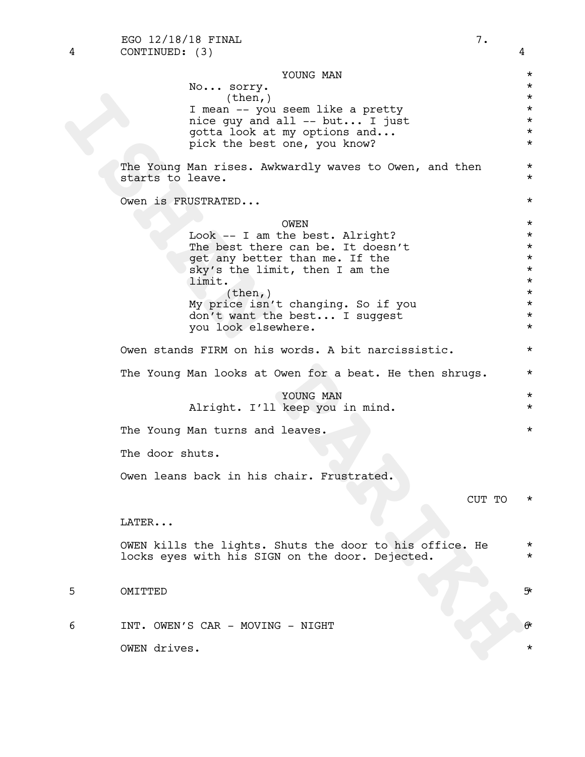4 CONTINUED: (3) 4 EGO  $12/18/18$  FINAL  $7.$ 

(then)<br>
I mean -- you seem like a pretty<br>
need all -- but... I just<br>
probable at my options and...<br>
yield the best does one, you know?<br>
The Young Man riese. Awkwrdly waves to Owen, and then<br>
starts to leave.<br>
Owen is TRUST YOUNG MAN  $\star$ No... sorry.  $\star$  $\times$  (then, )  $\star$ I mean -- you seem like a pretty<br>nice guy and all -- but... I just nice guy and all -- but... I just qotta look at my options and...  $*$ pick the best one, you know? \* The Young Man rises. Awkwardly waves to Owen, and then  $*$ starts to leave.  $\star$ Owen is FRUSTRATED... \* OWEN \* Look -- I am the best. Alright? \* The best there can be. It doesn't  $*$ get any better than me. If the  $*$ sky's the limit, then I am the  $*$ limit.  $\qquad \qquad \star$  $(\text{then},)$  \* My price isn't changing. So if you \* don't want the best... I suggest \* you look elsewhere. Owen stands FIRM on his words. A bit narcissistic. \* The Young Man looks at Owen for a beat. He then shrugs.  $*$ YOUNG MAN  $\star$ Alright. I'll keep you in mind. \* The Young Man turns and leaves.  $\star$ The door shuts. Owen leans back in his chair. Frustrated. CUT TO \* LATER... OWEN kills the lights. Shuts the door to his office. He \* locks eyes with his SIGN on the door. Dejected. \* \* 5 OMITTED 5\*

6 INT. OWEN'S CAR - MOVING - NIGHT 6\*

OWEN drives. \*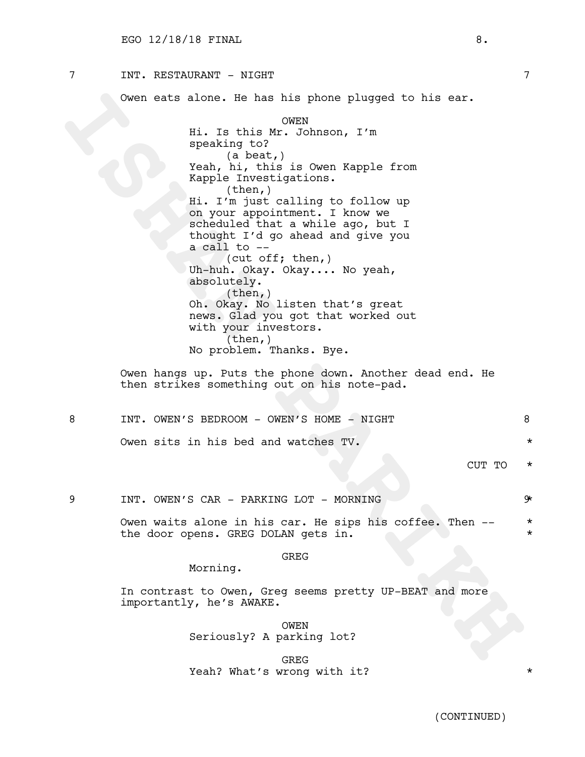## 7 INT. RESTAURANT - NIGHT 7

Owen eats alone. He has his phone plugged to his ear.

Owen exts alone. He has his phone plugged to his ext.<br>
His Instaht ONEX NAMBOON, I'M<br>
Yeah, his this is Owen Kapple from<br>
Xapple Investigations.<br> **ISHAN PARTIFIC INTERENT CONTAINS (CONTAINS AND THE CONTAINS AND FORMAL PART** OWEN Hi. Is this Mr. Johnson, I'm speaking to? (a beat,) Yeah, hi, this is Owen Kapple from Kapple Investigations. (then,) Hi. I'm just calling to follow up on your appointment. I know we scheduled that a while ago, but I thought I'd go ahead and give you a call to -- (cut off; then,) Uh-huh. Okay. Okay.... No yeah, absolutely.  $(then, )$ Oh. Okay. No listen that's great news. Glad you got that worked out with your investors. (then,) No problem. Thanks. Bye.

Owen hangs up. Puts the phone down. Another dead end. He then strikes something out on his note-pad.

|  | TNT. OWEN'S BEDROOM - OWEN'S HOME - NIGHT |         |          |
|--|-------------------------------------------|---------|----------|
|  | Owen sits in his bed and watches TV.      |         |          |
|  |                                           | CIIT TO | $^\star$ |

9 INT. OWEN'S CAR - PARKING LOT - MORNING 9 9

Owen waits alone in his car. He sips his coffee. Then -- \* the door opens. GREG DOLAN gets in.

#### GREG

Morning.

In contrast to Owen, Greg seems pretty UP-BEAT and more importantly, he's AWAKE.

> OWEN Seriously? A parking lot?

GREG Yeah? What's wrong with it?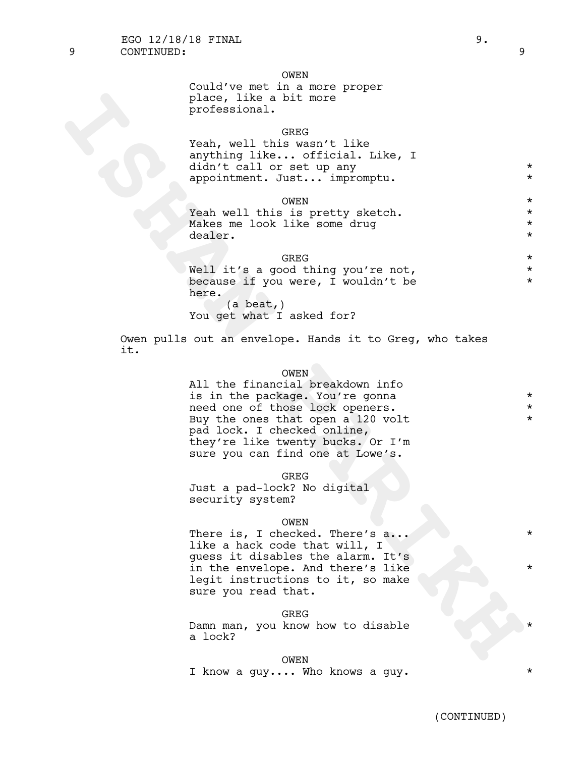#### OWEN

| Could've met in a more proper |  |
|-------------------------------|--|
| place, like a bit more        |  |
| professional.                 |  |

## GREG

| Yeah, well this wasn't like     |         |
|---------------------------------|---------|
| anything like official. Like, I |         |
| didn't call or set up any       | ∗       |
| appointment. Just impromptu.    | $\star$ |

OWEN \* Yeah well this is pretty sketch. Makes me look like some drug \* dealer.

## GREG  $\star$

Well it's a good thing you're not,  $*$ because if you were, I wouldn't be  $*$ here. (a beat,) You get what I asked for?

Owen pulls out an envelope. Hands it to Greg, who takes it.

## OWEN

place like a bit more<br>professional.<br>The second that we set that the second that we set the set of the set of the set of the set of the set of the set of the set of the set of the set of the set of the set of the set of the All the financial breakdown info is in the package. You're gonna  $*$ need one of those lock openers. \* \* Buy the ones that open a 120 volt  $*$ pad lock. <sup>I</sup> checked online, they're like twenty bucks. Or I'm sure you can find one at Lowe's.

GREG

Just a pad-lock? No digital security system?

#### OWEN

There is, I checked. There's a... like a hack code that will, I guess it disables the alarm. It's in the envelope. And there's like legit instructions to it, so make sure you read that.

#### GREG

Damn man, you know how to disable a lock?

#### OWEN

I know a guy.... Who knows a guy.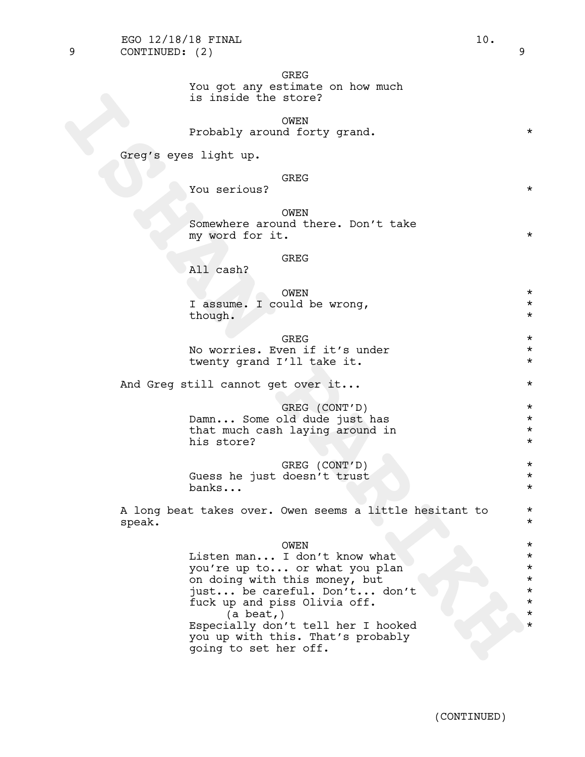Greg's eyes light up.

#### GREG

You serious? \*

OWEN Somewhere around there. Don't take my word for it.  $\star$ 

#### GREG

All cash?

|         | N:TWC                       |  |
|---------|-----------------------------|--|
|         | I assume. I could be wrong, |  |
| though. |                             |  |

GREG  $\star$ No worries. Even if it's under  $*$ twenty grand I'll take it.  $*$ 

And Greg still cannot get over it...  $\star$ 

GREG (CONT'D) \* Damn... Some old dude just has \* that much cash laying around in  $*$ his store?  $\star$ 

GREG (CONT'D) \* Guess he just doesn't trust \* banks... \*

A long beat takes over. Owen seems a little hesitant to \* speak. \*

## OWEN \*

is inside the store?<br>
Probably around forty grand.<br>
Greg's eyes light up.<br>
You aerious?<br>
You aerious?<br>
Somewhere around there. Don't take<br>
my word for it.<br>
All cash?<br>
I assume. I could be wrong,<br>
though.<br>
No worries. Even Listen man... I don't know what \* you're up to... or what you plan \* on doing with this money, but \* just... be careful. Don't... don't \* fuck up and piss Olivia off. \*  $\begin{array}{ccc} \n \text{(a beat,)} \\
 \hline\n \text{(a heat,)} \\
 \text{(b) } \\
 \text{(b) } \\
 \text{(c) } \\
 \text{(d) } \\
 \text{(e) } \\
 \text{(f) } \\
 \text{(g) } \\
 \text{(h) } \\
 \text{(i) } \\
 \text{(j) } \\
 \text{(k) } \\
 \text{(l) } \\
 \text{(l) } \\
 \text{(l) } \\
 \text{(l) } \\
 \text{(l) } \\
 \text{(l) } \\
 \text{(l) } \\
 \text{(l) } \\
 \text{(l) } \\
 \text{(l) } \\
 \text{(l) } \\
 \text{(l) } \\
 \text{(l) } \\
 \text{(l) } \\
 \text{(l) } \\
 \text{(l) } \\
 \text$ Especially don't tell her I hooked you up with this. That's probably going to set her off.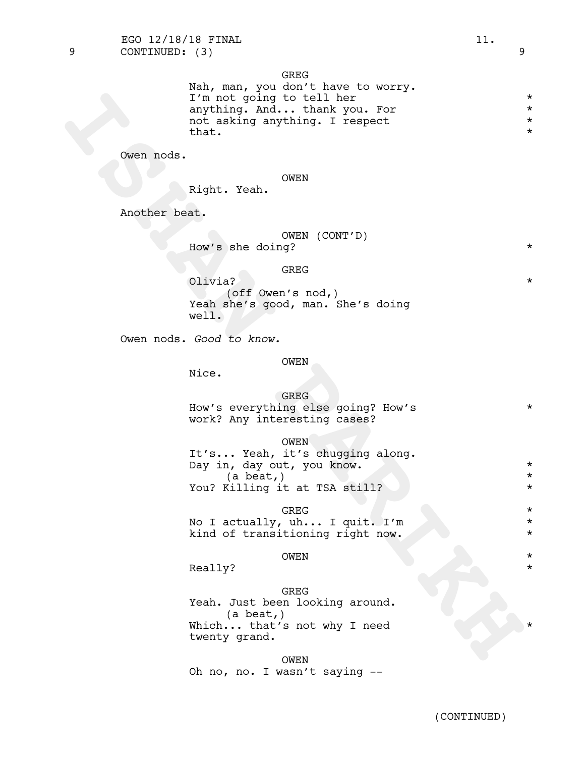9 CONTINUED: (3) 9 EGO 12/18/18 FINAL 11.

> GREG Nah, man, you don't have to worry. I'm not going to tell her \*

> anything. And... thank you. For  $*$ <br>not asking anything. I respect  $*$ not asking anything. I respect \*  $\mathsf{that.}\qquad\qquad\qquad\qquad\qquad\qquad\qquad\qquad\qquad\qquad\star$

Owen nods.

OWEN

Right. Yeah.

Another beat.

OWEN (CONT'D) How's she doing? \*

#### GREG

Olivia? \* (off Owen's nod,) Yeah she's good, man. She's doing well.

Owen nods. *Good to know.*

#### OWEN

Nice.

#### **GREG**

|  | How's everything else going? How's |  |  |  |
|--|------------------------------------|--|--|--|
|  | work? Any interesting cases?       |  |  |  |

## OWEN

It's... Yeah, it's chugging along.<br>Day in, day out, you know. \* (a beat,) \* You? Killing it at TSA still?  $\longrightarrow$ 

## GREG  $\star$

No I actually, uh... I quit. I'm \* kind of transitioning right now. \* \* \* \*

## OWEN \*

Really?  $\qquad \qquad \star$ 

**ISHAN PARIKH** GREG Yeah. Just been looking around. (a beat,) Which... that's not why I need twenty grand.

OWEN Oh no, no. I wasn't saying --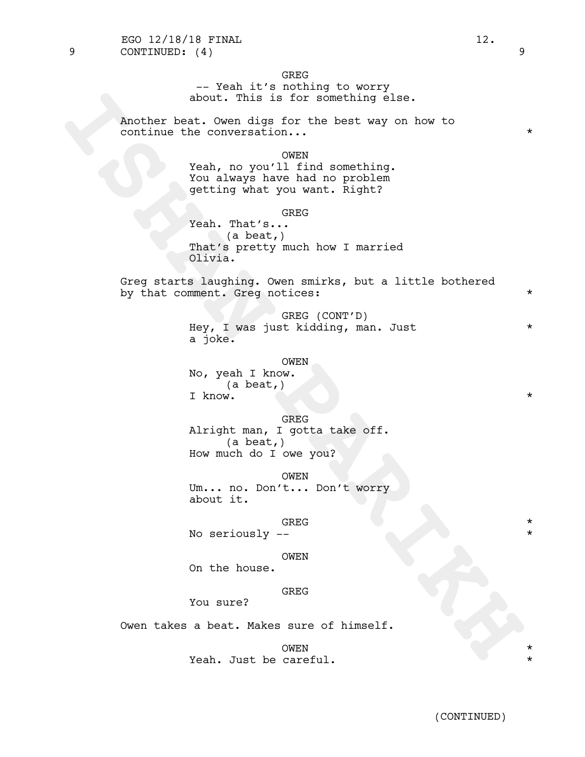GREG

-- Yeah it's nothing to worry about. This is for something else.

Another beat. Owen digs for the best way on how to continue the conversation...  $\star$ 

OWEN

Yeah, no you'll find something. You always have had no problem getting what you want. Right?

**GREG** 

about. This is for something else.<br>
Another best way on how to<br>
continue the conversation...<br>
Yeah, no you'll find something.<br>
Yeah, no you'll find something.<br>
Yeah, no you'll find something.<br>
The setting what you want. Ri Yeah. That's... (a beat,) That's pretty much how I married Olivia.

Greg starts laughing. Owen smirks, but a little bothered by that comment. Greg notices:  $*$ 

> GREG (CONT'D) Hey, I was just kidding, man. Just \* a joke.

#### OWEN

No, yeah I know. (a beat,) I know.  $\star$ 

#### GREG

Alright man, I gotta take off.<br>(a beat,) How much do I owe you?

OWEN

Um... no. Don't... Don't worry about it.

## GREG  $\star$

No seriously --

#### OWEN

On the house.

#### **GREG**

You sure?

Owen takes a beat. Makes sure of himself.

OWEN \* Yeah. Just be careful.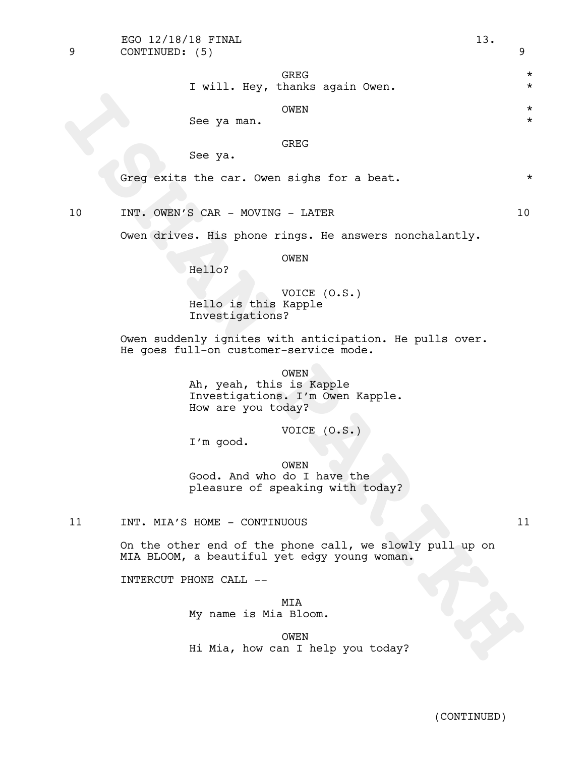GREG  $\star$ I will. Hey, thanks again Owen.  $*$ 

OWEN \*

See ya man.

GREG

See ya.

Greq exits the car. Owen sighs for a beat.  $*$ 

10 INT. OWEN'S CAR - MOVING - LATER 10

Owen drives. His phone rings. He answers nonchalantly.

OWEN

Hello?

VOICE (O.S.) Hello is this Kapple Investigations?

Owen suddenly ignites with anticipation. He pulls over. He goes full-on customer-service mode.

See ya man. CWEN<br>
See ya man. CWENC<br>
CFeg exita the car. Owen sighs for a beat.<br>
10<br>
INF. OWEN'S CAR - MOVING - LATER<br>
Owen drives. His phone rings. He answers nonchalantly.<br>
Hello is this Kaple<br>
"Investigations?<br>
The mode OWEN Ah, yeah, this is Kapple Investigations. I'm Owen Kapple. How are you today?

VOICE (O.S.)

I'm good.

OWEN Good. And who do I have the pleasure of speaking with today?

11 INT. MIA'S HOME - CONTINUOUS 11

On the other end of the phone call, we slowly pull up on MIA BLOOM, a beautiful yet edgy young woman.

INTERCUT PHONE CALL --

MIA My name is Mia Bloom.

OWEN Hi Mia, how can I help you today?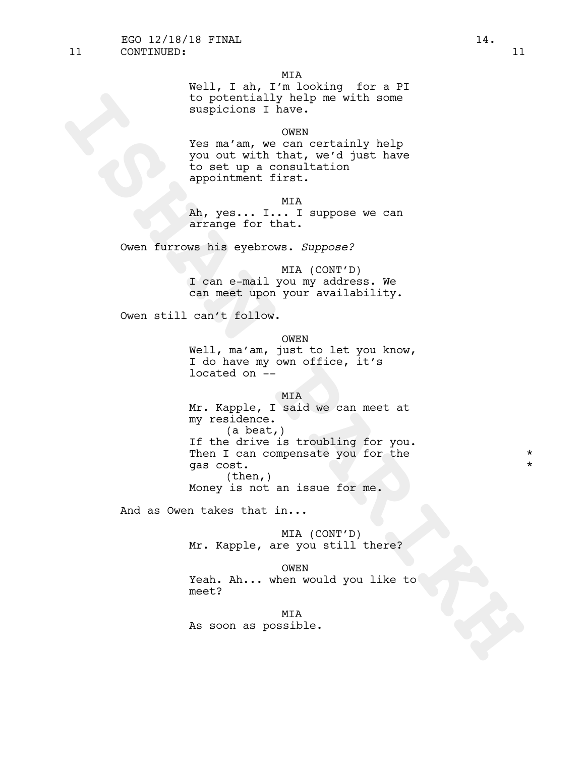Well, I ah, I'm looking for a PI to potentially help me with some suspicions I have.

## OWEN

Yes ma'am, we can certainly help you out with that, we'd just have to set up a consultation appointment first.

MIA

Ah, yes... I... I suppose we can arrange for that.

Owen furrows his eyebrows. *Suppose?*

MIA (CONT'D) I can e-mail you my address. We can meet upon your availability.

Owen still can't follow.

### OWEN

Well, ma'am, just to let you know, I do have my own office, it's located on --

#### MIA

**ISHAN PAPER WAS CONSIDER**<br> **ISHAN PAPER WAS CONSIDER AND CONSIDER AND CONSIDER TO A CONSIDER THE VIOLENCE TO BE THE VIOLENCE OF THE AND AN AVALUATION CONSIDER CONSIDER THE SURFACE OF THIS CONSIDER CONSIDER THE CONSIDER TH** Mr. Kapple, I said we can meet at my residence.<br>(a beat,) If the drive is troubling for you.<br>Then I can compensate you for the  $\qquad$  \* gas cost. \*  $(then, )$ Money is not an issue for me.

And as Owen takes that in...

MIA (CONT'D) Mr. Kapple, are you still there?

#### OWEN

Yeah. Ah... when would you like to meet?

MIA As soon as possible.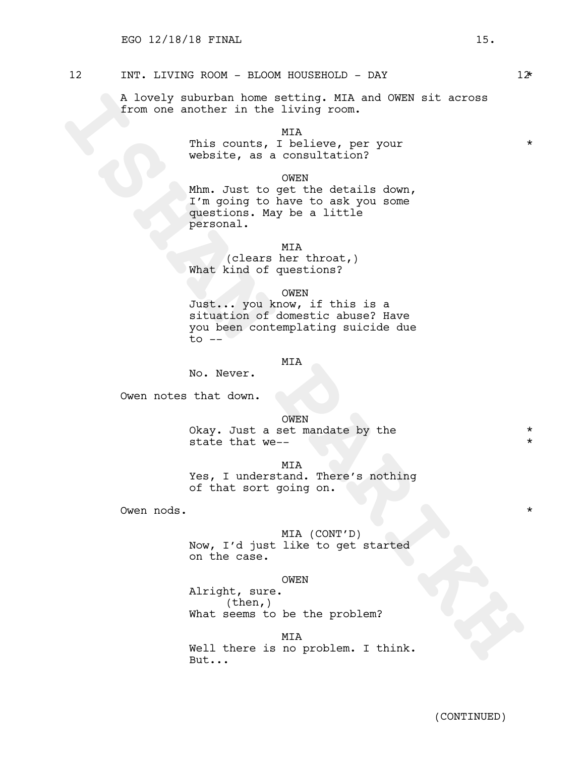## 12 INT. LIVING ROOM - BLOOM HOUSEHOLD - DAY 12\*

A lovely suburban home setting. MIA and OWEN sit across from one another in the living room.

MIA

This counts, I believe, per your  $*$ website, as a consultation?

OWEN

A lovely suburban home setting. KIA and ONEX sit across<br>from one another in the living room.<br>The counts, I helieve, per your<br>website, as a consultation?<br>Whm. That to opt we details down,<br>questions. May be a little<br>grationa Mhm. Just to get the details down, I'm going to have to ask you some questions. May be a little personal.

MIA

(clears her throat,) What kind of questions?

OWEN

Just... you know, if this is a situation of domestic abuse? Have you been contemplating suicide due  $to$   $-$ 

## MIA

No. Never.

Owen notes that down.

OWEN

Okay. Just a set mandate by the  $*$ state that we--

MIA

Yes, I understand. There's nothing of that sort going on.

Owen nods. \*

MIA (CONT'D) Now, I'd just like to get started on the case.

OWEN

Alright, sure. (then,) What seems to be the problem?

MIA Well there is no problem. I think. But...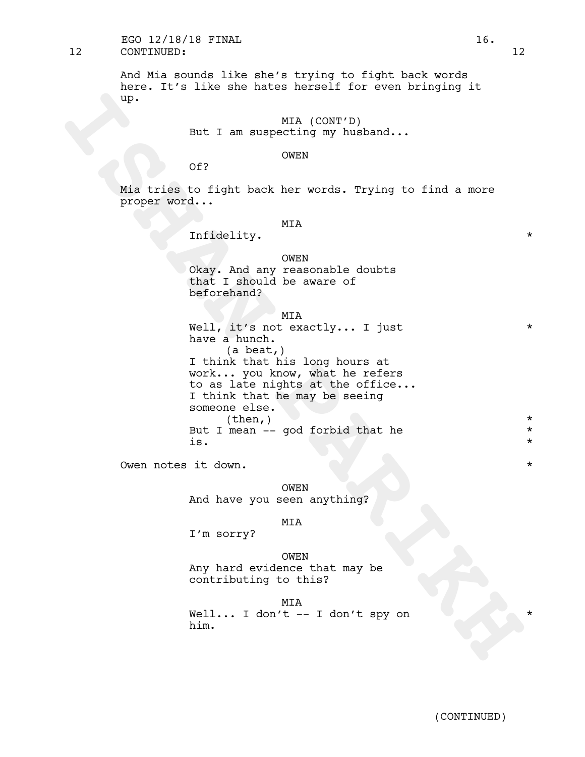## 12 CONTINUED: 12 EGO  $12/18/18$  FINAL  $16.$

And Mia sounds like she's trying to fight back words here. It's like she hates herself for even bringing it up.

> MIA (CONT'D) But I am suspecting my husband...

## OWEN

Of?

Mia tries to fight back her words. Trying to find a more proper word...

## MIA

Infidelity.  $*$ 

#### OWEN

Okay. And any reasonable doubts that I should be aware of beforehand?

#### MIA

up.<br> **ISH I** an suspecting wy husband...<br>
of?<br> **ISHAN THE CONSTAN PART CONSTANT**<br> **ISHAN PART CONSTANT**<br> **ISHAN PART CONSTANT CONSTANT CONSTANT OR CONSTANT CONSTANT OR CONSTANT DRAMALL SUSPECT DAMA PART AND DRAMALL IN THE** Well, it's not exactly... I just \* have a hunch. (a beat,) I think that his long hours at work... you know, what he refers to as late nights at the office... I think that he may be seeing someone else.<br>
(then,) \* But I mean -- god forbid that he \*  $\frac{1}{x}$  is.  $\frac{1}{x}$ 

Owen notes it down.  $\star$ 

OWEN And have you seen anything?

#### MIA

I'm sorry?

OWEN Any hard evidence that may be contributing to this?

MIA Well... I don't  $--$  I don't spy on him.

(CONTINUED)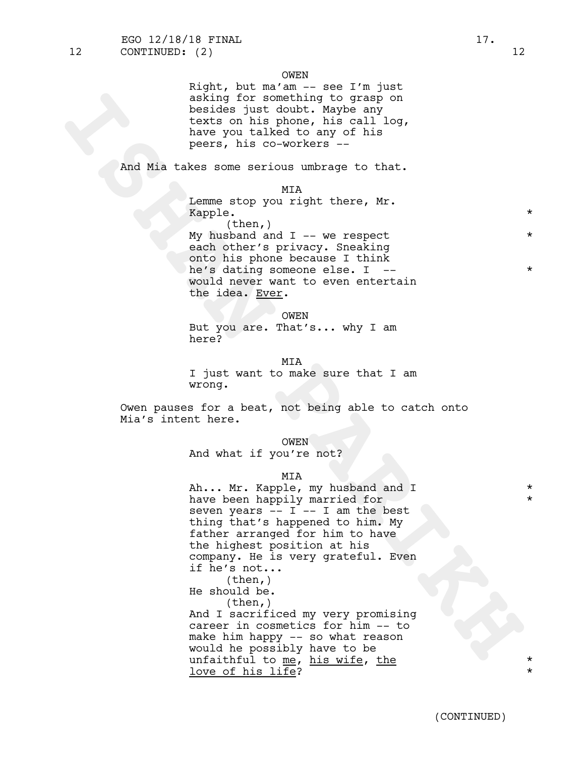Right, but ma'am -- see I'm just asking for something to grasp on besides just doubt. Maybe any texts on his phone, his call log, have you talked to any of his peers, his co-workers --

And Mia takes some serious umbrage to that.

#### MIA

Lemme stop you right there, Mr. Kapple.  $\star$ (then,) My husband and  $I$  -- we respect each other's privacy. Sneaking onto his phone because I think he's dating someone else. I --  $*$ would never want to even entertain the idea. Ever.

OWEN

But you are. That's... why I am here?

MIA

I just want to make sure that I am wrong.

Owen pauses for a beat, not being able to catch onto Mia's intent here.

OWEN

And what if you're not?

MIA

saking for somewhing to grasp on<br>
headde just donbt. Maybe any<br>
texts on his phone, his call log,<br>
have you talked to any of his<br>
pents, his co-workers -<br>
And Mia takes some eerdous unbrage to that.<br>
Log and  $\mathbf{I} = \mathbf{w}$ Ah... Mr. Kapple, my husband and I have been happily married for \* seven years  $-- I -- I$  am the best thing that's happened to him. My father arranged for him to have the highest position at his company. He is very grateful. Even if he's not...<br>(then,) He should be. (then,) And I sacrificed my very promising career in cosmetics for him -- to make him happy -- so what reason would he possibly have to be unfaithful to me, his wife, the \* \* love of his life?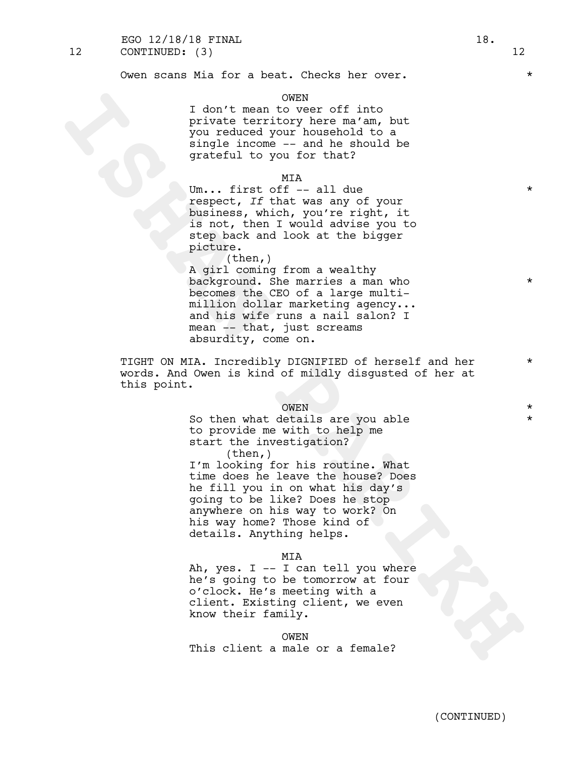#### OWEN

I don't mean to veer off into private territory here ma'am, but you reduced your household to a single income -- and he should be grateful to you for that?

#### MIA

Um... first off  $--$  all due  $*$ respect, *If* that was any of your business, which, you're right, it is not, then I would advise you to step back and look at the bigger picture.

I don't mean to be main that by the main that your scalar of the main that you related your boatehold be spatial to you find the should be spatial to you find that was any of purific the should be spatial to you first that (then,) A girl coming from a wealthy background. She marries a man who  $*$ becomes the CEO of a large multimillion dollar marketing agency... and his wife runs a nail salon? I mean -- that, just screams absurdity, come on.

TIGHT ON MIA. Incredibly DIGNIFIED of herself and her \* words. And Owen is kind of mildly disgusted of her at this point.

OWEN \* So then what details are you able  $*$ to provide me with to help me start the investigation? (then,)

I'm looking for his routine. What time does he leave the house? Does he fill you in on what his day's going to be like? Does he stop anywhere on his way to work? On his way home? Those kind of details. Anything helps.

#### MIA

Ah, yes. I -- I can tell you where he's going to be tomorrow at four o'clock. He's meeting with a client. Existing client, we even know their family.

#### OWEN

This client a male or a female?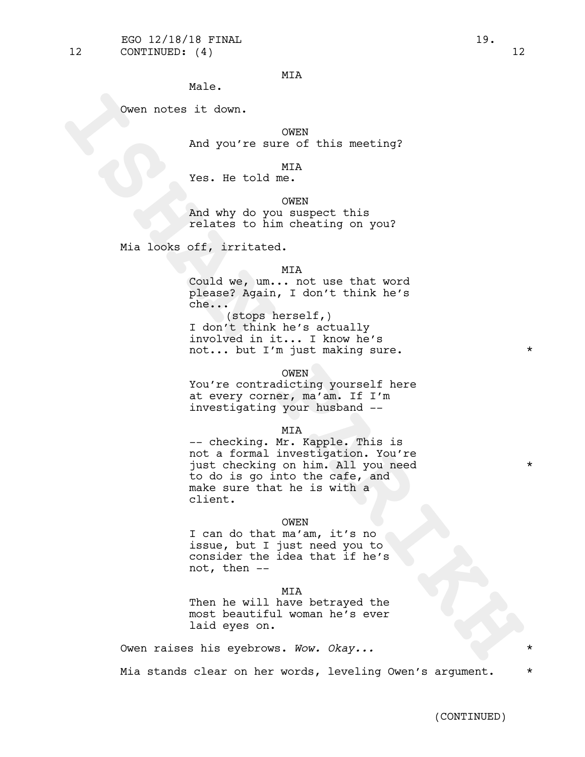## MIA

Male.

Owen notes it down.

OWEN

And you're sure of this meeting?

#### MIA

Yes. He told me.

#### OWEN

And why do you suspect this relates to him cheating on you?

Mia looks off, irritated.

#### MIA

Could we, um... not use that word please? Again, I don't think he's che...

(stops herself,) I don't think he's actually involved in it... I know he's not... but I'm just making sure. \* \*

#### OWEN

You're contradicting yourself here at every corner, ma'am. If I'm investigating your husband --

Coven notes it down.<br>
May you're sure of this meeting?<br>
Yes. Se told me.<br>
May why do you suspect this<br>
relates to him cheating on you?<br>
May why do you suspect this<br>
relates for him cheating on you?<br>
Min looks of the irrita MIA<br>-- checking. Mr. Kapple. This is not a formal investigation. You're just checking on him. All you need \* to do is go into the cafe, and make sure that he is with a client.

#### OWEN

I can do that ma'am, it's no issue, but I just need you to consider the idea that if he's not, then --

#### MIA

Then he will have betrayed the most beautiful woman he's ever laid eyes on.

Owen raises his eyebrows. *Wow. Okay...* \*

Mia stands clear on her words, leveling Owen's argument. \*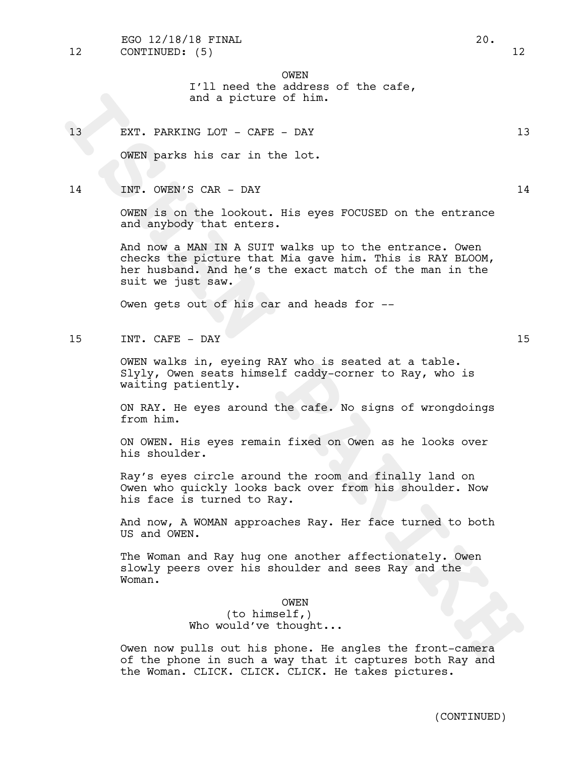OWEN I'll need the address of the cafe,

and a picture of him.

13 EXT. PARKING LOT - CAFE - DAY 13

OWEN parks his car in the lot.

## 14 INT. OWEN'S CAR - DAY 14

OWEN is on the lookout. His eyes FOCUSED on the entrance and anybody that enters.

and a picture of him.<br>
IS EXT. PARKING LOT - CAFE - DAY<br>
IS OWERN parks his car in the lot.<br>
INTER parks his car in the lot.<br>
INTER ANSWER CAR - CAY<br>
INTER AND A SUPER STAND AND THE STAND ON THE STANDOM,<br>
And now a MAN IN And now a MAN IN A SUIT walks up to the entrance. Owen checks the picture that Mia gave him. This is RAY BLOOM, her husband. And he's the exact match of the man in the suit we just saw.

Owen gets out of his car and heads for --

15 INT. CAFE - DAY 15

OWEN walks in, eyeing RAY who is seated at a table. Slyly, Owen seats himself caddy-corner to Ray, who is waiting patiently.

ON RAY. He eyes around the cafe. No signs of wrongdoings from him.

ON OWEN. His eyes remain fixed on Owen as he looks over his shoulder.

Ray's eyes circle around the room and finally land on Owen who quickly looks back over from his shoulder. Now his face is turned to Ray.

And now, A WOMAN approaches Ray. Her face turned to both US and OWEN.

The Woman and Ray hug one another affectionately. Owen slowly peers over his shoulder and sees Ray and the Woman.

#### OWEN

(to himself,) Who would've thought...

Owen now pulls out his phone. He angles the front-camera of the phone in such a way that it captures both Ray and the Woman. CLICK. CLICK. CLICK. He takes pictures.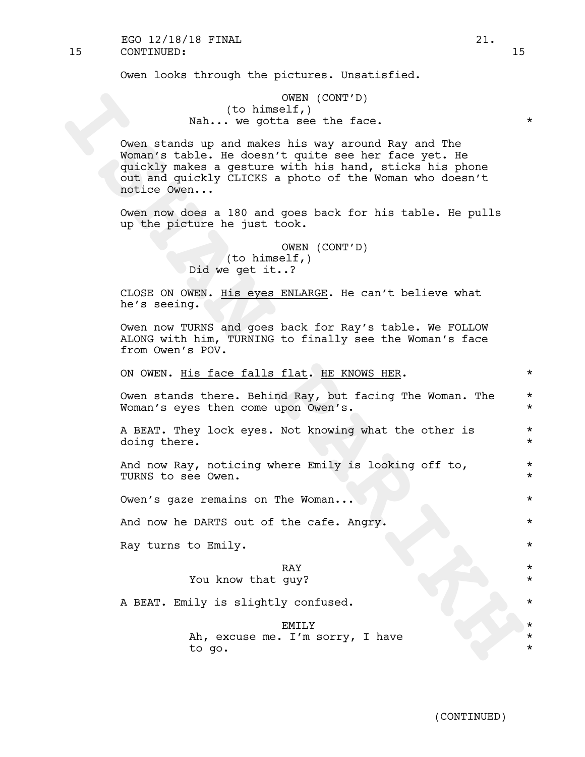15 CONTINUED: 15 EGO 12/18/18 FINAL 21.

Owen looks through the pictures. Unsatisfied.

## OWEN (CONT'D) (to himself,) Nah... we gotta see the face.  $*$

(to himself) (control)<br>
Nah... we gotte see the face.<br>
Come stands up and makes his way around Ray and The<br>
Woman's table. He decear't quite see her face yest. He<br>
quickly makes a generic with his hand, sticks his phone<br>
o Owen stands up and makes his way around Ray and The Woman's table. He doesn't quite see her face yet. He quickly makes a gesture with his hand, sticks his phone out and quickly CLICKS a photo of the Woman who doesn't notice Owen...

Owen now does a 180 and goes back for his table. He pulls up the picture he just took.

> OWEN (CONT'D) (to himself,) Did we get it..?

CLOSE ON OWEN. His eyes ENLARGE. He can't believe what he's seeing.

Owen now TURNS and goes back for Ray's table. We FOLLOW ALONG with him, TURNING to finally see the Woman's face from Owen's POV.

## ON OWEN. His face falls flat. HE KNOWS HER.  $*$

Owen stands there. Behind Ray, but facing The Woman. The  $*$ Woman's eyes then come upon Owen's.  $*$ 

A BEAT. They lock eyes. Not knowing what the other is  $*$ doing there.  $\star$ 

And now Ray, noticing where Emily is looking off to, \* TURNS to see Owen.  $\star$ 

Owen's gaze remains on The Woman...  $\star$ 

And now he DARTS out of the cafe. Angry.  $*$ 

Ray turns to Emily.  $\star$ 

# RAY \*

# You know that guy?

A BEAT. Emily is slightly confused.  $*$ 

EMILY  $\qquad$  \* Ah, excuse me. I'm sorry, I have \*\* to go. \*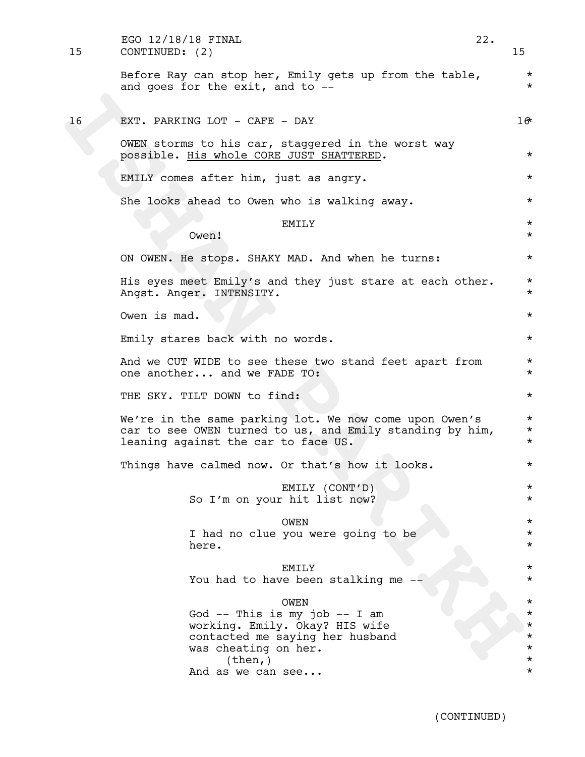| 15 | EGO 12/18/18 FINAL<br>CONTINUED: (2)                                                                                                                                    | 22. | 15                                  |  |  |  |  |
|----|-------------------------------------------------------------------------------------------------------------------------------------------------------------------------|-----|-------------------------------------|--|--|--|--|
|    | Before Ray can stop her, Emily gets up from the table,<br>and goes for the exit, and to --                                                                              |     | $^\star$<br>$\star$                 |  |  |  |  |
| 16 | EXT. PARKING LOT - CAFE - DAY                                                                                                                                           |     | 16                                  |  |  |  |  |
|    | OWEN storms to his car, staggered in the worst way<br>possible. His whole CORE JUST SHATTERED.                                                                          |     | $^\star$                            |  |  |  |  |
|    | EMILY comes after him, just as angry.                                                                                                                                   |     | $^\star$                            |  |  |  |  |
|    | She looks ahead to Owen who is walking away.                                                                                                                            |     | $^\star$                            |  |  |  |  |
|    | EMILY<br>Owen!                                                                                                                                                          |     | $^\star$<br>$^\star$                |  |  |  |  |
|    | ON OWEN. He stops. SHAKY MAD. And when he turns:                                                                                                                        |     | $^\star$                            |  |  |  |  |
|    | His eyes meet Emily's and they just stare at each other.<br>Angst. Anger. INTENSITY.                                                                                    |     | $^\star$<br>$^\star$                |  |  |  |  |
|    | Owen is mad.                                                                                                                                                            |     | $^\star$                            |  |  |  |  |
|    | Emily stares back with no words.                                                                                                                                        |     |                                     |  |  |  |  |
|    | And we CUT WIDE to see these two stand feet apart from<br>one another and we FADE TO:                                                                                   |     | $^\star$<br>$^\star$                |  |  |  |  |
|    | THE SKY. TILT DOWN to find:                                                                                                                                             |     | $^\star$                            |  |  |  |  |
|    | We're in the same parking lot. We now come upon Owen's<br>car to see OWEN turned to us, and Emily standing by him,<br>leaning against the car to face US.               |     | $^\star$<br>$^\star$<br>$^\star$    |  |  |  |  |
|    | Things have calmed now. Or that's how it looks.                                                                                                                         |     | $^\star$                            |  |  |  |  |
|    | EMILY (CONT'D)<br>So I'm on your hit list now?                                                                                                                          |     | $^\star$<br>$^\star$                |  |  |  |  |
|    | <b>OWEN</b><br>I had no clue you were going to be<br>here.                                                                                                              |     | $^\star$<br>$^\star$<br>$^\star$    |  |  |  |  |
|    | <b>EMILY</b><br>You had to have been stalking me                                                                                                                        |     | $^\star$<br>$^\star$                |  |  |  |  |
|    | OWEN<br>God $--$ This is my job $--$ I am<br>working. Emily. Okay? HIS wife<br>contacted me saying her husband<br>was cheating on her.<br>(then, )<br>And as we can see |     | *<br>*<br>$^\star$<br>*<br>$^\star$ |  |  |  |  |

(CONTINUED)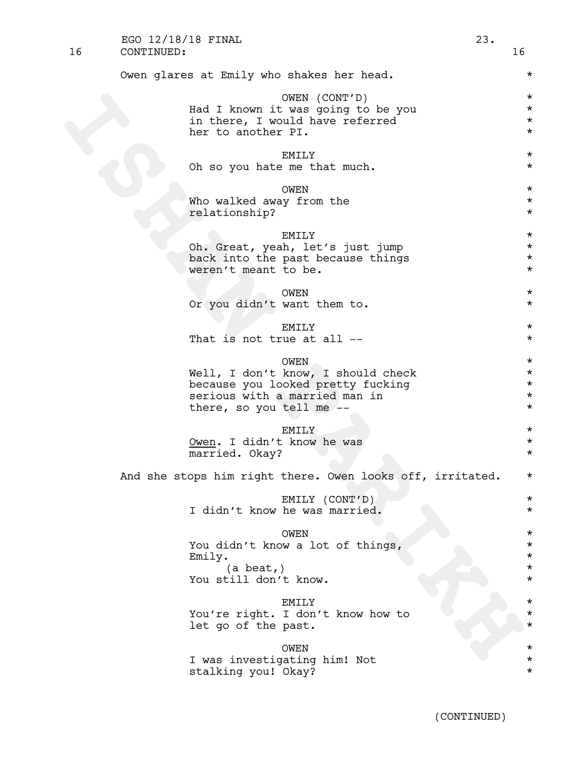| 16 | CONTINUED:                                                                                                                                          | 16                                                       |
|----|-----------------------------------------------------------------------------------------------------------------------------------------------------|----------------------------------------------------------|
|    | Owen glares at Emily who shakes her head.                                                                                                           | $^\star$                                                 |
|    | OWEN (CONT'D)<br>Had I known it was going to be you<br>in there, I would have referred<br>her to another PI.                                        | $^\star$<br>$^\star$<br>$^\star$<br>$^\star$             |
|    | EMILY<br>Oh so you hate me that much.                                                                                                               | $^\star$<br>$^\star$                                     |
|    | <b>OWEN</b><br>Who walked away from the<br>relationship?                                                                                            | $^\star$<br>$^\star$<br>$^\star$                         |
|    | <b>EMILY</b><br>Oh. Great, yeah, let's just jump<br>back into the past because things<br>weren't meant to be.                                       | $^\star$<br>$^\star$<br>$^\star$<br>$^\star$             |
|    | OWEN<br>Or you didn't want them to.                                                                                                                 | $\star$<br>$^\star$                                      |
|    | <b>EMILY</b><br>That is not true at all --                                                                                                          | $^\star$<br>$^\star$                                     |
|    | <b>OWEN</b><br>Well, I don't know, I should check<br>because you looked pretty fucking<br>serious with a married man in<br>there, so you tell me -- | $^\star$<br>$^\star$<br>$^\star$<br>$\star$<br>$^\star$  |
|    | <b>EMILY</b><br>Owen. I didn't know he was<br>married. Okay?                                                                                        | $^\star$<br>$^\star$<br>$^\star$                         |
|    | And she stops him right there. Owen looks off, irritated.                                                                                           | $^\star$                                                 |
|    | EMILY (CONT'D)<br>I didn't know he was married.                                                                                                     | $^\star$<br>$^\star$                                     |
|    | OWEN<br>You didn't know a lot of things,<br>Emily.<br>$(a \text{ beat,})$<br>You still don't know.                                                  | $^\star$<br>$^\star$<br>$^\star$<br>$^\star$<br>$^\star$ |
|    | <b>EMILY</b><br>You're right. I don't know how to<br>let go of the past.                                                                            | $^\star$<br>$^\star$<br>$^\star$                         |
|    | <b>OWEN</b><br>I was investigating him! Not                                                                                                         | $^\star$<br>$^\star$                                     |

EGO 12/18/18 FINAL 23.

stalking you! Okay? \*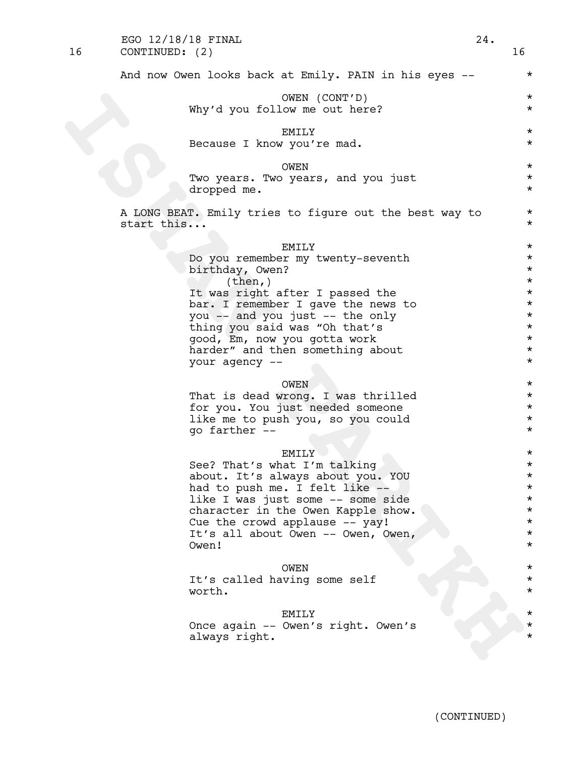| 16 | CONTINUED: (2)                                                                                                                                                                                                                                                                                                                                                                                                                                                                                                                                                                                                                                                                                                                                                                                   | 16                                                                                                                                                                                                                                                                                                                                                   |
|----|--------------------------------------------------------------------------------------------------------------------------------------------------------------------------------------------------------------------------------------------------------------------------------------------------------------------------------------------------------------------------------------------------------------------------------------------------------------------------------------------------------------------------------------------------------------------------------------------------------------------------------------------------------------------------------------------------------------------------------------------------------------------------------------------------|------------------------------------------------------------------------------------------------------------------------------------------------------------------------------------------------------------------------------------------------------------------------------------------------------------------------------------------------------|
|    | And now Owen looks back at Emily. PAIN in his eyes --                                                                                                                                                                                                                                                                                                                                                                                                                                                                                                                                                                                                                                                                                                                                            | $^\star$                                                                                                                                                                                                                                                                                                                                             |
|    | OWEN (CONT'D)<br>Why'd you follow me out here?                                                                                                                                                                                                                                                                                                                                                                                                                                                                                                                                                                                                                                                                                                                                                   | $^\star$<br>$^\star$                                                                                                                                                                                                                                                                                                                                 |
|    | EMILY<br>Because I know you're mad.                                                                                                                                                                                                                                                                                                                                                                                                                                                                                                                                                                                                                                                                                                                                                              | $^\star$<br>$^\star$                                                                                                                                                                                                                                                                                                                                 |
|    | <b>OWEN</b><br>Two years. Two years, and you just<br>dropped me.                                                                                                                                                                                                                                                                                                                                                                                                                                                                                                                                                                                                                                                                                                                                 | $^\star$<br>$^\star$<br>$^\star$                                                                                                                                                                                                                                                                                                                     |
|    | A LONG BEAT. Emily tries to figure out the best way to<br>start this                                                                                                                                                                                                                                                                                                                                                                                                                                                                                                                                                                                                                                                                                                                             | $\star$<br>$^\star$                                                                                                                                                                                                                                                                                                                                  |
|    | EMILY<br>Do you remember my twenty-seventh<br>birthday, Owen?<br>(then, )<br>It was right after I passed the<br>bar. I remember I gave the news to<br>you -- and you just -- the only<br>thing you said was "Oh that's<br>good, Em, now you gotta work<br>harder" and then something about<br>your agency --<br>OWEN<br>That is dead wrong. I was thrilled<br>for you. You just needed someone<br>like me to push you, so you could<br>go farther --<br><b>EMILY</b><br>See? That's what I'm talking<br>about. It's always about you. YOU<br>had to push me. I felt like --<br>like I was just some -- some side<br>character in the Owen Kapple show.<br>Cue the crowd applause -- yay!<br>It's all about Owen -- Owen, Owen,<br>Owen!<br><b>OWEN</b><br>It's called having some self<br>worth. | $^\star$<br>$^\star$<br>$^\star$<br>$^\star$<br>$^\star$<br>$^\star$<br>$^\star$<br>$\star$<br>$^\star$<br>$^\star$<br>$^\star$<br>$^\star$<br>$^\star$<br>$^\star$<br>$^\star$<br>$^\star$<br>$^\star$<br>$^\star$<br>$^\star$<br>$^\star$<br>$^\star$<br>$\star$<br>$\star$<br>$\star$<br>$^\star$<br>$^\star$<br>$^\star$<br>$^\star$<br>$^\star$ |
|    | EMILY<br>Once again -- Owen's right. Owen's<br>always right.                                                                                                                                                                                                                                                                                                                                                                                                                                                                                                                                                                                                                                                                                                                                     |                                                                                                                                                                                                                                                                                                                                                      |
|    |                                                                                                                                                                                                                                                                                                                                                                                                                                                                                                                                                                                                                                                                                                                                                                                                  |                                                                                                                                                                                                                                                                                                                                                      |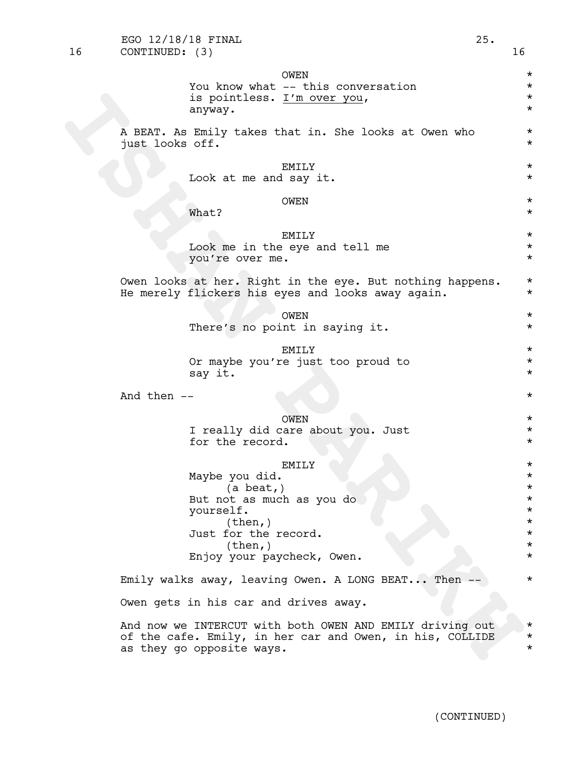| <b>OWEN</b>                                                                                                                                                             | $^\star$                                                                                     |
|-------------------------------------------------------------------------------------------------------------------------------------------------------------------------|----------------------------------------------------------------------------------------------|
| You know what -- this conversation                                                                                                                                      | $^\star$                                                                                     |
| is pointless. I'm over you,                                                                                                                                             | $^\star$                                                                                     |
| anyway.                                                                                                                                                                 | $^\star$                                                                                     |
| A BEAT. As Emily takes that in. She looks at Owen who                                                                                                                   | $^\star$                                                                                     |
| just looks off.                                                                                                                                                         | $^\star$                                                                                     |
| EMILY                                                                                                                                                                   | $^\star$                                                                                     |
| Look at me and say it.                                                                                                                                                  | $^\star$                                                                                     |
| OWEN                                                                                                                                                                    | $^\star$                                                                                     |
| What?                                                                                                                                                                   | $^\star$                                                                                     |
| <b>EMILY</b>                                                                                                                                                            | $^\star$                                                                                     |
| Look me in the eye and tell me                                                                                                                                          | $^\star$                                                                                     |
| you're over me.                                                                                                                                                         | $^\star$                                                                                     |
| Owen looks at her. Right in the eye. But nothing happens.                                                                                                               | $^\star$                                                                                     |
| He merely flickers his eyes and looks away again.                                                                                                                       | $^\star$                                                                                     |
| OWEN                                                                                                                                                                    | $^\star$                                                                                     |
| There's no point in saying it.                                                                                                                                          | $^\star$                                                                                     |
| <b>EMILY</b>                                                                                                                                                            | $^\star$                                                                                     |
| Or maybe you're just too proud to                                                                                                                                       | $^\star$                                                                                     |
| say it.                                                                                                                                                                 | $^\star$                                                                                     |
| And then $--$                                                                                                                                                           | $^\star$                                                                                     |
| OWEN                                                                                                                                                                    | $^\star$                                                                                     |
| I really did care about you. Just                                                                                                                                       | $^\star$                                                                                     |
| for the record.                                                                                                                                                         | $^\star$                                                                                     |
| EMILY<br>Maybe you did.<br>$(a \text{ beat}, )$<br>But not as much as you do<br>yourself.<br>(then, )<br>Just for the record.<br>(then, )<br>Enjoy your paycheck, Owen. | $^\star$<br>$^\star$<br>$^\star$<br>$^\star$<br>$^\star$<br>$^\star$<br>$^\star$<br>$^\star$ |
| Emily walks away, leaving Owen. A LONG BEAT Then                                                                                                                        | $^\star$                                                                                     |
| Owen gets in his car and drives away.                                                                                                                                   |                                                                                              |
| And now we INTERCUT with both OWEN AND EMILY driving out                                                                                                                | $^\star$                                                                                     |
| of the cafe. Emily, in her car and Owen, in his, COLLIDE                                                                                                                | $^\star$                                                                                     |
| as they go opposite ways.                                                                                                                                               | $^\star$                                                                                     |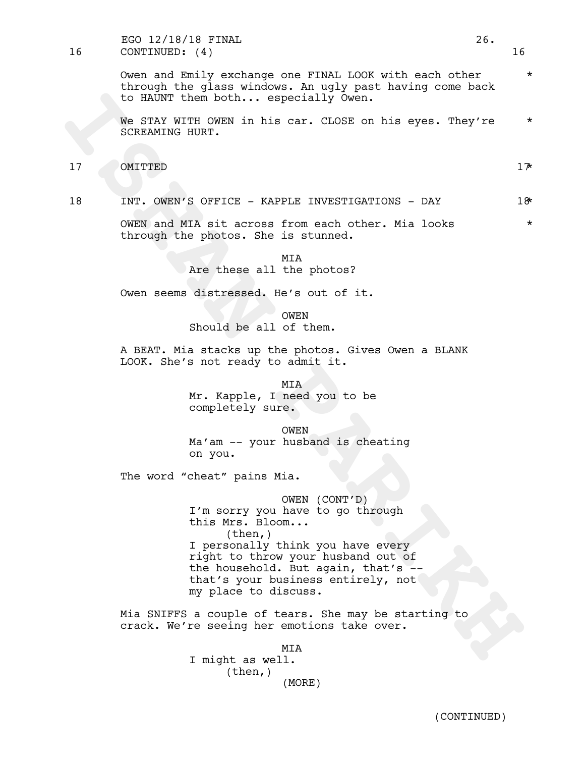16 CONTINUED: (4) 16 EGO 12/18/18 FINAL 26.

> Owen and Emily exchange one FINAL LOOK with each other \* through the glass windows. An ugly past having come back to HAUNT them both... especially Owen.

> We STAY WITH OWEN in his car. CLOSE on his eyes. They're  $*$ SCREAMING HURT.

17 OMITTED 17\*

18 INT. OWEN'S OFFICE - KAPPLE INVESTIGATIONS - DAY 18\*

OWEN and MIA sit across from each other. Mia looks  $*$ through the photos. She is stunned.

> MIA Are these all the photos?

Owen seems distressed. He's out of it.

OWEN Should be all of them.

A BEAT. Mia stacks up the photos. Gives Owen a BLANK LOOK. She's not ready to admit it.

> MIA Mr. Kapple, I need you to be completely sure.

OWEN Ma'am -- your husband is cheating on you.

The word "cheat" pains Mia.

**ISABY THE OWEN IN SERVER INVESTIGATION**<br> **ISHAN PARK WITHER ONE OF A STATE ONE OF A SERVER INTERENT CONTINUES IT ONLY A SUPPLE INTERENT INTERENT INTERENT INTO THE THE CONTINUES IN THE CONTINUES OF A SUPPLE THE PARK CONTIN** OWEN (CONT'D) I'm sorry you have to go through this Mrs. Bloom...<br>(then,) I personally think you have every right to throw your husband out of the household. But again, that's --<br>that's your business entirely, not my place to discuss.

Mia SNIFFS a couple of tears. She may be starting to crack. We're seeing her emotions take over.

> MIA I might as well.  $(then, )$ (MORE)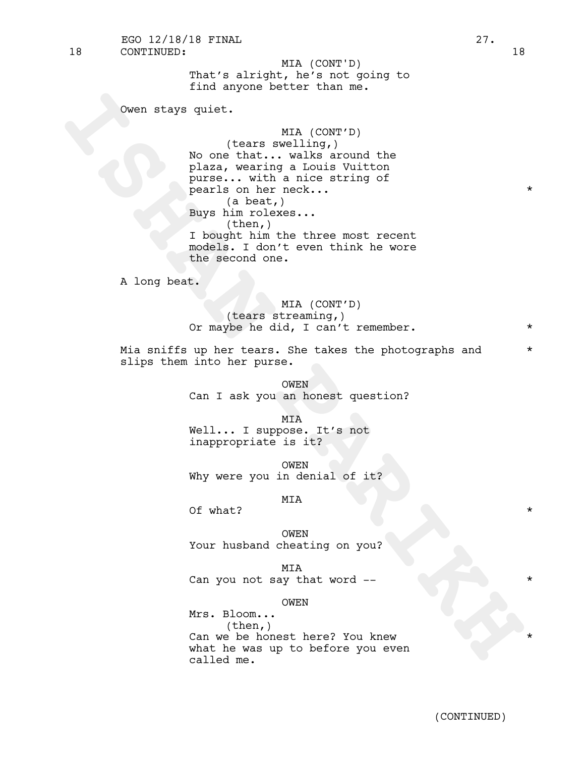18 CONTINUED: 18 EGO 12/18/18 FINAL 27.

> That's alright, he's not going to find anyone better than me. MIA (CONT'D)

Owen stays quiet.

Coven stays quiet.<br> **ISHAN PARTS (CONTPT)**<br>
No one that... will a smooth the plaza, wearing a louis vitton<br>
parts... with a nice string of<br>
parts... The parts...<br>
Bay the base...<br>
I bought him the three most recent<br>
Theory MIA (CONT'D) (tears swelling,) No one that... walks around the plaza, wearing a Louis Vuitton purse... with a nice string of pearls on her neck...  $\star$ (a beat,) Buys him rolexes...  $(then, )$ I bought him the three most recent models. I don't even think he wore the second one.

A long beat.

MIA (CONT'D) (tears streaming,) Or maybe he did, I can't remember. \*

Mia sniffs up her tears. She takes the photographs and  $*$ slips them into her purse.

> OWEN Can I ask you an honest question?

MIA Well... I suppose. It's not inappropriate is it?

OWEN Why were you in denial of it?

MIA

Of what?  $\star$ 

OWEN Your husband cheating on you?

MIA Can you not say that word --

OWEN

Mrs. Bloom... (then,) Can we be honest here? You knew what he was up to before you even called me.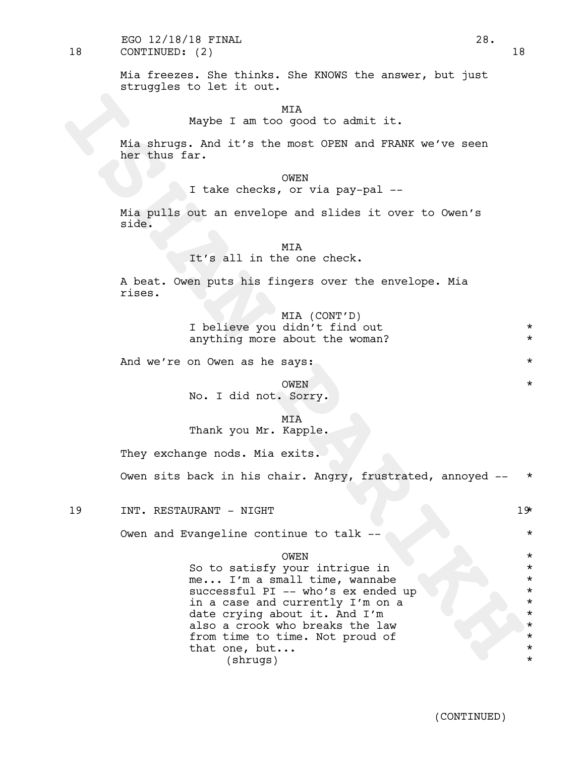18 CONTINUED: (2) 18 EGO 12/18/18 FINAL 28.

> Mia freezes. She thinks. She KNOWS the answer, but just struggles to let it out.

> > **MTA**

Maybe I am too good to admit it.

Mia shrugs. And it's the most OPEN and FRANK we've seen her thus far.

OWEN

I take checks, or via pay-pal --

Mia pulls out an envelope and slides it over to Owen's side.

## MIA

It's all in the one check.

A beat. Owen puts his fingers over the envelope. Mia rises.

> MIA (CONT'D) I believe you didn't find out \* anything more about the woman?

And we're on Owen as he says:  $\star$ 

OWEN \* No. I did not. Sorry.

MIA

Thank you Mr. Kapple.

They exchange nods. Mia exits.

Owen sits back in his chair. Angry, frustrated, annoyed -- \*

19 INT. RESTAURANT - NIGHT 19 19

Owen and Evangeline continue to talk --  $\uparrow$ 

OWEN \*

Maybe I am to good to admit it.<br> **Ela shrongs.** And it's the most OFEN and FRANK we've seen<br>
her thus far.<br> **I** take checks, or via pay-pal --<br> **I** take checks, or via pay-pal --<br> **I** take checks, or via pay-pal --<br> **II** t So to satisfy your intrique in  $*$ me... I'm a small time, wannabe successful PI -- who's ex ended up \* \* \* in a case and currently I'm on a \* date crying about it. And I'm  $*$ <br>also a crook who breaks the law also a crook who breaks the law from time to time. Not proud of  $*$ that one, but...  $\star$ (shrugs) \*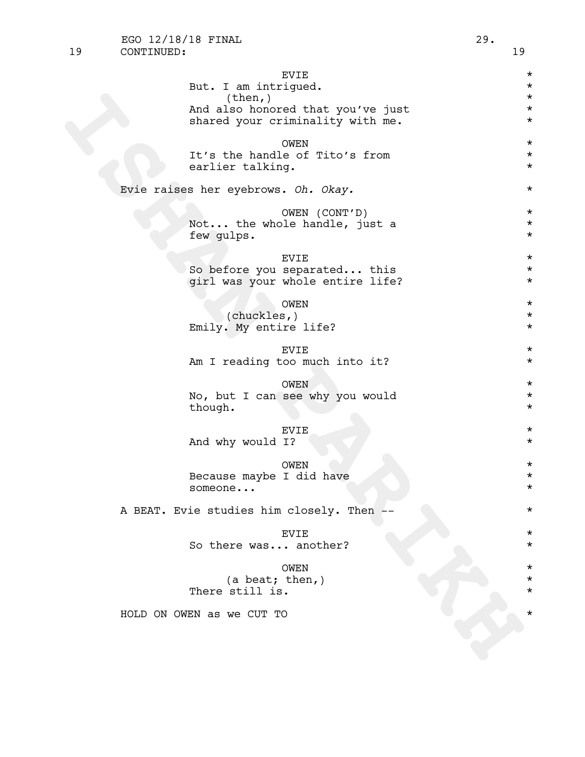| <b>EVIE</b>                               | $^\star$                  |  |  |  |  |  |
|-------------------------------------------|---------------------------|--|--|--|--|--|
| But. I am intrigued.                      | $^\star$                  |  |  |  |  |  |
| (then, )                                  | $^\star$                  |  |  |  |  |  |
| And also honored that you've just         | $^\star$                  |  |  |  |  |  |
| shared your criminality with me.          | $^\star$                  |  |  |  |  |  |
|                                           | $^\star$                  |  |  |  |  |  |
| OWEN<br>It's the handle of Tito's from    | $^\star$                  |  |  |  |  |  |
| earlier talking.                          | $^\star$                  |  |  |  |  |  |
|                                           |                           |  |  |  |  |  |
| Evie raises her eyebrows. Oh. Okay.       |                           |  |  |  |  |  |
|                                           | OWEN (CONT'D)<br>$^\star$ |  |  |  |  |  |
| Not the whole handle, just a              | $^\star$                  |  |  |  |  |  |
| few gulps.                                | $^\star$                  |  |  |  |  |  |
| <b>EVIE</b>                               | $^\star$                  |  |  |  |  |  |
| So before you separated this              | $^\star$                  |  |  |  |  |  |
| girl was your whole entire life?          | $^\star$                  |  |  |  |  |  |
|                                           |                           |  |  |  |  |  |
| <b>OWEN</b><br>(chuckles, )               | $^\star$<br>$^\star$      |  |  |  |  |  |
| Emily. My entire life?                    | $^\star$                  |  |  |  |  |  |
|                                           |                           |  |  |  |  |  |
| <b>EVIE</b>                               | $^\star$                  |  |  |  |  |  |
| Am I reading too much into it?            | $^\star$                  |  |  |  |  |  |
| OWEN                                      | $^\star$                  |  |  |  |  |  |
| No, but I can see why you would           | $^\star$                  |  |  |  |  |  |
| though.                                   | $^\star$                  |  |  |  |  |  |
|                                           |                           |  |  |  |  |  |
| <b>EVIE</b>                               | $^\star$                  |  |  |  |  |  |
| And why would I?                          | $^\star$                  |  |  |  |  |  |
| OWEN                                      | $^\star$                  |  |  |  |  |  |
| Because maybe I did have                  | $^\star$                  |  |  |  |  |  |
| someone                                   | $^\star$                  |  |  |  |  |  |
|                                           |                           |  |  |  |  |  |
| A BEAT. Evie studies him closely. Then -- | *                         |  |  |  |  |  |
| <b>EVIE</b>                               | $^\star$                  |  |  |  |  |  |
| So there was another?                     | $^\star$                  |  |  |  |  |  |
|                                           |                           |  |  |  |  |  |
| OWEN                                      |                           |  |  |  |  |  |
| (a beat; then, )                          | $^\star$                  |  |  |  |  |  |
| There still is.                           |                           |  |  |  |  |  |
| HOLD ON OWEN as we CUT TO                 |                           |  |  |  |  |  |
|                                           |                           |  |  |  |  |  |
|                                           |                           |  |  |  |  |  |
|                                           |                           |  |  |  |  |  |
|                                           |                           |  |  |  |  |  |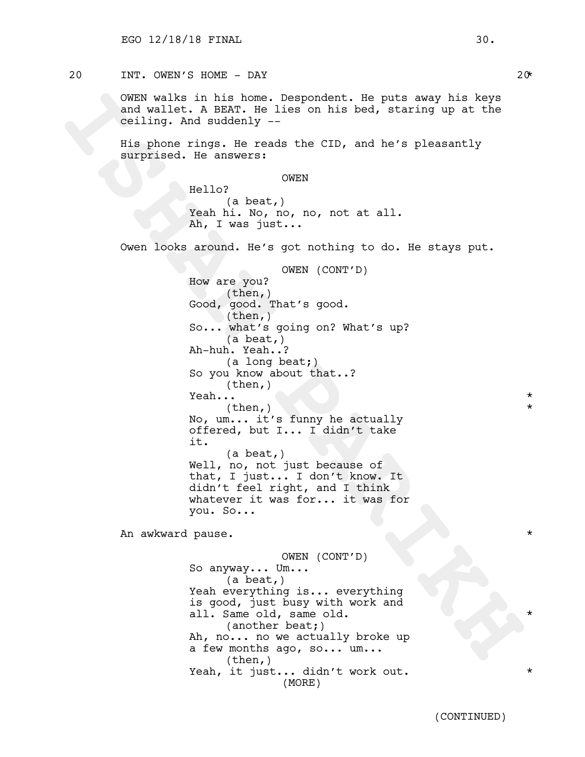## $20$  INT. OWEN'S HOME - DAY 20\*

OWEN walks in his home. Despondent. He puts away his keys and wallet. A BEAT. He lies on his bed, staring up at the ceiling. And suddenly --

His phone rings. He reads the CID, and he's pleasantly surprised. He answers:

OWEN

Hello? (a beat,) Yeah hi. No, no, no, not at all. Ah, I was just...

Owen looks around. He's got nothing to do. He stays put.

OWERY walks in his bone. Despondent. He puts away his keys<br>and wallet. A BRAN. He lies on his bed, staring up at the<br>ceiling. And suddenly ---<br>His phone rings. He reads the CDD, and he's pleasantly<br>surprised. He answers:<br>H OWEN (CONT'D) How are you?  $(then, )$ Good, good. That's good.  $(then, )$ So... what's going on? What's up? (a beat,) Ah-huh. Yeah..? (a long beat;) So you know about that..? (then,) Yeah...  $\qquad \qquad \star$  $(then, )$ No, um... it's funny he actually offered, but I... I didn't take it. (a beat,) Well, no, not just because of that, I just... I don't know. It didn't feel right, and I think whatever it was for... it was for you. So...

An awkward pause. \*

OWEN (CONT'D) So anyway... Um...<br>(a beat,) Yeah everything is... everything is good, just busy with work and all. Same old, same old. (another beat;) Ah, no... no we actually broke up a few months ago, so... um... (then,) Yeah, it just... didn't work out. \* (MORE)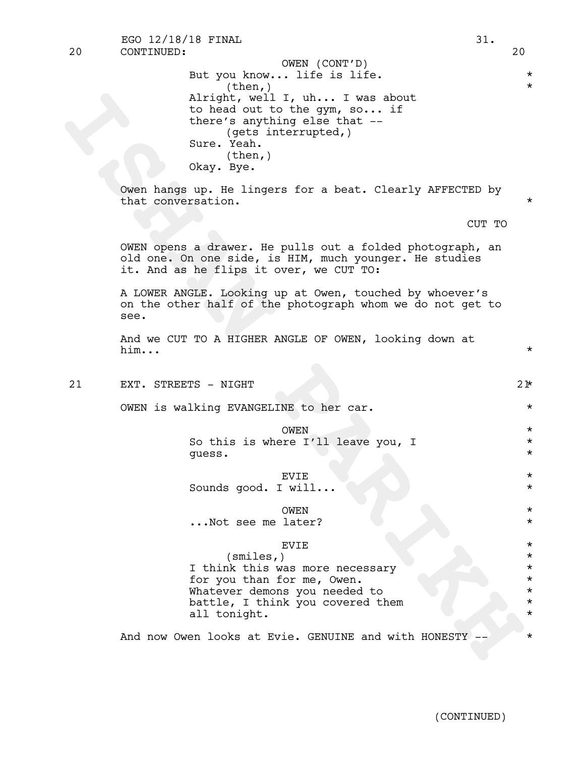20 CONTINUED: 20 EGO 12/18/18 FINAL 31.

**ISHAN PARIKH** But you know... life is life.  $*$  $(then, )$ Alright, well I, uh... I was about to head out to the gym, so... if there's anything else that -- (gets interrupted,) Sure. Yeah. (then,) Okay. Bye. OWEN (CONT'D)

Owen hangs up. He lingers for a beat. Clearly AFFECTED by that conversation.

CUT TO

OWEN opens a drawer. He pulls out a folded photograph, an old one. On one side, is HIM, much younger. He studies it. And as he flips it over, we CUT TO:

A LOWER ANGLE. Looking up at Owen, touched by whoever's on the other half of the photograph whom we do not get to see.

And we CUT TO A HIGHER ANGLE OF OWEN, looking down at him...  $\star$ 

21 EXT. STREETS - NIGHT 21 21 22

OWEN is walking EVANGELINE to her car.  $*$ 

OWEN  $\star$ So this is where I'll leave you, I  $*$ guess. \*

EVIE \* Sounds good. I will...  $\qquad \qquad *$ 

OWEN \* ...Not see me later? \*

## EVIE \*

(smiles,) \* I think this was more necessary  $*$ for you than for me, Owen.  $*$ Whatever demons you needed to \* battle, I think you covered them all tonight.  $\star$ 

And now Owen looks at Evie. GENUINE and with HONESTY --  $*$ 

(CONTINUED)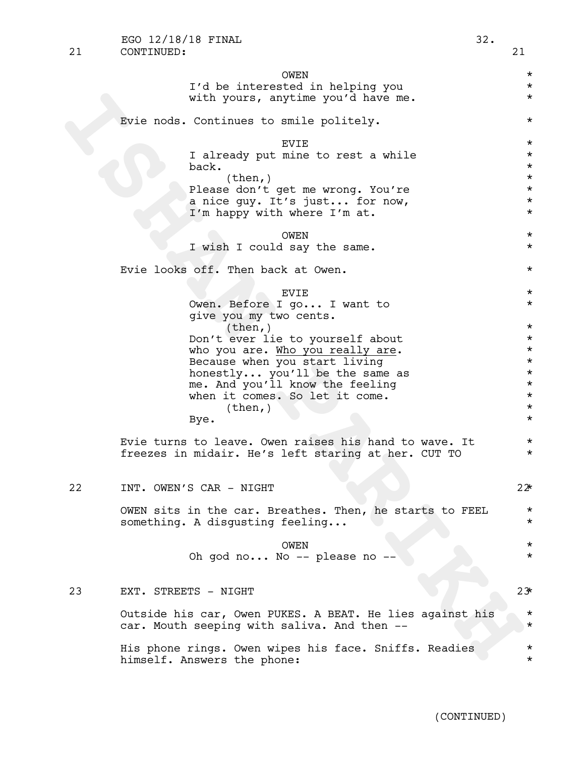|    | EGO 12/18/18 FINAL                                                                   | 32. |                      |
|----|--------------------------------------------------------------------------------------|-----|----------------------|
| 21 | CONTINUED:                                                                           |     | 21                   |
|    | OWEN                                                                                 |     | $\star$              |
|    | I'd be interested in helping you                                                     |     | $\star$              |
|    | with yours, anytime you'd have me.                                                   |     | $\star$              |
|    | Evie nods. Continues to smile politely.                                              |     | $^\star$             |
|    | <b>EVIE</b>                                                                          |     | $^\star$             |
|    | I already put mine to rest a while                                                   |     | $\star$              |
|    | back.<br>(then, )                                                                    |     | $^\star$<br>$^\star$ |
|    | Please don't get me wrong. You're                                                    |     | $^\star$             |
|    | a nice guy. It's just for now,                                                       |     | $^\star$             |
|    | I'm happy with where I'm at.                                                         |     | $^\star$             |
|    | OWEN                                                                                 |     | $^\star$             |
|    | I wish I could say the same.                                                         |     | $\star$              |
|    |                                                                                      |     |                      |
|    | Evie looks off. Then back at Owen.                                                   |     | $\star$              |
|    | <b>EVIE</b>                                                                          |     | $\star$              |
|    | Owen. Before I go I want to                                                          |     | $\star$              |
|    | give you my two cents.                                                               |     |                      |
|    | (then, )                                                                             |     | $^\star$             |
|    | Don't ever lie to yourself about<br>who you are. Who you really are.                 |     | $\star$<br>$^\star$  |
|    | Because when you start living                                                        |     | $^\star$             |
|    | honestly you'll be the same as                                                       |     | $^\star$             |
|    | me. And you'll know the feeling                                                      |     | $^\star$             |
|    | when it comes. So let it come.                                                       |     | $^\star$             |
|    | (then, )<br>Bye.                                                                     |     | $\star$<br>$\star$   |
|    |                                                                                      |     |                      |
|    | Evie turns to leave. Owen raises his hand to wave. It                                |     | $\star$              |
|    | freezes in midair. He's left staring at her. CUT TO                                  |     | $^\star$             |
|    |                                                                                      |     |                      |
| 22 | INT. OWEN'S CAR - NIGHT                                                              |     | $22*$                |
|    | OWEN sits in the car. Breathes. Then, he starts to FEEL                              |     | $\star$              |
|    | something. A disqusting feeling                                                      |     | $\star$              |
|    | OWEN                                                                                 |     | $\star$              |
|    | Oh god no No -- please no --                                                         |     | $\star$              |
|    |                                                                                      |     |                      |
| 23 | EXT. STREETS - NIGHT                                                                 |     | 23                   |
|    | Outside his car, Owen PUKES. A BEAT. He lies against his                             |     | $\star$              |
|    | car. Mouth seeping with saliva. And then --                                          |     | $\star$              |
|    | His phone rings. Owen wipes his face. Sniffs. Readies<br>himself. Answers the phone: |     | $\star$<br>$\star$   |

(CONTINUED)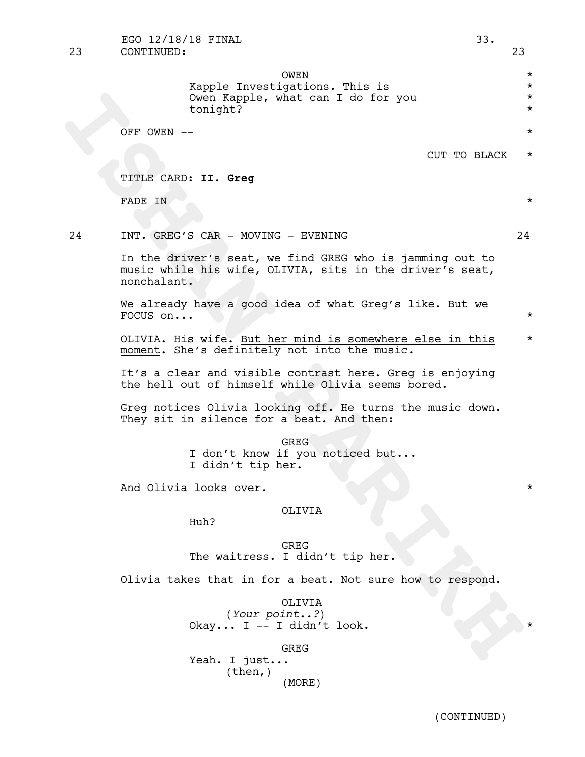OWEN \* Kapple Investigations. This is  $*$ Owen Kapple, what can I do for you \* tonight? \*

OFF OWEN  $- *$ 

CUT TO BLACK \*

TITLE CARD: **II. Greg**

FADE IN  $\star$ 

## 24 INT. GREG'S CAR - MOVING - EVENING 24

See COT ITO BLACK<br>
TITLE CARD: II. Greg<br>
TITLE CARD: II. Greg<br>
TITLE CARD: II. Greg<br>
TITLE CARD: II. Greg<br>
TITLE CARD: II. Greg<br>
TITLE CARD: II. Greg<br>
TITLE CARD: II. Greg<br>
TITLE CARD: II. Greg<br>
TITLE CARD: II. Greg<br>
TITLE In the driver's seat, we find GREG who is jamming out to music while his wife, OLIVIA, sits in the driver's seat, nonchalant.

We already have a good idea of what Greg's like. But we FOCUS on...  $\star$ 

OLIVIA. His wife. But her mind is somewhere else in this \* moment. She's definitely not into the music.

It's a clear and visible contrast here. Greg is enjoying the hell out of himself while Olivia seems bored.

Greg notices Olivia looking off. He turns the music down.<br>They sit in silence for a beat. And then:

GREG <sup>I</sup> don't know if you noticed but... <sup>I</sup> didn't tip her.

And Olivia looks over.

## OLIVIA

Huh?

GREG The waitress. I didn't tip her.

Olivia takes that in for a beat. Not sure how to respond.

OLIVIA (*Your point..?*) Okay... I -- I didn't look.

GREG

Yeah. I just... (then,) (MORE)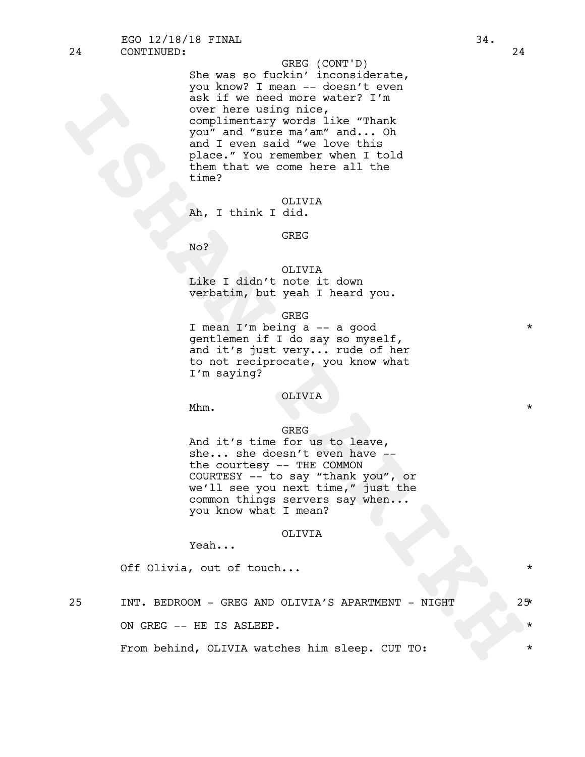24 CONTINUED: 24

## GREG (CONT'D)

is we need note with the main of the main of the main of the main of the main of the main of the main of the main of the main of the set of the main that we come here all the time of the main that we come here all the time She was so fuckin' inconsiderate, you know? I mean -- doesn't even ask if we need more water? I'm over here using nice, complimentary words like "Thank you" and "sure ma'am" and... Oh and I even said "we love this place." You remember when I told them that we come here all the time?

OLIVIA

Ah, I think I did.

GREG

No?

## OLIVIA Like I didn't note it down verbatim, but yeah I heard you.

#### GREG

I mean I'm being a -- a good \* gentlemen if I do say so myself, and it's just very... rude of her to not reciprocate, you know what I'm saying?

### OLIVIA

Mhm.  $\star$ 

#### GREG

And it's time for us to leave,<br>she... she doesn't even have --<br>the courtesy -- THE COMMON COURTESY -- to say "thank you", or we'll see you next time," just the common things servers say when...<br>you know what I mean?

## OLIVIA

Yeah...

Off Olivia, out of touch...

25 INT. BEDROOM - GREG AND OLIVIA'S APARTMENT - NIGHT 25\* ON GREG -- HE IS ASLEEP.

From behind, OLIVIA watches him sleep. CUT TO:  $*$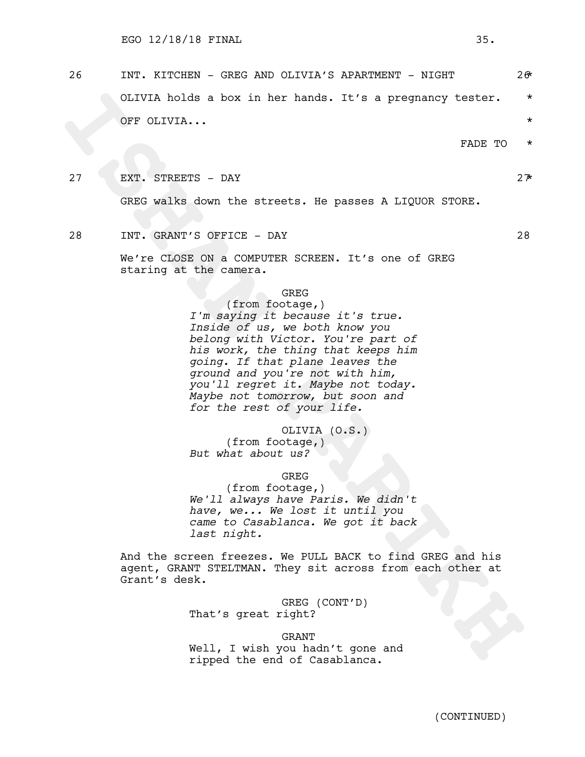26 INT. KITCHEN - GREG AND OLIVIA'S APARTMENT - NIGHT 26\* OLIVIA holds a box in her hands. It's a pregnancy tester. \* OFF OLIVIA... \*

FADE TO \*

27 EXT. STREETS – DAY  $27$ 

GREG walks down the streets. He passes A LIQUOR STORE.

28 INT. GRANT'S OFFICE - DAY 28

We're CLOSE ON a COMPUTER SCREEN. It's one of GREG staring at the camera.

GREG

CLIVIA holds a box in her hands. It's a pregnancy tester.<br>
OFF CLIVIA...<br>
INDE TO<br>
INDE TO<br>
INDE TO<br>
INDE TO<br>
INDE TO<br>
INDE TO<br>
INDE TO<br>
INDE TO<br>
INDE TO<br>
INDE TO<br>
INDE TO<br>
INDE TO<br>
INDE TO<br>
INDE TO<br>
INDEE TO<br>
INDEE TO WAR (from footage,) *I'm saying it because it's true. Inside of us, we both know you belong with Victor. You're part of his work, the thing that keeps him going. If that plane leaves the ground and you're not with him, you'll regret it. Maybe not today. Maybe not tomorrow, but soon and for the rest of your life.*

OLIVIA (O.S.) (from footage,) *But what about us?*

## GREG

(from footage,) *We'll always have Paris. We didn't have, we... We lost it until you came to Casablanca. We got it back last night.*

And the screen freezes. We PULL BACK to find GREG and his agent, GRANT STELTMAN. They sit across from each other at Grant's desk.

> GREG (CONT'D) That's great right?

GRANT Well, I wish you hadn't gone and ripped the end of Casablanca.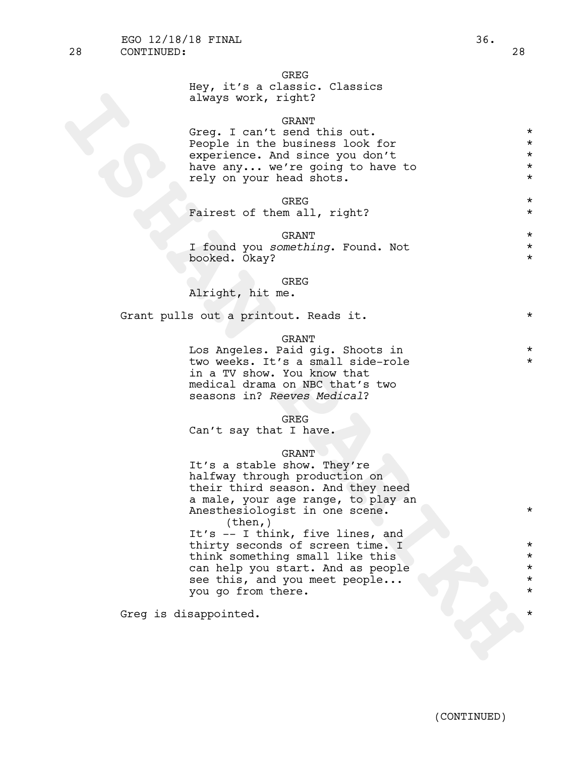# GREG

|  |  |                     | Hey, it's a classic. Classics |
|--|--|---------------------|-------------------------------|
|  |  | always work, right? |                               |

## GRANT

Greq. I can't send this out. \* People in the business look for  $*$ experience. And since you don't \* have any... we're going to have to  $*$ rely on your head shots.  $*$ 

GREG  $\star$ 

Fairest of them all, right? \*

GRANT  $\star$ <br>
amothing Found Not I found you *something*. Found. Not \* booked. Okay? \*

#### GREG

Alright, hit me.

Grant pulls out a printout. Reads it.  $*$ 

## GRANT

Los Angeles. Paid gig. Shoots in \* two weeks. It's a small side-role in a TV show. You know that medical drama on NBC that's two seasons in? *Reeves Medical*?

#### GREG

Can't say that I have.

you go from there.

## GRANT

always work, right?<br>
Seeple in the seadlness look for<br>
sepperimes. And since you don't<br>
sexperimes. And since you don't<br>
several in the seadlness look for<br>
several on your head shots.<br>
Farest of them all, right?<br>
Farest of It's a stable show. They're halfway through production on their third season. And they need a male, your age range, to play an Anesthesiologist in one scene.  $*$ (then,) It's -- I think, five lines, and thirty seconds of screen time. I \* think something small like this \* can help you start. And as people \* see this, and you meet people...

Greg is disappointed.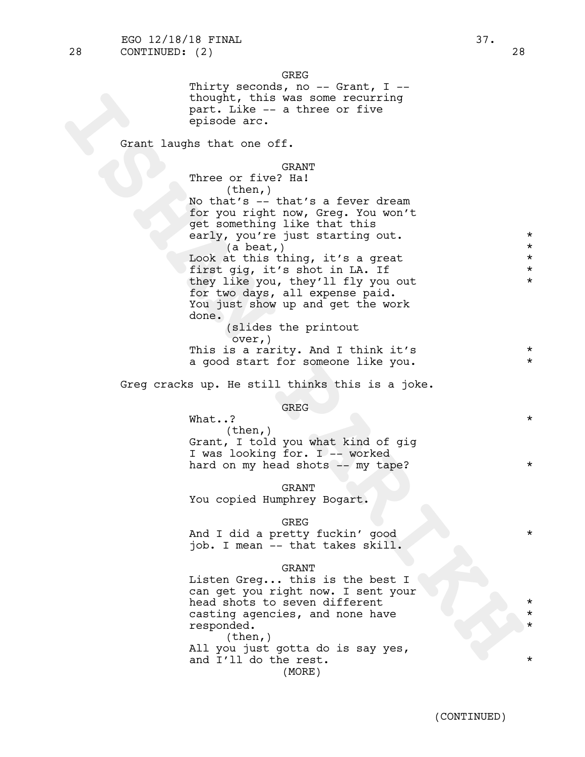the wind was some recouring<br>part. Like - a three or five<br>opisode arc.<br>Crant laughs that one of f.<br>
We can chive a stoward work<br>
North Mark is a few of the solution of the state of the state of the state<br>
one of the state o GREG Thirty seconds, no  $--$  Grant, I  $-$ thought, this was some recurring part. Like -- a three or five episode arc. Grant laughs that one off. GRANT Three or five? Ha! (then,) No that's -- that's a fever dream for you right now, Greg. You won't get something like that this early, you're just starting out.  $\star$  $(a \text{ beat,})$ Look at this thing, it's a great  $*$ first gig, it's shot in LA. If  $*$ they like you, they'll fly you out \* for two days, all expense paid. You just show up and get the work done. (slides the printout over,) This is a rarity. And I think it's  $*$ a good start for someone like you. Greg cracks up. He still thinks this is a joke. GREG What..?  $\star$ (then,) Grant, I told you what kind of gig I was looking for. I -- worked hard on my head shots -- my tape? GRANT You copied Humphrey Bogart. GREG And I did a pretty fuckin' good \* \* \* \* \* job. I mean -- that takes skill. GRANT Listen Greg... this is the best I can get you right now. I sent your head shots to seven different casting agencies, and none have \* responded. \*  $(then, )$ All you just gotta do is say yes, and I'll do the rest.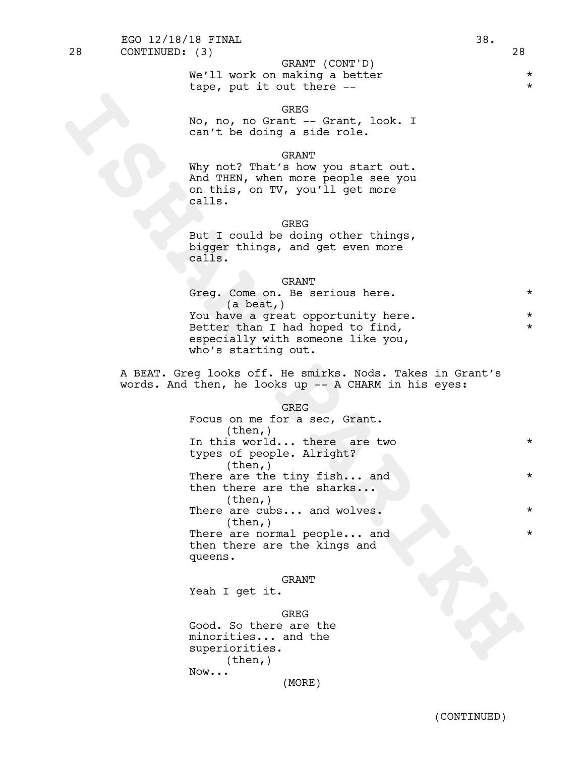**GREG** 

No, no, no Grant -- Grant, look. I can't be doing a side role.

## GRANT

Why not? That's how you start out. And THEN, when more people see you on this, on TV, you'll get more calls.

# GREG

But I could be doing other things, bigger things, and get even more calls.

#### **GRANT**

| Greq. Come on. Be serious here.    | $\star$ |  |
|------------------------------------|---------|--|
| $(a \text{ beat.})$                |         |  |
| You have a great opportunity here. |         |  |
| Better than I had hoped to find,   | $\star$ |  |
| especially with someone like you,  |         |  |
| who's starting out.                |         |  |

A BEAT. Greg looks off. He smirks. Nods. Takes in Grant's words. And then, he looks up -- A CHARM in his eyes:

#### GREG

Sho, no, no Grant<br>
can't be doing a side role.<br>
Can't be doing a side role.<br>
Why not<sup>2</sup> That's how you start out.<br>
Mindridges, when are people see you<br>
on this, on TV, you i'll get more<br>
calls.<br>
Bigger things, and get ther Focus on me for a sec, Grant.<br>(then,) In this world... there are two  $*$ types of people. Alright? (then,) There are the tiny fish... and \* then there are the sharks...<br>(then,) There are cubs... and wolves.  $*$ (then,) There are normal people... and \* then there are the kings and queens.

## GRANT

Yeah I get it.

GREG Good. So there are the minorities... and the superiorities.  $(then, )$ Now... (MORE)

tape, put it out there --  $*$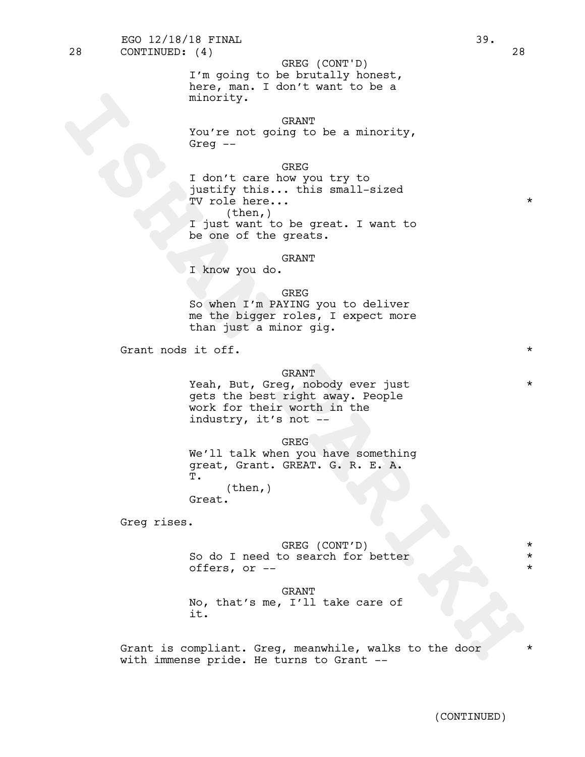I'm going to be brutally honest, here, man. I don't want to be a minority.

## GRANT

You're not going to be a minority, Greg --

GREG

minority.<br>
You're not going to be a minority,<br>
Then there have the most vert of<br>
The intervention with the most vert of<br>
The intervention of the great. I want to<br>
I just twart to be great. I want to<br>
I just twart to be gre I don't care how you try to justify this... this small-sized TV role here... (then,) I just want to be great. I want to be one of the greats.

## GRANT

I know you do.

#### GREG

So when I'm PAYING you to deliver me the bigger roles, I expect more than just a minor gig.

Grant nods it off.  $\star$ 

# GRANT

Yeah, But, Greg, nobody ever just \* gets the best right away. People work for their worth in the industry, it's not --

GREG

We'll talk when you have something great, Grant. GREAT. G. R. E. A.<br>T. (then,)

Great.

Greg rises.

GREG (CONT'D) \* So do I need to search for better  $*$ offers, or  $-$ 

#### GRANT

No, that's me, I'll take care of it.

Grant is compliant. Greg, meanwhile, walks to the door \* with immense pride. He turns to Grant --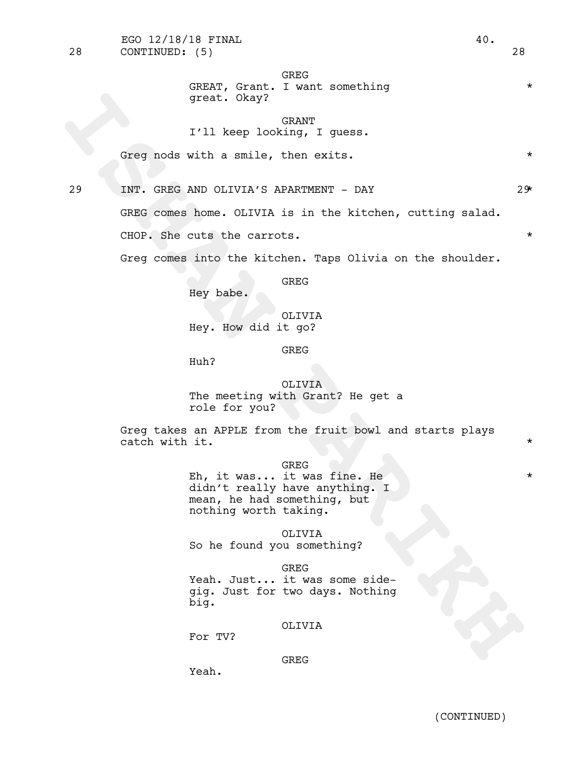# GREG

# GREAT, Grant. I want something  $*$ great. Okay?

GRANT I'll keep looking, I guess.

Greg nods with a smile, then exits.

29 INT. GREG AND OLIVIA'S APARTMENT - DAY 29\*

great. Okay?<br>
I'll keep looking, I queaa.<br>
Greg nods with a smile, then exits.<br>
29 INF. GREG comes home. OLIVIA is in the kitchen, cutting salad.<br>
CGDC comes home. OLIVIA is in the kitchen, cutting salad.<br>
CGDC. She cuts t GREG comes home. OLIVIA is in the kitchen, cutting salad. CHOP. She cuts the carrots.  $\star$ 

Greg comes into the kitchen. Taps Olivia on the shoulder.

GREG

Hey babe.

OLIVIA Hey. How did it go?

GREG

Huh?

OLIVIA The meeting with Grant? He get a role for you?

Greg takes an APPLE from the fruit bowl and starts plays catch with it.  $\star$ 

GREG

Eh, it was... it was fine. He \* didn't really have anything. I mean, he had something, but nothing worth taking.

OLIVIA

So he found you something?

GREG

Yeah. Just... it was some sidegig. Just for two days. Nothing big.

## OLIVIA

For TV?

# GREG

Yeah.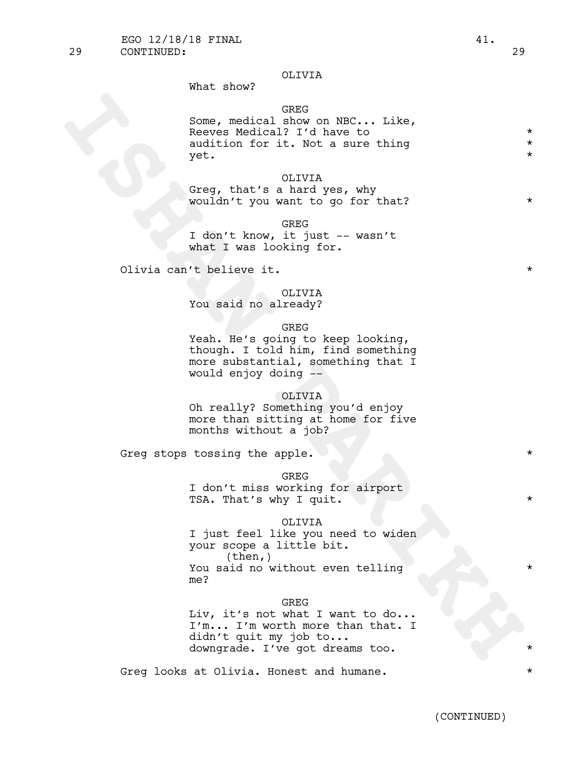## OLIVIA

What show?

# GREG

Some, medical show on NBC... Like, Reeves Medical? I'd have to \* audition for it. Not a sure thing  $*$  $y$ et.  $*$ 

# OLIVIA

Greg, that's a hard yes, why wouldn't you want to go for that? \*

GREG I don't know, it just -- wasn't what I was looking for.

Olivia can't believe it.  $\star$ 

# OLIVIA

You said no already?

GREG

Yeah. He's going to keep looking, though. I told him, find something more substantial, something that I would enjoy doing --

## OLIVIA

Oh really? Something you'd enjoy more than sitting at home for five months without a job?

Greq stops tossing the apple.  $*$ 

GREG

I don't miss working for airport TSA. That's why I quit.

#### OLIVIA

Some, medical filter on NBC... Like,<br>
Neavas Medical<sup>2</sup> I'd have to like,<br>
Neavas Medical<sup>2</sup> I'd have to hig<br>
suition for it. Not a sure thing<br>
yet.<br>
Yet all the street of series why<br>
wouldn't you want to go for that?<br>
The I just feel like you need to widen your scope <sup>a</sup> little bit. (then,) You said no without even telling me?

GREG

Liv, it's not what I want to do... I'm... I'm worth more than that. I didn't quit my job to... downgrade. I've got dreams too. \*

Greg looks at Olivia. Honest and humane.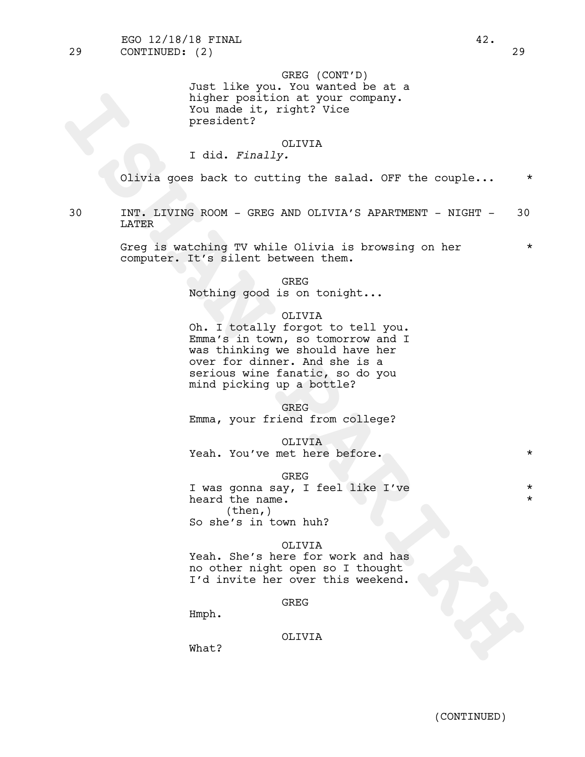GREG (CONT'D) Just like you. You wanted be at a higher position at your company. You made it, right? Vice president?

## OLIVIA

# I did. *Finally.*

Olivia goes back to cutting the salad. OFF the couple... \*

30 INT. LIVING ROOM - GREG AND OLIVIA'S APARTMENT - NIGHT - 30 LATER

> Greg is watching TV while Olivia is browsing on her  $*$ computer. It's silent between them.

> > GREG

Nothing good is on tonight...

## OLIVIA

igher position at your company.<br>
You made it, right? Vice<br>
president?<br>
I did. Finally.<br>
OLIVIR (Direction 17)<br>
OLIVIR ROOM - GREG AND OLIVIR'S APARTMENT - NIGHT<br>
LATTER<br>
INTER A WALLER ROOM - GREG AND OLIVIR'S APARTMENT - Oh. I totally forgot to tell you. Emma's in town, so tomorrow and I was thinking we should have her over for dinner. And she is a serious wine fanatic, so do you mind picking up a bottle?

GREG

Emma, your friend from college?

OLIVIA Yeah. You've met here before. \*

GREG

I was gonna say, I feel like I've \* heard the name. (then,) So she's in town huh?

## OLIVIA

Yeah. She's here for work and has no other night open so I thought I'd invite her over this weekend.

GREG

Hmph.

## OLIVIA

What?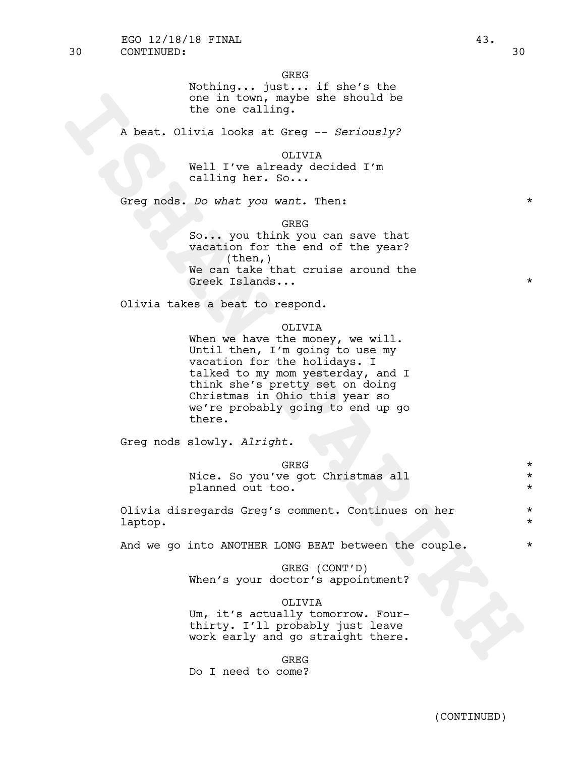GREG

Nothing... just... if she's the one in town, maybe she should be the one calling.

A beat. Olivia looks at Greg -- *Seriously?*

OLIVIA Well I've already decided I'm calling her. So...

Greg nods. *Do what you want.* Then: \*

GREG

So... you think you can save that vacation for the end of the year? (then,) We can take that cruise around the Greek Islands...  $\star$ 

Olivia takes a beat to respond.

#### OLIVIA

one in twom, maybe she should be<br>the one calling.<br>A beat. Olivia looks at Greq -- Seriously?<br>Well I've already decided I'm<br>calling her. So...<br>Creg nods. Do what you want Then:<br>We can asset the value of the spare?<br>We can ta When we have the money, we will. Until then, I'm going to use my vacation for the holidays. I talked to my mom yesterday, and I think she's pretty set on doing Christmas in Ohio this year so we're probably going to end up go there.

Greg nods slowly. *Alright.*

GREG \* Nice. So you've got Christmas all  $*$ planned out too. \*

Olivia disregards Greg's comment. Continues on her \* laptop. \*

And we go into ANOTHER LONG BEAT between the couple.  $*$ 

GREG (CONT'D) When's your doctor's appointment?

OLIVIA

Um, it's actually tomorrow. Fourthirty. I'll probably just leave work early and go straight there.

GREG

Do I need to come?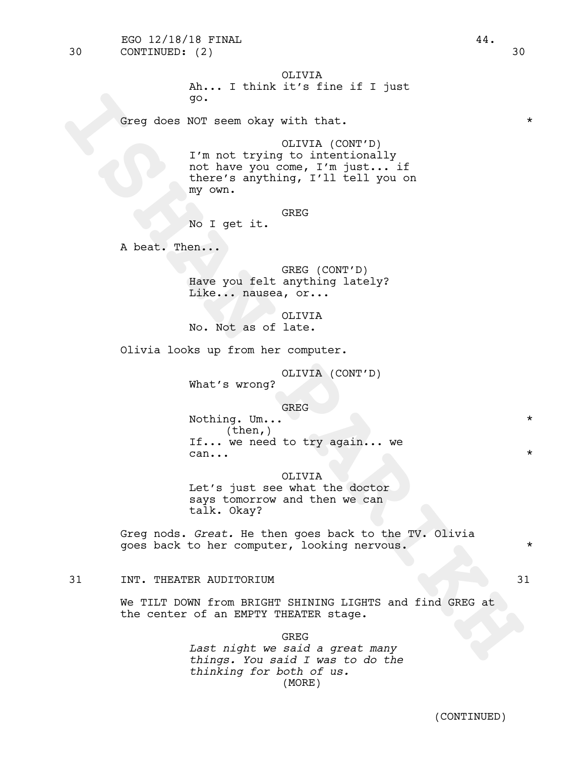Greq does NOT seem okay with that.  $*$ 

go.<br> **ISHAN PARTICULA (CONT'D)**<br>
I'm not trying to intentionally<br>
not have you come, I'm just... if<br>
there's anything, I'll tell you on<br>
No I get it. GREG<br>
A beat. Then...<br>
No I get it. GREG (CONT'D)<br>
EAR: A man...<br>
Rave y OLIVIA (CONT'D) I'm not trying to intentionally not have you come, I'm just... if there's anything, I'll tell you on my own.

**GREG** 

No I get it.

A beat. Then...

GREG (CONT'D) Have you felt anything lately? Like... nausea, or...

OLIVIA No. Not as of late.

Olivia looks up from her computer.

OLIVIA (CONT'D)

What's wrong?

GREG

Nothing. Um...  $\star$ (then,) If... we need to try again... we  $\mathsf{can} \ldots$  \*

OLIVIA Let's just see what the doctor says tomorrow and then we can talk. Okay?

Greg nods. *Great.* He then goes back to the TV. Olivia goes back to her computer, looking nervous. \*

31 INT. THEATER AUDITORIUM 31

We TILT DOWN from BRIGHT SHINING LIGHTS and find GREG at the center of an EMPTY THEATER stage.

> GREG *Last night we said a great many things. You said I was to do the thinking for both of us.* (MORE)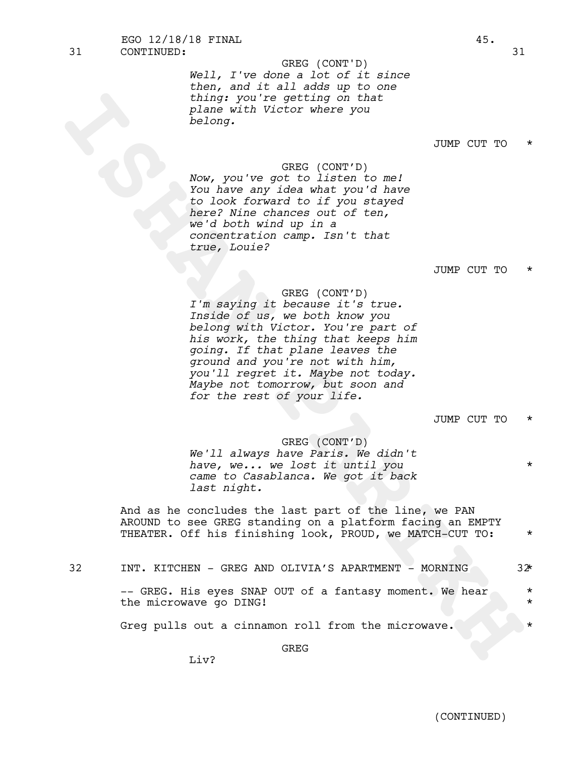*Well, I've done a lot of it since then, and it all adds up to one thing: you're getting on that plane with Victor where you belong.* GREG (CONT'D)

# JUMP CUT TO \*

GREG (CONT'D) *Now, you've got to listen to me! You have any idea what you'd have to look forward to if you stayed here? Nine chances out of ten, we'd both wind up in a concentration camp. Isn't that true, Louie?*

## JUMP CUT TO \*

## GREG (CONT'D)

thing you're getting on that<br>
plane with Victor where you<br>
belong.<br> **INNE CUT TO**<br>
Now, you're gett to listen to me!<br>
You have any idea what you'd have<br>
to listen to if you dispute<br>
to listen the state of the state of the *I'm saying it because it's true. Inside of us, we both know you belong with Victor. You're part of his work, the thing that keeps him going. If that plane leaves the ground and you're not with him, you'll regret it. Maybe not today. Maybe not tomorrow, but soon and for the rest of your life.*

JUMP CUT TO \*

## GREG (CONT'D)

*We'll always have Paris. We didn't have, we... we lost it until you* \* *came to Casablanca. We got it back last night.*

And as he concludes the last part of the line, we PAN AROUND to see GREG standing on a platform facing an EMPTY THEATER. Off his finishing look, PROUD, we MATCH-CUT TO: \*

| I       |  |
|---------|--|
|         |  |
| ×<br>۰. |  |

INT. KITCHEN - GREG AND OLIVIA'S APARTMENT - MORNING  $32^*$ 

-- GREG. His eyes SNAP OUT of a fantasy moment. We hear \* the microwave go DING!

Greg pulls out a cinnamon roll from the microwave.

GREG

 $Li<sub>v</sub>$ ?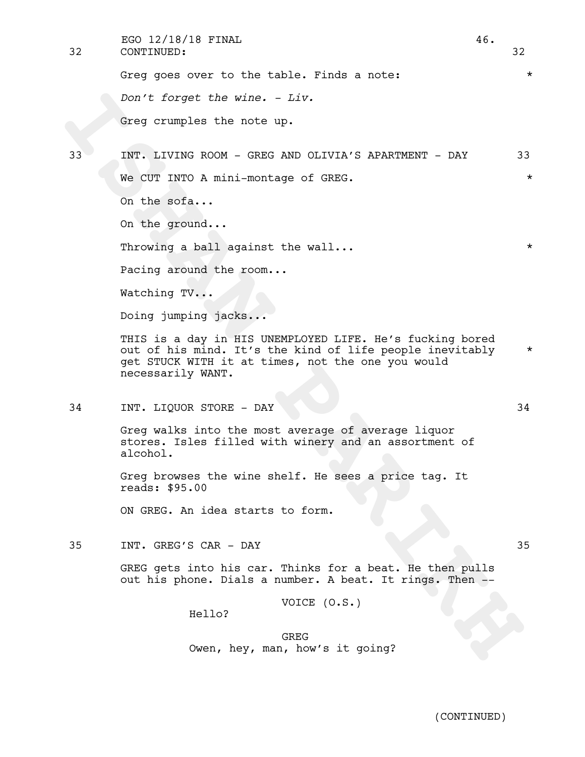32 CONTINUED: 32 EGO 12/18/18 FINAL 46.

> Greg goes over to the table. Finds a note:  $*$ *Don't forget the wine. - Liv.* Greg crumples the note up.

Don't forget the wine. - Liv.<br>
Greg crumples the note up.<br>
INT. LIVING ROOM - GREG AND OLIVIN'S RPARITMENT - DAY<br>
We CUT INTO A mini-montage of GREG.<br>
On the end...<br>
On the green.<br>
On the green.<br>
On the green...<br>
Throwing 33 INT. LIVING ROOM - GREG AND OLIVIA'S APARTMENT - DAY 33 We CUT INTO A mini-montage of GREG.  $*$ On the sofa...

On the ground...

Throwing a ball against the wall...  $\star$ 

Pacing around the room...

Watching TV...

Doing jumping jacks...

THIS is a day in HIS UNEMPLOYED LIFE. He's fucking bored out of his mind. It's the kind of life people inevitably \* get STUCK WITH it at times, not the one you would necessarily WANT.

34 INT. LIQUOR STORE - DAY 34

Greg walks into the most average of average liquor stores. Isles filled with winery and an assortment of alcohol.

Greg browses the wine shelf. He sees a price tag. It reads: \$95.00

ON GREG. An idea starts to form.

35 INT. GREG'S CAR - DAY 35

GREG gets into his car. Thinks for a beat. He then pulls out his phone. Dials a number. A beat. It rings. Then --

VOICE (O.S.)

Hello?

(CONTINUED)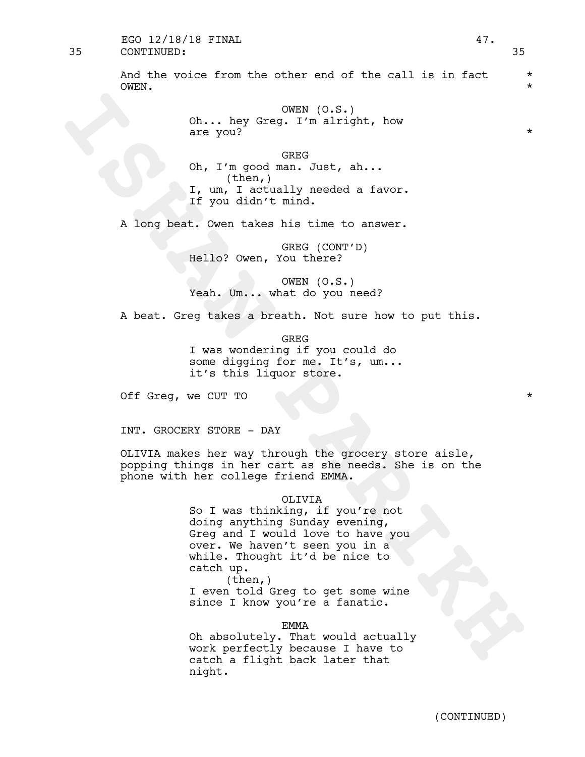# 35 CONTINUED: 35 EGO  $12/18/18$  FINAL  $47.$

And the voice from the other end of the call is in fact  $*$ OWEN. \*

> OWEN (O.S.) Oh... hey Greg. I'm alright, how are you?  $\star$

GREG Oh, I'm good man. Just, ah... (then,) I, um, I actually needed a favor. If you didn't mind.

A long beat. Owen takes his time to answer.

GREG (CONT'D) Hello? Owen, You there?

OWEN (O.S.) Yeah. Um... what do you need?

A beat. Greg takes a breath. Not sure how to put this.

GREG I was wondering if you could do some digging for me. It's, um... it's this liquor store.

Off Greq, we CUT TO  $\star$ 

INT. GROCERY STORE - DAY

OLIVIA makes her way through the grocery store aisle, popping things in her cart as she needs. She is on the phone with her college friend EMMA.

## OLIVIA

Company (c.s.)<br>
Oh... hey Greg: T'm alright, how<br>
are you?<br>
Oh, I'm good man. Just, ah...<br>
I, um, i actually needed a favor.<br>
I, um, i actually needed a favor.<br>
A long beat. Owen takes his time to answer.<br>
A long beat. Owe So I was thinking, if you're not doing anything Sunday evening,<br>Greg and I would love to have you over. We haven't seen you in a while. Thought it'd be nice to catch up.<br>(then,) I even told Greg to get some wine

since I know you're a fanatic.

EMMA

Oh absolutely. That would actually work perfectly because I have to catch a flight back later that night.

(CONTINUED)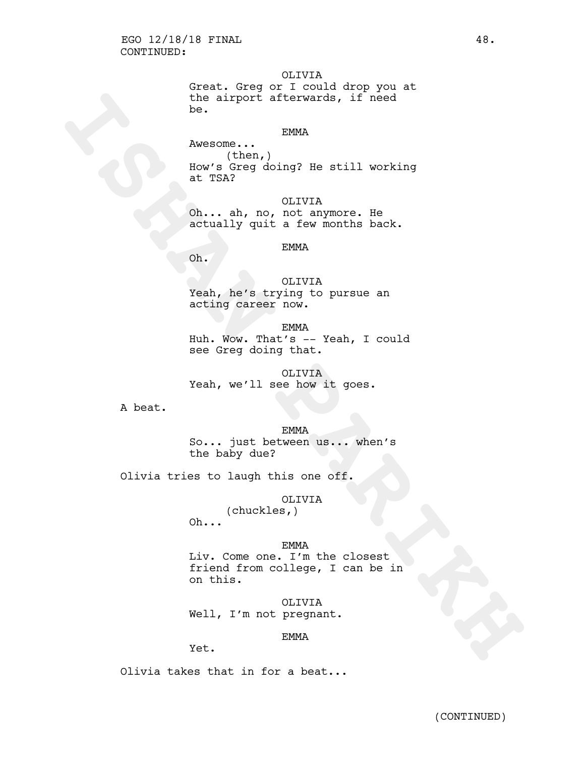OLIVIA

Great. Greg or I could drop you at the airport afterwards, if need be.

## EMMA

the airport afterwards, if need<br>
News (then,<br>
News (then,<br>
News Greg doing? He still working<br>
at TSAR<br>
(D. .. ah, no, for any more. He<br>
actually quit a new Armorthe back.<br>
SHAN Paris in the airport of the still<br>
(D. ..<br>
Th Awesome... (then,) How's Greg doing? He still working at TSA?

OLIVIA Oh... ah, no, not anymore. He actually quit a few months back.

## EMMA

Oh.

OLIVIA Yeah, he's trying to pursue an acting career now.

EMMA

Huh. Wow. That's -- Yeah, I could see Greg doing that.

# OLIVIA Yeah, we'll see how it goes.

A beat.

EMMA So... just between us... when's the baby due?

Olivia tries to laugh this one off.

# OLIVIA

(chuckles,) Oh...

## EMMA

Liv. Come one. I'm the closest friend from college, I can be in on this.

OLIVIA Well, I'm not pregnant.

## EMMA

Yet.

Olivia takes that in for a beat...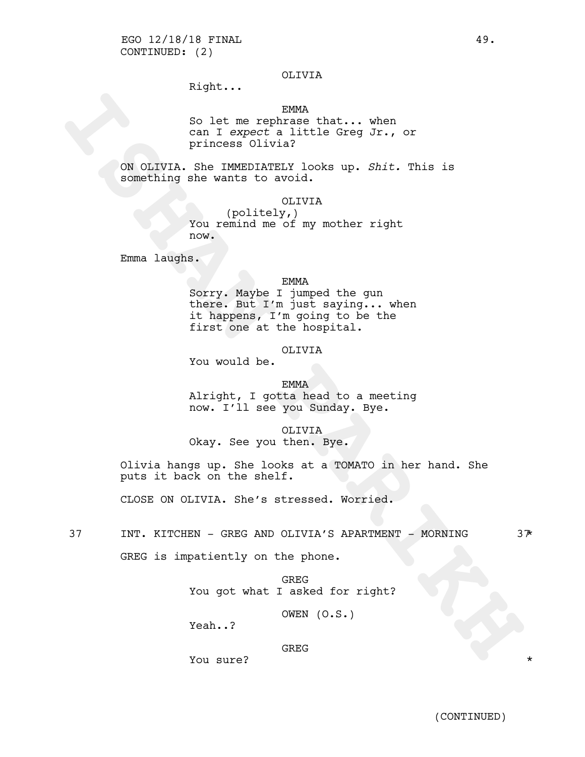# OLIVIA

Right...

# EMMA

So let me rephrase that... when can I *expect* a little Greg Jr., or princess Olivia?

ON OLIVIA. She IMMEDIATELY looks up. *Shit.* This is something she wants to avoid.

OLIVIA

(politely,) You remind me of my mother right now.

Emma laughs.

## EMMA

**ISHAN PARTICLE IS A SET AND AN INTERFERANCE OF A SET AND TRINGER OF A SOMETIME IN A SOMETHING THE SOMETHING AND THE SOMETHING WAS SOMETHING THE SOMETHING THE SOMETHING THE SOMETHING THE SURFACE INTERFERANCE INTERFERANCE I** Sorry. Maybe I jumped the gun there. But I'm just saying... when it happens, I'm going to be the first one at the hospital.

# OLIVIA

You would be.

## EMMA

Alright, I gotta head to a meeting now. I'll see you Sunday. Bye.

OLIVIA

Okay. See you then. Bye.

Olivia hangs up. She looks at a TOMATO in her hand. She puts it back on the shelf.

CLOSE ON OLIVIA. She's stressed. Worried.

37 INT. KITCHEN - GREG AND OLIVIA'S APARTMENT - MORNING  $3\frac{1}{\sqrt{2}}$ 

GREG is impatiently on the phone.

GREG You got what I asked for right?

OWEN (O.S.)

Yeah..?

GREG

You sure?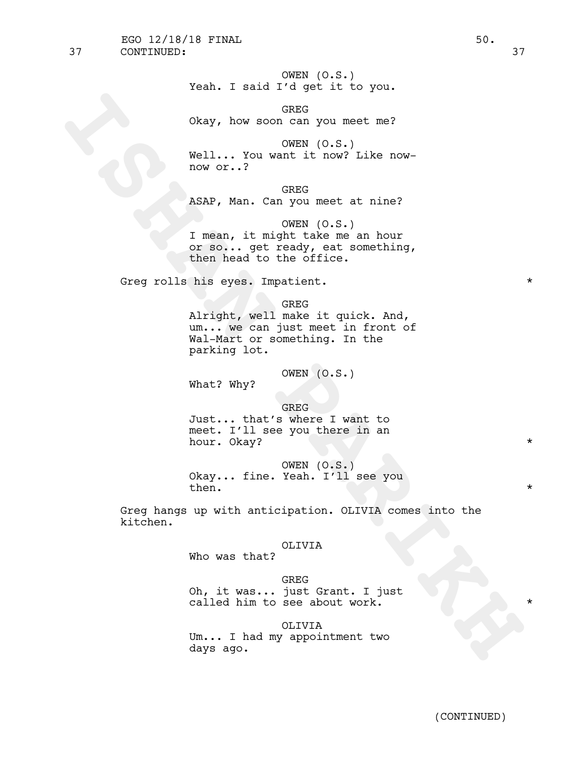(CONTINUED)

OWEN (O.S.) Yeah. I said I'd get it to you.

GREG Okay, how soon can you meet me?

OWEN (O.S.) Well... You want it now? Like nownow or..?

GREG ASAP, Man. Can you meet at nine?

OWEN (O.S.) I mean, it might take me an hour or so... get ready, eat something, then head to the office.

Greg rolls his eyes. Impatient.

GREG

Okay, how soon can you meet me?<br>
Well... You want it now? Like now-<br>
Well... You want it now? Like now-<br>
MeXRP, Man. Can you meet a niner<br>
MEXRP, Man. Can you meet a niner<br>
ONE of the source of the sole<br>
or mo... quark tha Alright, well make it quick. And, um... we can just meet in front of Wal-Mart or something. In the parking lot.

OWEN (O.S.)

What? Why?

GREG Just... that's where I want to meet. I'll see you there in an hour. 0kay?  $*$ 

OWEN (O.S.) Okay... fine. Yeah. I'll see you then.  $\star$ 

Greg hangs up with anticipation. OLIVIA comes into the kitchen.

## OLIVIA

Who was that?

## GREG

Oh, it was... just Grant. I just called him to see about work.

## OLIVIA

Um... I had my appointment two days ago.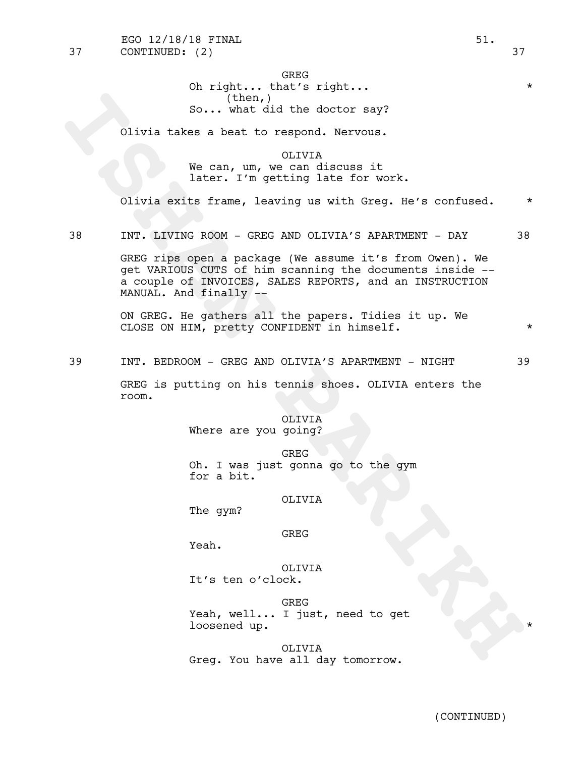(CONTINUED)

GREG Oh right... that's right... \*

(then,) So... what did the doctor say?

Olivia takes a beat to respond. Nervous.

OLIVIA We can, um, we can discuss it later. I'm getting late for work.

Olivia exits frame, leaving us with Greg. He's confused. \*

38 INT. LIVING ROOM - GREG AND OLIVIA'S APARTMENT - DAY 38

So... What did the doctor eay?<br>
Clivia takes a beat to respond. Nervous.<br>
We can, um, we can discuss it<br>
later. I'm getting late for work.<br>
Olivia exits frame, leaving us with Greg. He's confused.<br> **INT:** LIVING ROOM - GRE GREG rips open a package (We assume it's from Owen). We get VARIOUS CUTS of him scanning the documents inside - a couple of INVOICES, SALES REPORTS, and an INSTRUCTION MANUAL. And finally --

ON GREG. He gathers all the papers. Tidies it up. We CLOSE ON HIM, pretty CONFIDENT in himself.  $*$ 

39 INT. BEDROOM - GREG AND OLIVIA'S APARTMENT - NIGHT 39

GREG is putting on his tennis shoes. OLIVIA enters the room.

# OLIVIA

Where are you going?

GREG Oh. I was just gonna go to the gym for a bit.

## OLIVIA

The gym?

## GREG

Yeah.

OLIVIA It's ten o'clock.

GREG Yeah, well... I just, need to get loosened up.

OLIVIA Greg. You have all day tomorrow.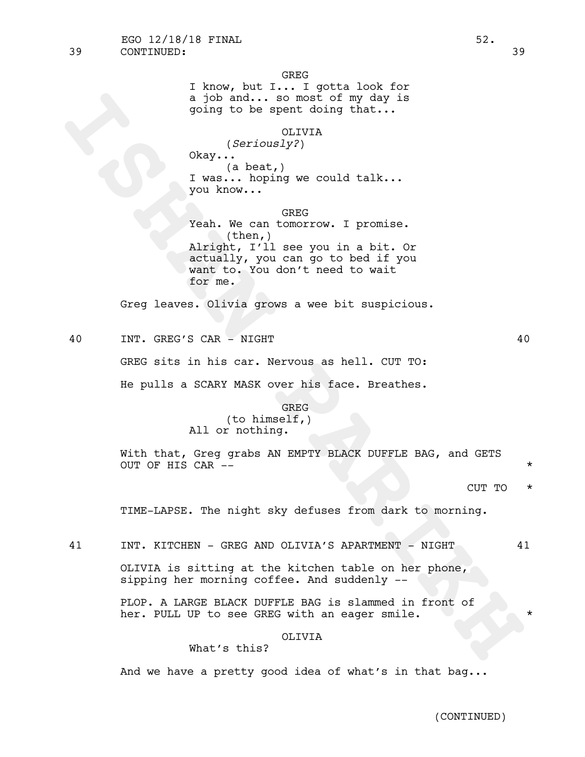I know, but I... I gotta look for a job and... so most of my day is going to be spent doing that...

GREG

# OLIVIA

(*Seriously?*)

Okay... (a beat,) I was... hoping we could talk... you know...

**ISHAN The Solution of the second of the second of the second of the second of the second of the second of the second of the second of the second of the second of the second of the second of the second of the second of the** GREG Yeah. We can tomorrow. I promise. (then,) Alright, I'll see you in a bit. Or actually, you can go to bed if you want to. You don't need to wait for me.

Greg leaves. Olivia grows a wee bit suspicious.

40 INT. GREG'S CAR - NIGHT 40

GREG sits in his car. Nervous as hell. CUT TO:

He pulls a SCARY MASK over his face. Breathes.

## GREG

(to himself,) All or nothing.

With that, Greg grabs AN EMPTY BLACK DUFFLE BAG, and GETS OUT OF HIS CAR --

 $C$ UT TO  $\star$ 

TIME-LAPSE. The night sky defuses from dark to morning.

41 INT. KITCHEN - GREG AND OLIVIA'S APARTMENT - NIGHT 41

OLIVIA is sitting at the kitchen table on her phone, sipping her morning coffee. And suddenly --

PLOP. A LARGE BLACK DUFFLE BAG is slammed in front of her. PULL UP to see GREG with an eager smile.

# OLIVIA

What's this?

And we have a pretty good idea of what's in that bag...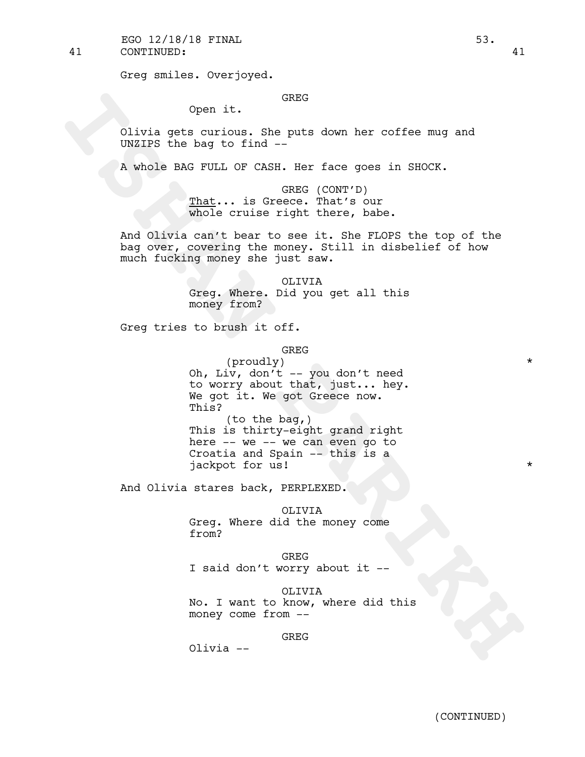41 CONTINUED: 41  $EGO$  12/18/18 FINAL  $53.$ 

Greg smiles. Overjoyed.

# GREG

Open it.

Olivia gets curious. She puts down her coffee mug and UNZIPS the bag to find --

A whole BAG FULL OF CASH. Her face goes in SHOCK.

GREG (CONT'D) That... is Greece. That's our whole cruise right there, babe.

And Olivia can't bear to see it. She FLOPS the top of the bag over, covering the money. Still in disbelief of how much fucking money she just saw.

> OLIVIA Greg. Where. Did you get all this money from?

Greg tries to brush it off.

GREG

open it. GREG<br>
olivia gets curious. She puts down her coffee mug and<br>
olivia gets of ind -<br>
A whole RMS vind - CASH. Her face goes in SHOCK.<br>
<u>That</u>... is Orgets. That's our CASH.<br>  $\frac{m_1m_2}{m_1m_2}$  is expected that ther (proudly) \* Oh, Liv, don't -- you don't need to worry about that, just... hey. We got it. We got Greece now. This? (to the bag,) This is thirty-eight grand right here -- we -- we can even go to Croatia and Spain -- this is a jackpot for us!

And Olivia stares back, PERPLEXED.

OLIVIA

Greg. Where did the money come from?

GREG I said don't worry about it --

OLIVIA No. I want to know, where did this money come from --

GREG

Olivia --

(CONTINUED)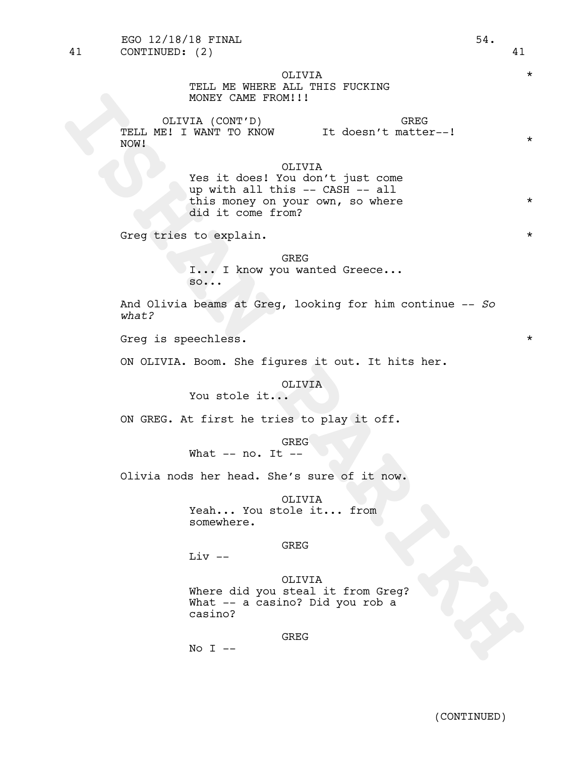**ISHAN PARIKH** OLIVIA \* TELL ME WHERE ALL THIS FUCKING MONEY CAME FROM!!! OLIVIA (CONT'D) \* TELL ME! I WANT TO KNOW \* NOW! GREG It doesn't matter--! \* OLIVIA Yes it does! You don't just come up with all this -- CASH -- all this money on your own, so where \* did it come from? Greg tries to explain. \* GREG I... I know you wanted Greece... so... And Olivia beams at Greg, looking for him continue -- *So what?* Greg is speechless. \* ON OLIVIA. Boom. She figures it out. It hits her. OLIVIA You stole it... ON GREG. At first he tries to play it off. GREG What -- no. It -- Olivia nods her head. She's sure of it now. OLIVIA Yeah... You stole it... from somewhere. GREG Liv -- OLIVIA Where did you steal it from Greg? What -- a casino? Did you rob a casino? GREG 41 CONTINUED: (2) 41

 $No I --$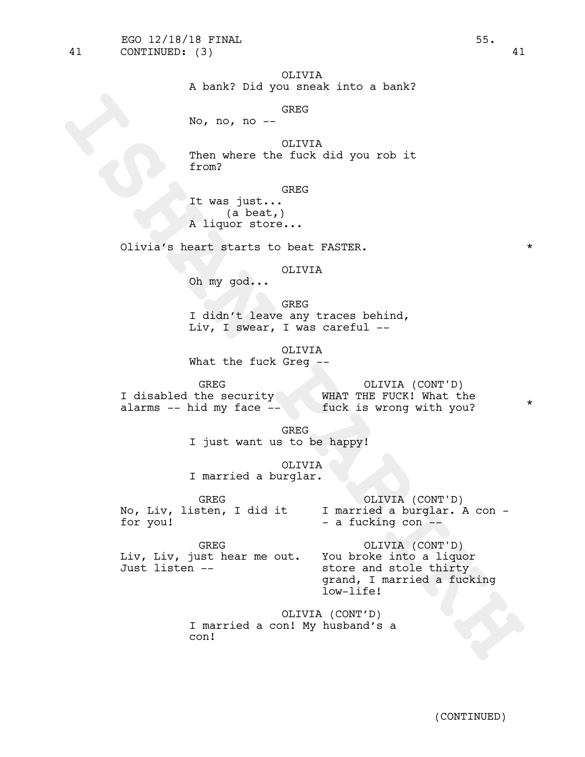41 CONTINUED: (3) 41

# OLIVIA

A bank? Did you sneak into a bank?

# GREG

No, no, no --

OLIVIA Then where the fuck did you rob it from?

GREG

It was just... (a beat,) A liquor store...

Olivia's heart starts to beat FASTER. \*

# OLIVIA

Oh my god...

GREG I didn't leave any traces behind, Liv, I swear, I was careful --

OLIVIA What the fuck Greg --

GREG<br>I disabled the security

I disabled the security \* WHAT THE FUCK! What the fuck is wrong with you? \* alarms -- hid my face -- tuck is wrong with you? OLIVIA (CONT'D) \*

GREG I just want us to be happy!

OLIVIA I married a burglar.

GREG for you!

No, Liv, listen, I did it \* <sup>I</sup> married <sup>a</sup> burglar. <sup>A</sup> con - - <sup>a</sup> fucking con -- OLIVIA (CONT'D) \*

GREG Liv, Liv, just hear me out. \* You broke into <sup>a</sup> liquor store and stole thirty Just listen -- \*

No, no, no - <sup>GREG</sup><br>
Then where the fuck did you rob it<br>
Then where the fuck did you rob it<br>
IT was just...<br>
It was just...<br>
Divis's hard at attack obeat FASTER.<br>
Olivia's hard at attack did you.<br>
Then the search of the se OLIVIA (CONT'D) \* grand, I married a fucking low-life!

OLIVIA (CONT'D) I married a con! My husband's a con!

(CONTINUED)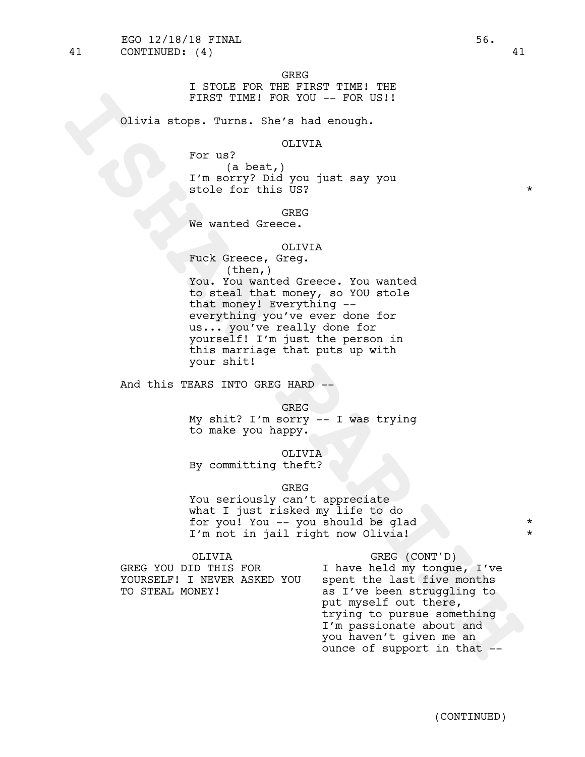GREG

I STOLE FOR THE FIRST TIME! THE FIRST TIME! FOR YOU -- FOR US!!

Olivia stops. Turns. She's had enough.

## OLIVIA

For us? (a beat,) I'm sorry? Did you just say you stole for this US?  $*$ 

**GREG** 

We wanted Greece.

## OLIVIA

FIRST TIME! FOR YOU -- FOR US!!<br>
Olivia stops. Turns. She's had enough,<br>
For us?<br>
Insorry? Did you just say you<br>
The social you just say you<br>
The social of the content<br>
The social state of the base. You wanted<br>
the roomey Fuck Greece, Greg. (then,) You. You wanted Greece. You wanted to steal that money, so YOU stole that money! Everything - everything you've ever done for us... you've really done for yourself! I'm just the person in this marriage that puts up with your shit!

And this TEARS INTO GREG HARD --

GREG

My shit? I'm sorry -- I was trying to make you happy.

OLIVIA

By committing theft?

GREG

You seriously can't appreciate what I just risked my life to do for you! You -- you should be glad \* I'm not in jail right now Olivia!

GREG YOU DID THIS FOR I have held my tongue, I've<br>YOURSELF! I NEVER ASKED YOU spent the last five months YOURSELF! I NEVER ASKED YOU TO STEAL MONEY! as I've been struggling to

OLIVIA GREG (CONT'D) GREG (CONT'D)<br>I have held my tongue, I've<br>spent the last five months<br>as I've been struggling to<br>put myself out there, trying to pursue something I'm passionate about and you haven't given me an \* ounce of support in that  $-$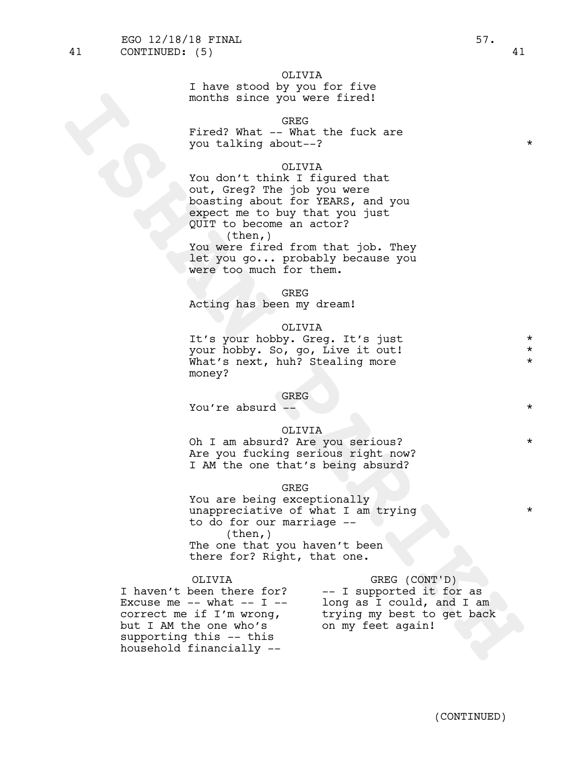## OLIVIA

I have stood by you for five months since you were fired!

# GREG

Fired? What -- What the fuck are you talking about--? \*

## OLIVIA

months since you were fired!<br>
Firad? What  $-\frac{0.580}{1000}$ <br>
Firad? What  $-\frac{0.580}{1000}$ <br>
You talking shout -?<br>
Tought this I figured that<br>
you take you that if ignore and you<br>
becausing should for finals.<br>
Separation and You don't think I figured that out, Greg? The job you were boasting about for YEARS, and you expect me to buy that you just QUIT to become an actor?  $(then, )$ You were fired from that job. They GREENGER: (5)<br>
I have stood by you for five<br>
Fired? What  $-300$ <br>
Fired? What  $-300$ <br>
For a summer that  $-300$ <br>
out,  $-300$ <br>
out,  $-300$ <br>
expect to get back on my trial you just<br>
spaceting mount of the strip my feet again y

let you go... probably because you were too much for them.

#### GREG

Acting has been my dream!

#### OLIVIA

It's your hobby. Greq. It's just your hobby. So, go, Live it out! \* What's next, huh? Stealing more money?

## GREG

You're absurd --  $\star$ 

## OLIVIA

Oh I am absurd? Are you serious? \* Are you fucking serious right now? I AM the one that's being absurd?

# GREG

You are being exceptionally unappreciative of what I am trying to do for our marriage -- (then,) The one that you haven't been there for? Right, that one.

Excuse me  $--$  what  $--$  I  $--$  long as I could, and I am but I AM the one who's on my feet again! supporting this -- this household financially -- \*

OLIVIA GREG (CONT'D) I haven't been there for? -- I supported it for as correct me if I'm wrong, trying my best to get back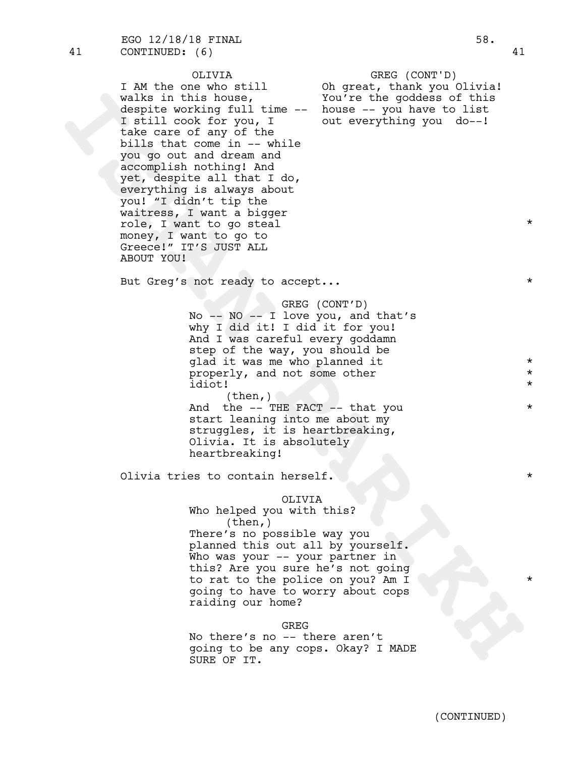wake in this house,<br>
wake in this chose of this<br>
despite working full time - house -- you have to list<br>
1 still contour, I out everything you do--1<br>
is the case of the state of any of the<br>
you do--1<br>
you do--1<br>
you do--1<br> OLIVIA \* I AM the one who still  $\qquad$  Oh great, thank you Olivia! walks in this house,  $\frac{1}{100}$  You're the goddess of this despite working full time  $--$  house  $--$  you have to list I still cook for you, I wout everything you do--! take care of any of the bills that come in  $-$ - while you go out and dream and \* accomplish nothing! And \* yet, despite all that I do, \* everything is always about \* you! "I didn't tip the \* waitress, I want a bigger role, I want to go steal \* money, I want to go to Greece!" IT'S JUST ALL ABOUT YOU! GREG (CONT'D)<br>Oh great, thank you Olivia!<br>You're the goddess of this<br>house -- you have to list<br>out everything you do--! But Greq's not ready to accept...  $\star$ GREG (CONT'D) No -- NO -- I love you, and that's why I did it! I did it for you! And I was careful every goddamn step of the way, you should be glad it was me who planned it  $*$ properly, and not some other  $*$ idiot! \*  $(then, )$ And the  $--$  THE FACT  $--$  that you  $*$ start leaning into me about my struggles, it is heartbreaking,<br>Olivia. It is absolutely heartbreaking! Olivia tries to contain herself. \* OLIVIA Who helped you with this? (then,) There's no possible way you planned this out all by yourself. Who was your -- your partner in this? Are you sure he's not going to rat to the police on you? Am I \* going to have to worry about cops raiding our home? GREG No there's no -- there aren't 41 CONTINUED: (6) 41 EGO 12/18/18 FINAL 58.

going to be any cops. Okay? I MADE SURE OF IT.

(CONTINUED)

\*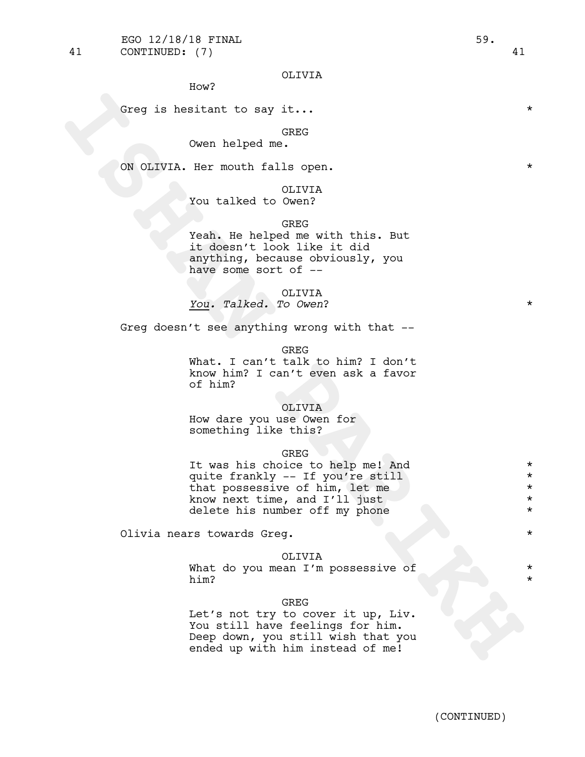How?

Greq is hesitant to say it...  $\star$ 

GREG

Owen helped me.

ON OLIVIA. Her mouth falls open.

# OLIVIA

You talked to Owen?

# GREG

Yeah. He helped me with this. But it doesn't look like it did anything, because obviously, you have some sort of --

## OLIVIA

*You. Talked. To Owen*? \*

Greg doesn't see anything wrong with that --

GREG

What. I can't talk to him? I don't know him? I can't even ask a favor of him?

## OLIVIA

How dare you use Owen for something like this?

## GREG

Greg is hesitant to say it...<br>
Owen helped me.<br>
ON OLIVIA. Her mouth falls open.<br>
You talked to OLIVIA<br>
Tou talked to OLIVIA<br>
The helped me with this. But<br>  $\frac{1}{2}$  weak .<br>
It doenn't look like it did<br>
anything, because o It was his choice to help me! And \* quite frankly -- If you're still \* that possessive of him, let me  $*$ <br>know next time, and I'll just  $*$ know next time, and I'll just \* delete his number off my phone  $*$ 

Olivia nears towards Greg. \*

## OLIVIA

What do you mean I'm possessive of \* him? \*

#### GREG

Let's not try to cover it up, Liv. You still have feelings for him. Deep down, you still wish that you ended up with him instead of me!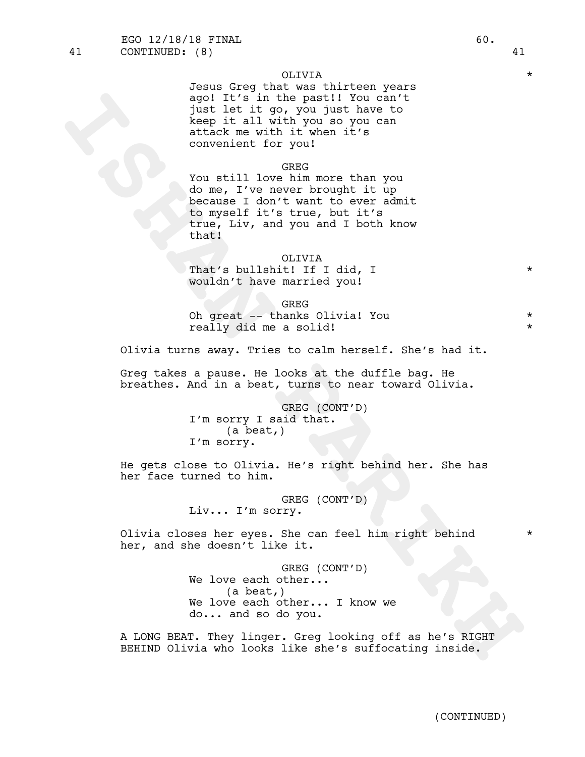Jesus Greg that was thirteen years ago! It's in the past!! You can't just let it go, you just have to keep it all with you so you can attack me with it when it's convenient for you!

## GREG

spoil it's in the past!! You can't!<br>
Note that the spoil and the spoil and the spoil and it wish it went to a<br>
series of the spin investment for your can<br>
convenient for you is a<br>
convenient for you is a<br>
convenient for yo You still love him more than you do me, I've never brought it up because I don't want to ever admit to myself it's true, but it's true, Liv, and you and I both know that!

## OLIVIA

That's bullshit! If I did, I \* wouldn't have married you!

GREG

Oh great -- thanks Olivia! You \* really did me a solid!

Olivia turns away. Tries to calm herself. She's had it.

Greg takes a pause. He looks at the duffle bag. He breathes. And in a beat, turns to near toward Olivia.

> GREG (CONT'D) I'm sorry <sup>I</sup> said that. (a beat,) I'm sorry.

He gets close to Olivia. He's right behind her. She has her face turned to him.

> GREG (CONT'D) Liv... I'm sorry.

Olivia closes her eyes. She can feel him right behind \* her, and she doesn't like it.

> GREG (CONT'D) We love each other... (a beat,) We love each other... I know we do... and so do you.

A LONG BEAT. They linger. Greg looking off as he's RIGHT BEHIND Olivia who looks like she's suffocating inside.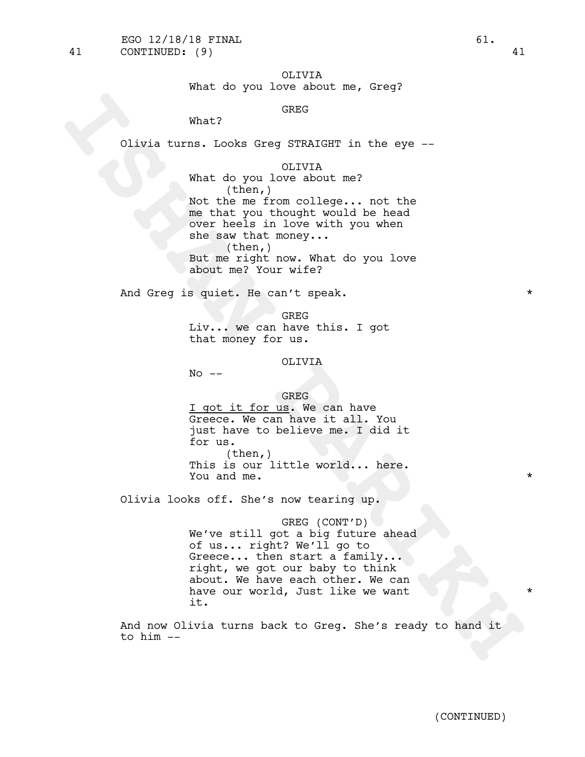OLIVIA

What do you love about me, Greq?

# GREG

What?

Olivia turns. Looks Greg STRAIGHT in the eye --

```
OLIVIA
```
What? GREAT<br>
Clivia turns. Looks Greg STRATGHT in the eye —<br>
Mat do you love about me?<br>
Not time incorporation and the mean of them also made in the mean of the mean of the same that is a<br>
such that more in your when<br>
such What do you love about me? (then,) Not the me from college... not the me that you thought would be head over heels in love with you when she saw that money... (then,) But me right now. What do you love about me? Your wife?

And Greq is quiet. He can't speak. \* \* \* \* \*

GREG Liv... we can have this. I got that money for us.

OLIVIA

 $No$   $--$ 

## GREG

I got it for us. We can have Greece. We can have it all. You just have to believe me. I did it for us. (then,) This is our little world... here.<br>You and me. \*

Olivia looks off. She's now tearing up.

GREG (CONT'D) We've still got a big future ahead of us... right? We'll go to Greece... then start a family...<br>right, we got our baby to think about. We have each other. We can have our world, Just like we want it.

And now Olivia turns back to Greg. She's ready to hand it to him --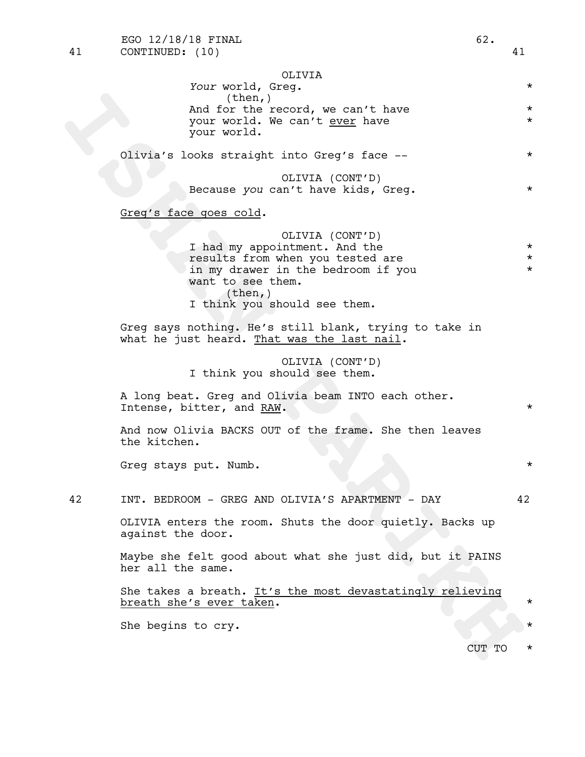(then,)<br>
Yand for the record, we can't have<br>
your world. We can't <u>wee</u> have<br>
your world.<br>
Olivia's looks straight into Greg's face --<br>
Olivia's looks straight into Greg's face --<br>
Olivia's looks straight into Greg's face Olivia's looks straight into Greg's face -- \* \* OLIVIA (CONT'D) Because *you* can't have kids, Greq. Greg's face goes cold. OLIVIA (CONT'D) I had my appointment. And the  $*$ results from when you tested are  $*$ in my drawer in the bedroom if you  $*$ want to see them. (then,) I think you should see them. Greg says nothing. He's still blank, trying to take in what he just heard. That was the last nail. OLIVIA (CONT'D) I think you should see them. A long beat. Greg and Olivia beam INTO each other.<br>Intense, bitter, and RAW. And now Olivia BACKS OUT of the frame. She then leaves the kitchen. Greq stays put. Numb.  $\star$ 

OLIVIA

(then,)

your world.

*Your* world, Greg. \*

And for the record, we can't have  $*$ your world. We can't <u>ever</u> have \*

42 INT. BEDROOM - GREG AND OLIVIA'S APARTMENT - DAY 42

OLIVIA enters the room. Shuts the door quietly. Backs up against the door.

Maybe she felt good about what she just did, but it PAINS her all the same.

She takes a breath. It's the most devastatingly relieving breath she's ever taken.  $\star$ 

She begins to cry.

CUT TO \*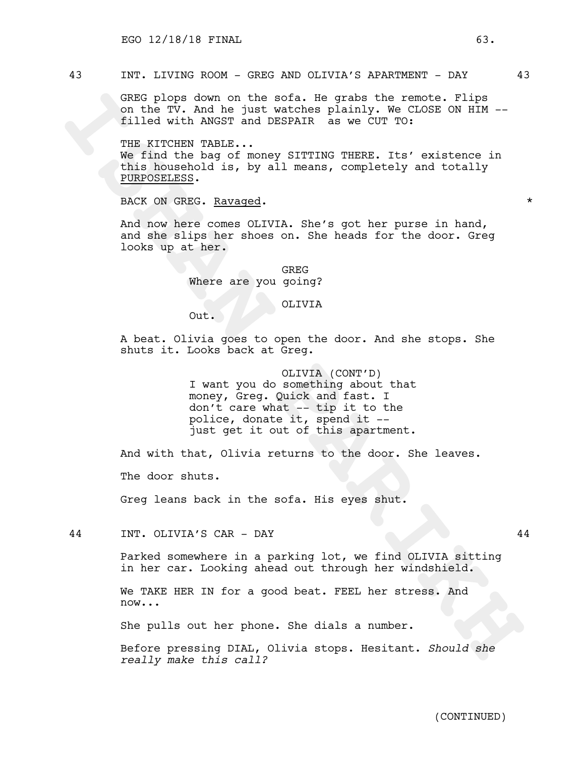# 43 INT. LIVING ROOM - GREG AND OLIVIA'S APARTMENT - DAY 43

GREG plops down on the sofa. He grabs the remote. Flips on the TV. And he just watches plainly. We CLOSE ON HIM - filled with ANGST and DESPAIR as we CUT TO:

GREO plops down on the sofa. He grabs the seconds on the TV. And he just watches plainly, we close on unit<br>illed with ANGST and DESPAIR as we CUT TO:<br>THE KITCHEN PARIES.<br>We find the bag of money SITTING THERE. Its' existen THE KITCHEN TABLE... We find the bag of money SITTING THERE. Its' existence in this household is, by all means, completely and totally PURPOSELESS.

BACK ON GREG. Ravaged.  $\star$ 

And now here comes OLIVIA. She's got her purse in hand, and she slips her shoes on. She heads for the door. Greg looks up at her.

> GREG Where are you going?

# OLIVIA

Out.

A beat. Olivia goes to open the door. And she stops. She shuts it. Looks back at Greg.

> OLIVIA (CONT'D) I want you do something about that money, Greg. Quick and fast. I don't care what -- tip it to the<br>police, donate it, spend it -just get it out of this apartment.

And with that, Olivia returns to the door. She leaves.

The door shuts.

Greg leans back in the sofa. His eyes shut.

44 INT. OLIVIA'S CAR - DAY 44

Parked somewhere in a parking lot, we find OLIVIA sitting in her car. Looking ahead out through her windshield.

We TAKE HER IN for a good beat. FEEL her stress. And now...

She pulls out her phone. She dials a number.

Before pressing DIAL, Olivia stops. Hesitant. *Should she really make this call?*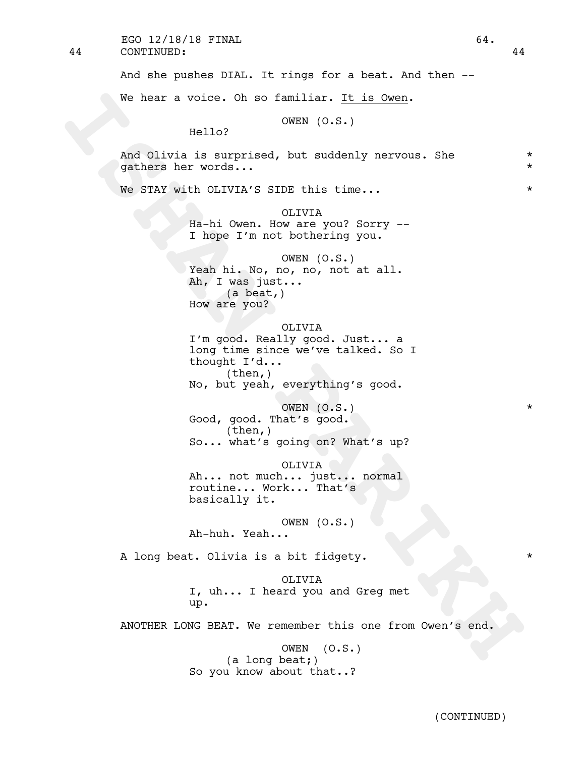44 CONTINUED: 44 EGO 12/18/18 FINAL 64.

And she pushes DIAL. It rings for a beat. And then --

We hear a voice. Oh so familiar. It is Owen.

OWEN (O.S.)

Hello?

And Olivia is surprised, but suddenly nervous. She  $*$ gathers her words... \*

We STAY with OLIVIA'S SIDE this time...  $\star$ 

OLIVIA Ha-hi Owen. How are you? Sorry -- I hope I'm not bothering you.

We hear a voice. On so familiar, <u>It is over</u>,<br>
Hello? (97EN (0.5.)<br>
And Ollivia is surprised, but suddenly nervous. She<br>
gathers her words...<br>
We sTAY with OLVIX'S SIDE this time...<br>
We sTAY with OLVIX'S SIDE this time... OWEN (O.S.) Yeah hi. No, no, no, not at all. Ah, I was just... (a beat,) How are you?

OLIVIA

I'm good. Really good. Just... a long time since we've talked. So I thought I'd... (then,)

No, but yeah, everything's good.

OWEN  $(0. S.)$  \* Good, good. That's good.<br>(then,) So... what's going on? What's up?

OLIVIA Ah... not much... just... normal routine... Work... That's basically it.

OWEN (O.S.) Ah-huh. Yeah...

A long beat. Olivia is a bit fidgety. \*

OLIVIA I, uh... I heard you and Greg met up.

ANOTHER LONG BEAT. We remember this one from Owen's end.

OWEN (O.S.) (a long beat;) So you know about that..?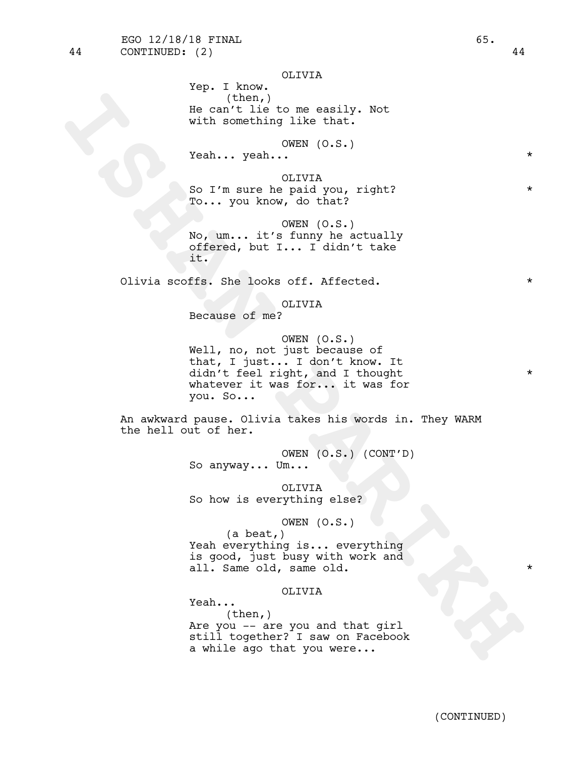Yep. I know. (then,) He can't lie to me easily. Not with something like that.

OWEN (O.S.)

Yeah... yeah... \*

OLIVIA So I'm sure he paid you, right? To... you know, do that?

OWEN (O.S.) No, um... it's funny he actually offered, but I... I didn't take it.

Olivia scoffs. She looks off. Affected. \*

# OLIVIA

Because of me?

**ICANT**<br> **ISHAN PARTIME TO THE CALL INTEREST IN THE CANADON DURING DESCRIPTION (5.5.)<br>
Yeah... yeah... ICANT (5.5.)<br>
Yeah... yeah... ICANT (5.5.)<br>
<b>ISBAN PARTIME PARTIME PARTIME PARTIME PARTIME PARTIME PARTIME PARTIME PART** OWEN (O.S.) Well, no, not just because of that, I just... I don't know. It didn't feel right, and I thought \* whatever it was for... it was for you. So...

An awkward pause. Olivia takes his words in. They WARM the hell out of her.

> OWEN (O.S.) (CONT'D) So anyway... Um...

OLIVIA So how is everything else?

## OWEN (O.S.)

(a beat,) Yeah everything is... everything is good, just busy with work and all. Same old, same old.

# OLIVIA

Yeah... (then,) Are you -- are you and that girl still together? I saw on Facebook a while ago that you were...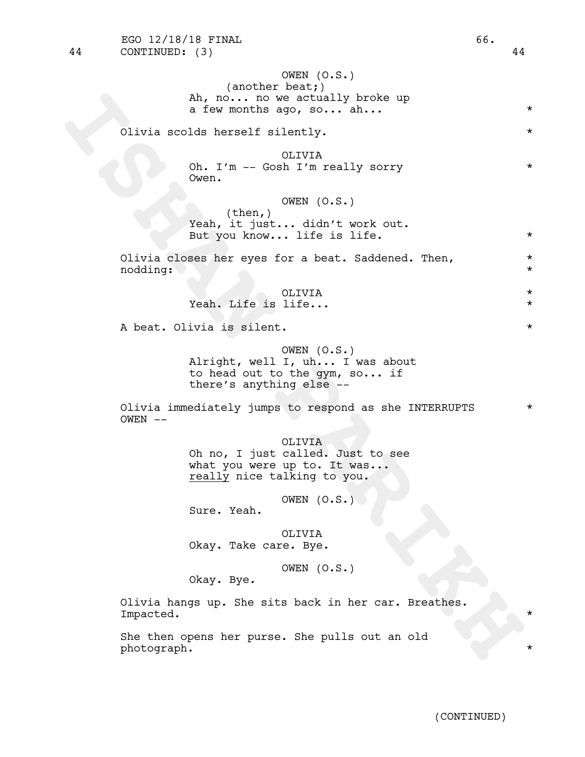```
Ah, no... no we actually broke up<br>
a few months ago, so... ah...<br>
clivia scolas herself silently.<br>
Oh. I'm - Gosh I'm really sorry<br>
Owen.<br>
(then,) OFFUR (0.5.)<br>
Yeah, it just... didn't work out.<br>
But you know... life is li
                                OWEN (O.S.)
                       (another beat;)
                  Ah, no... no we actually broke up
                  a few months ago, so... ah...
        Olivia scolds herself silently. *
                                OLIVIA
                  Oh. I'm -- Gosh I'm really sorry *
                  Owen.
                                OWEN (O.S.)
                       (then,)
                  Yeah, it just... didn't work out.
                  But you know... life is life. *Olivia closes her eyes for a beat. Saddened. Then, *nodding: *
                                OLIVIA *
                  Yeah. Life is life... \starA beat. Olivia is silent. \starOWEN (O.S.)
                  Alright, well I, uh... I was about
                  to head out to the gym, so... if
                  there's anything else --
        Olivia immediately jumps to respond as she INTERRUPTS *
        OWEN --OLIVIA
                  Oh no, I just called. Just to see
                  what you were up to. It was...<br>really nice talking to you.
                                OWEN (O.S.)
                  Sure. Yeah.
                               OLIVIA
                  Okay. Take care. Bye.
                                OWEN (O.S.)
                  Okay. Bye.
        Olivia hangs up. She sits back in her car. Breathes.
        Impacted. *
        She then opens her purse. She pulls out an old
        photograph. *
```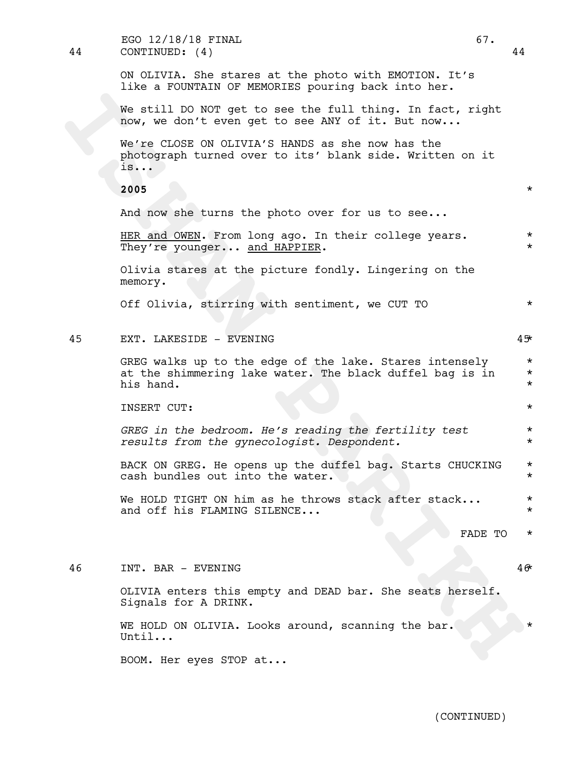We still bo NOT get to see the full thing. In fact, right<br>now, we don't every donget to see ARY of it. But now.<br>Neverto COOS ON OLIVIA'S HANDS as she now has the<br>photograph turned over to its' blank side. Written on it<br>is. ON OLIVIA. She stares at the photo with EMOTION. It's like a FOUNTAIN OF MEMORIES pouring back into her. We still DO NOT get to see the full thing. In fact, right now, we don't even get to see ANY of it. But now... We're CLOSE ON OLIVIA'S HANDS as she now has the photograph turned over to its' blank side. Written on it is... **2005** \* And now she turns the photo over for us to see... HER and OWEN. From long ago. In their college years.  $*$ They're younger... and HAPPIER. Olivia stares at the picture fondly. Lingering on the memory. Off Olivia, stirring with sentiment, we CUT TO  $*$ 45 EXT. LAKESIDE - EVENING 45\* GREG walks up to the edge of the lake. Stares intensely  $*$ at the shimmering lake water. The black duffel bag is in  $*$ his hand.  $\star$ INSERT CUT: \* *GREG in the bedroom. He's reading the fertility test* \* *results from the gynecologist. Despondent.* \* BACK ON GREG. He opens up the duffel bag. Starts CHUCKING \* cash bundles out into the water.  $\star$ We HOLD TIGHT ON him as he throws stack after stack...  $*$ and off his FLAMING SILENCE... FADE TO \* 46 INT. BAR - EVENING 46\* OLIVIA enters this empty and DEAD bar. She seats herself. Signals for A DRINK. WE HOLD ON OLIVIA. Looks around, scanning the bar. Until... 44 CONTINUED: (4) 44 EGO 12/18/18 FINAL 67.

BOOM. Her eyes STOP at...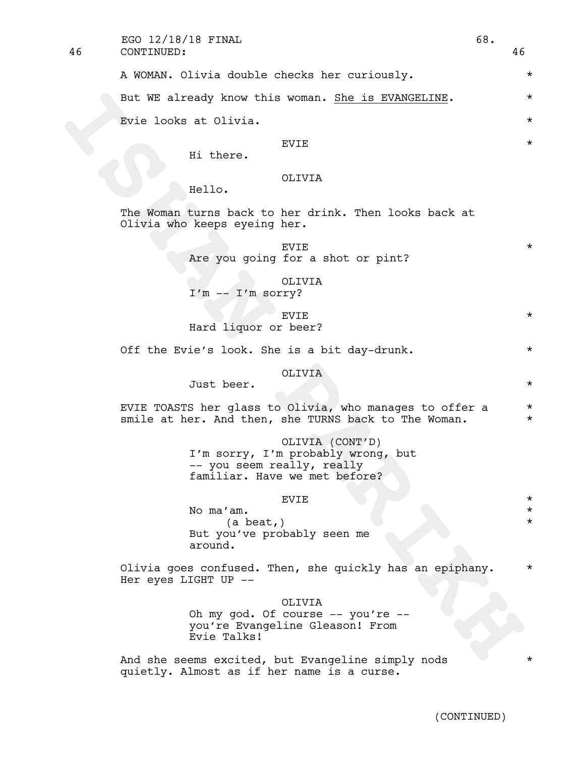46 CONTINUED: 46  $EGO$  12/18/18 FINAL 68.

A WOMAN. Olivia double checks her curiously. \*

But WE already know this woman. <u>She is BVANGEITNE</u>.<br>
Evic looks at Olivia.<br>
IS there.<br>
IS the WEST INTER SOLUTE SUITS SUITS And the New York of the Solution of the Solution of the Solution of the Solution of the Solution But WE already know this woman. She is EVANGELINE.  $*$ Evie looks at Olivia.  $\star$ 

# $EVIE$   $\star$

Hi there.

# OLIVIA

Hello.

The Woman turns back to her drink. Then looks back at Olivia who keeps eyeing her.

- $EVIE$   $\star$ Are you going for a shot or pint?
	- OLIVIA

I'm -- I'm sorry?

 $EVIE$   $\star$ Hard liquor or beer?

Off the Evie's look. She is a bit day-drunk.  $*$ 

## OLIVIA

Just beer. \*

EVIE TOASTS her glass to Olivia, who manages to offer a \* smile at her. And then, she TURNS back to The Woman.  $*$ 

OLIVIA (CONT'D)

I'm sorry, I'm probably wrong, but<br>-- you seem really, really familiar. Have we met before?

# EVIE  $\qquad \qquad \star$

No ma'am. \* (a beat,) \* But you've probably seen me around.

Olivia goes confused. Then, she quickly has an epiphany. \* Her eyes LIGHT UP --

OLIVIA

Oh my god. Of course -- you're - you're Evangeline Gleason! From Evie Talks!

And she seems excited, but Evangeline simply nods quietly. Almost as if her name is a curse.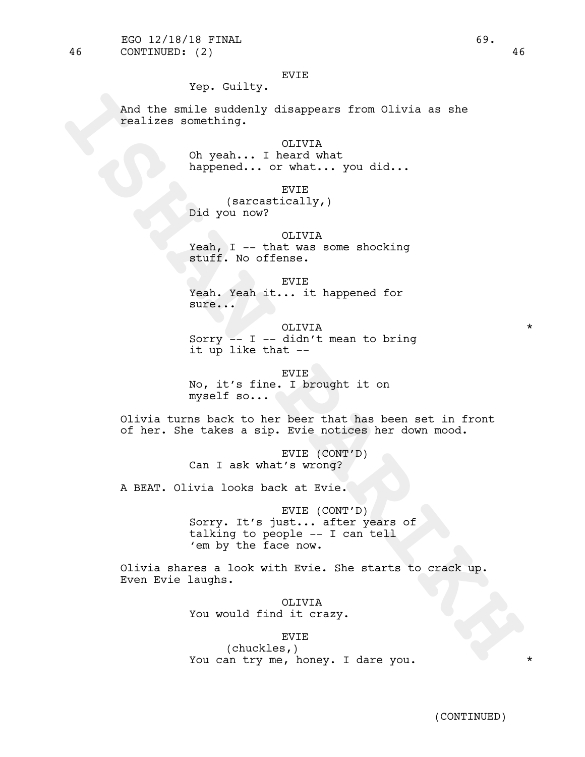# EVIE

# Yep. Guilty.

And the smile suddenly disappears from Olivia as she realizes something.

> OLIVIA Oh yeah... I heard what happened... or what... you did...

EVIE (sarcastically,) Did you now?

## OLIVIA

Yeah, I -- that was some shocking stuff. No offense.

EVIE

Yeah. Yeah it... it happened for sure...

OLIVIA \* Sorry  $-$  I  $-$  didn't mean to bring it up like that --

EVIE No, it's fine. I brought it on myself so...

Olivia turns back to her beer that has been set in front of her. She takes a sip. Evie notices her down mood.

> EVIE (CONT'D) Can I ask what's wrong?

A BEAT. Olivia looks back at Evie.

And the smile auddenly disappears from Glivia as she<br> **ISHAN PARIKHAN Disappears from Glivia**<br> **ISHAN PARIKHAN PART ARE WITH AND MORE START AND MORE START (SACCACLORITY)**<br> **ISHAN PART ARE START AND START AND START AND STAR** EVIE (CONT'D) Sorry. It's just... after years of talking to people -- <sup>I</sup> can tell 'em by the face now.

Olivia shares <sup>a</sup> look with Evie. She starts to crack up. Even Evie laughs.

OLIVIA You would find it crazy.

## EVIE

(chuckles,) You can try me, honey. I dare you.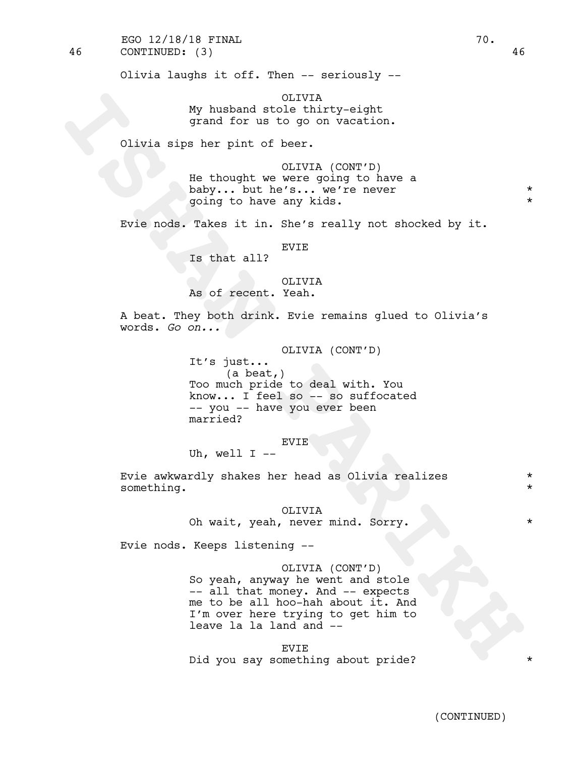46 CONTINUED: (3) 46 EGO  $12/18/18$  FINAL 70.

Olivia laughs it off. Then -- seriously --

OLIVIA My husband stole thirty-eight grand for us to go on vacation.

Olivia sips her pint of beer.

OLIVIA (CONT'D) He thought we were going to have a baby... but he's... we're never \* going to have any kids. \*

Evie nods. Takes it in. She's really not shocked by it.

EVIE

Is that all?

# OLIVIA As of recent. Yeah.

A beat. They both drink. Evie remains glued to Olivia's words. *Go on...*

> OLIVIA (CONT'D) It's just... (a beat,) Too much pride to deal with. You

know... <sup>I</sup> feel so -- so suffocated -- you -- have you ever been married?

EVIE Uh, well  $I$  --

Evie awkwardly shakes her head as Olivia realizes \* something.

> OLIVIA Oh wait, yeah, never mind. Sorry. \* \* \* \*

Evie nods. Keeps listening --

# OLIVIA (CONT'D)

**ISHAN PARTICULAR CONTINUATION**<br> **ISHAN PARTICULAR PARTICULAR PARTICULAR PARTICULAR PARTICULAR PARTICULAR PARTICULAR PARTICULAR PARTICULAR PARTICULAR PARTICULAR PARTICULAR PARTICULAR PARTICULAR PARTICULAR PARTICULAR PARTIC** So yeah, anyway he went and stole -- all that money. And -- expects me to be all hoo-hah about it. And I'm over here trying to get him to leave la la land and --

EVIE Did you say something about pride?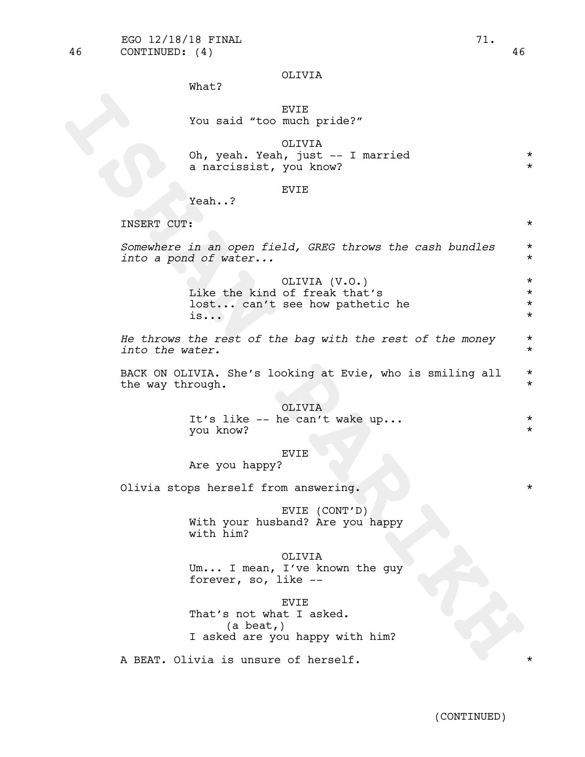46 CONTINUED: (4) 46

# OLIVIA

What?

# EVIE You said "too much pride?"

**ISHAN PARIKH** OLIVIA Oh, yeah. Yeah, just -- I married \* a narcissist, you know?  $*$ 

# EVIE

Yeah..?

INSERT CUT: \*

*Somewhere in an open field, GREG throws the cash bundles* \* *into a pond of water...* \*

> OLIVIA (V.O.) \* Like the kind of freak that's  $*$ lost... can't see how pathetic he \*  $\overline{\mathbf{a}}$ ...  $\overline{\mathbf{b}}$

*He throws the rest of the bag with the rest of the money* \* *into the water.* \*

BACK ON OLIVIA. She's looking at Evie, who is smiling all  $*$ <br>the way through. the way through.

## OLIVIA

It's like -- he can't wake up...  $\star$ you know? \*

## EVIE

Are you happy?

Olivia stops herself from answering.

EVIE (CONT'D) With your husband? Are you happy with him?

OLIVIA Um... I mean, I've known the guy forever, so, like --

EVIE That's not what I asked. (a beat,) I asked are you happy with him?

A BEAT. Olivia is unsure of herself.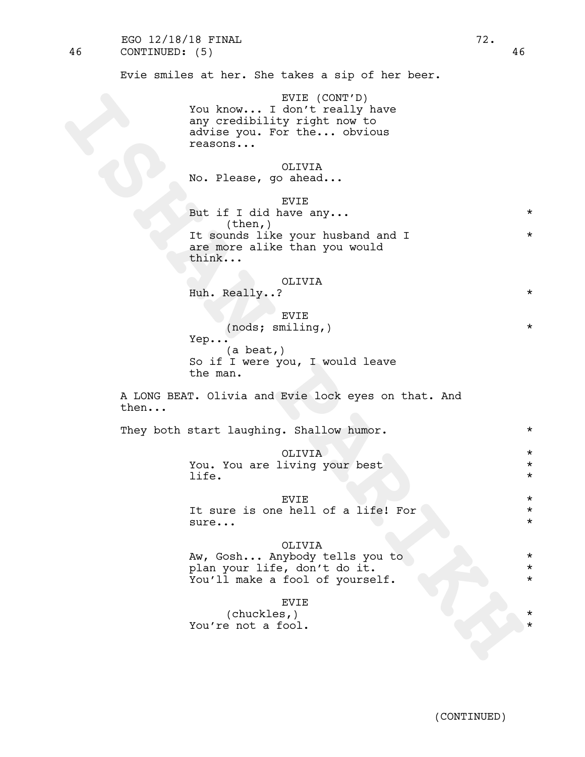46 CONTINUED: (5) 46 EGO 12/18/18 FINAL 2002.

Evie smiles at her. She takes a sip of her beer.

EVIE (CONT'D) You know... I don't really have any credibility right now to advise you. For the... obvious reasons...

# OLIVIA

No. Please, go ahead...

You know... Tank (control)<br>
Nationary credibility right now to<br>
any credibility right now<br>
acrise you for the... obvious<br>
reacons...<br>
ISL if going and ...<br>
But if  $\frac{1}{2}$  and  $\frac{1}{2}$  and  $\frac{1}{2}$ <br>
ISL if  $\frac{1}{2}$  and EVIE But if I did have any...  $(then, )$ It sounds like your husband and I \* are more alike than you would think...

### OLIVIA

Huh. Really..?  $\star$ 

EVIE (nods; smiling,) \* Yep... (a beat,) So if I were you, I would leave the man.

A LONG BEAT. Olivia and Evie lock eyes on that. And then...

They both start laughing. Shallow humor. \* \*

OLIVIA \*

You. You are living your best \* life.  $\qquad \qquad \star$ 

# EVIE \* \*

It sure is one hell of a life! For  $\uparrow$ sure...  $\star$ 

#### OLIVIA

Aw, Gosh... Anybody tells you to \* plan your life, don't do it. \* You'll make a fool of yourself.  $*$ 

#### EVIE

(chuckles,) \* You're not a fool.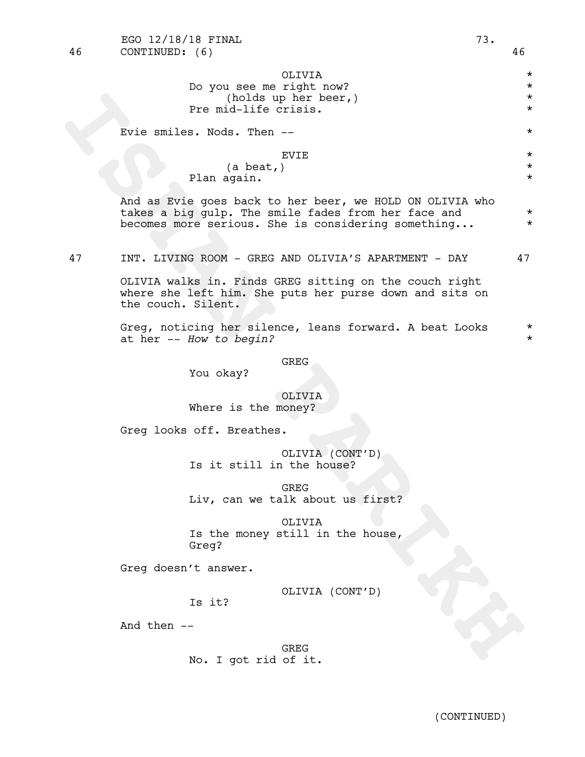**ISHAN PARIKH** OLIVIA \* Do you see me right now? \* (holds up her beer,) \* Pre mid-life crisis. \* Evie smiles. Nods. Then -- \* EVIE \* (a beat,) \* Plan again. \* And as Evie goes back to her beer, we HOLD ON OLIVIA who takes a big gulp. The smile fades from her face and \* becomes more serious. She is considering something... \* 47 INT. LIVING ROOM - GREG AND OLIVIA'S APARTMENT - DAY 47 OLIVIA walks in. Finds GREG sitting on the couch right where she left him. She puts her purse down and sits on the couch. Silent. Greg, noticing her silence, leans forward. A beat Looks \* at her -- *How to begin?* \* GREG You okay? OLIVIA Where is the money? Greg looks off. Breathes. OLIVIA (CONT'D) Is it still in the house? GREG Liv, can we talk about us first? OLIVIA Is the money still in the house, Greg? Greg doesn't answer. OLIVIA (CONT'D) Is it? And then -- GREG No. I got rid of it.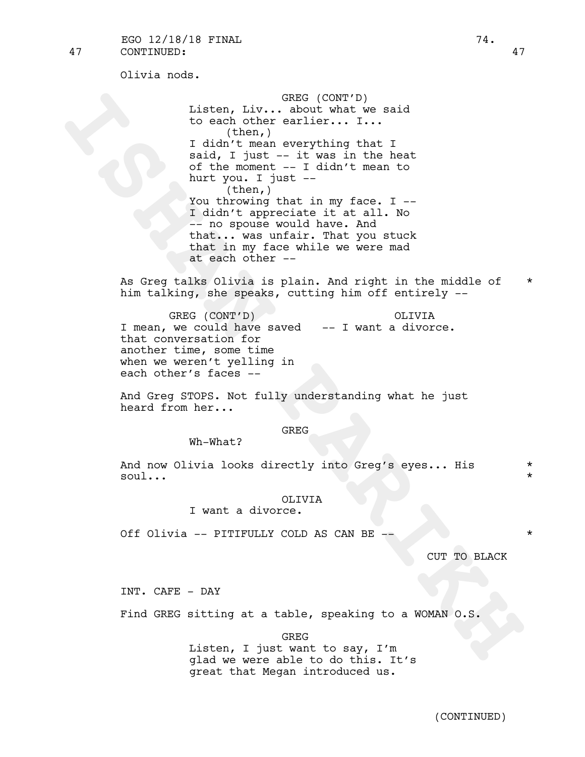Olivia nods.

Listen, I.V... GREE (CONT'C)<br> **ISHAN PARTIC CONTEXT**<br> **ISHAN PARTIC THE TRANSPARENT ON A STAR PARTIC THE STAR PARTIC THE VALUE TO THE AND STAR PARTIC THE VALUE TO A THE PARTIC THE TRANSPARENT IN THE STAR PARTIC THE TRANSPA** GREG (CONT'D) Listen, Liv... about what we said to each other earlier... I... (then,) I didn't mean everything that I said, I just -- it was in the heat of the moment -- I didn't mean to hurt you. I just -- (then,) You throwing that in my face. I --I didn't appreciate it at all. No -- no spouse would have. And that... was unfair. That you stuck that in my face while we were mad at each other --

As Greq talks Olivia is plain. And right in the middle of  $*$ him talking, she speaks, cutting him off entirely --

GREG (CONT'D) OLIVIA GREG (CONT'D)<br>I mean, we could have saved -- I want a divorce. that conversation for another time, some time when we weren't yelling in each other's faces --

And Greg STOPS. Not fully understanding what he just heard from her...

### GREG

Wh-What?

And now Olivia looks directly into Greg's eyes... His \* soul...  $\star$ 

### OLIVIA

I want a divorce.

Off Olivia -- PITIFULLY COLD AS CAN BE -- \*

CUT TO BLACK

INT. CAFE - DAY

Find GREG sitting at a table, speaking to a WOMAN O.S.

GREG

Listen, I just want to say, I'm glad we were able to do this. It's great that Megan introduced us.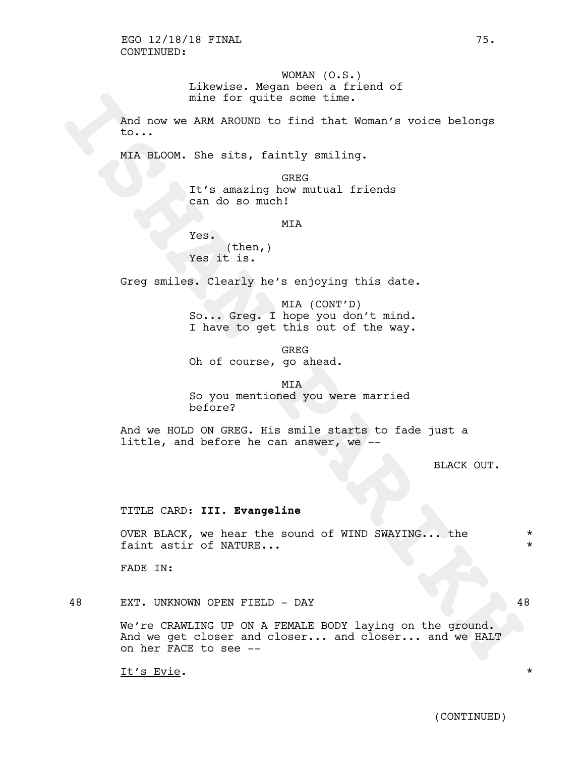WOMAN (O.S.) Likewise. Megan been a friend of mine for quite some time.

And now we ARM AROUND to find that Woman's voice belongs to...

MIA BLOOM. She sits, faintly smiling.

GREG It's amazing how mutual friends can do so much!

MIA

Yes.  $(then, )$ Yes it is.

Greg smiles. Clearly he's enjoying this date.

MIA (CONT'D) So... Greg. I hope you don't mind. I have to get this out of the way.

GREG Oh of course, go ahead.

# MIA So you mentioned you were married before?

And we HOLD ON GREG. His smile starts to fade just a little, and before he can answer, we --

BLACK OUT.

# TITLE CARD: **III. Evangeline**

OVER BLACK, we hear the sound of WIND SWAYING... the \* faint astir of NATURE...  $\star$ 

FADE IN:

48 EXT. UNKNOWN OPEN FIELD - DAY 48

mine for quite some time.<br>
And now we A2M AROUND to find that Woman's voice belongs<br>
to...<br>
MIX BLOOM. She sits, faintly smiling.<br>
It's amazing Anov mutual friends<br>
(RIS = 10 0 60 much)<br>
MIX<br>
Yes, (Then,)<br>
Yes it is.<br>
Oreg We're CRAWLING UP ON A FEMALE BODY laying on the ground. And we get closer and closer... and closer... and we HALT on her FACE to see --

It's Evie. \*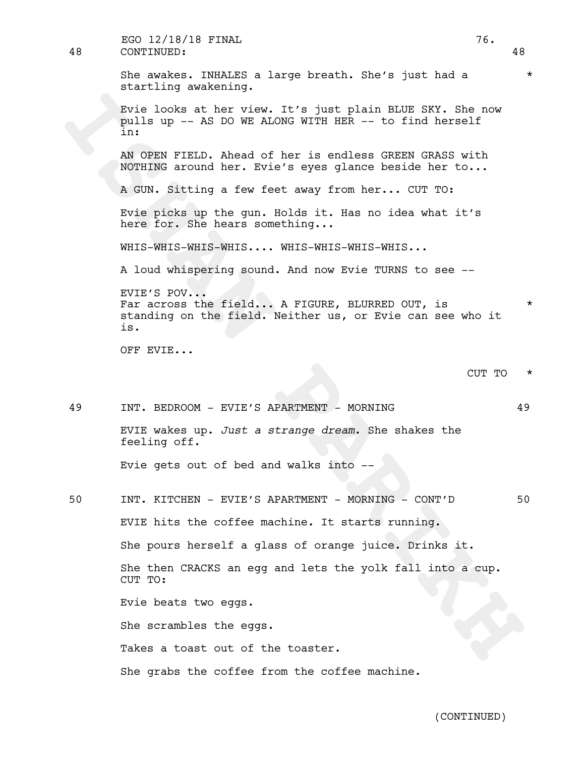| 48 | EGO 12/18/18 FINAL<br>76.<br>CONTINUED:                                                                                          | 48      |
|----|----------------------------------------------------------------------------------------------------------------------------------|---------|
|    | She awakes. INHALES a large breath. She's just had a<br>startling awakening.                                                     | $\star$ |
|    | Evie looks at her view. It's just plain BLUE SKY. She now<br>pulls up -- AS DO WE ALONG WITH HER -- to find herself<br>in:       |         |
|    | AN OPEN FIELD. Ahead of her is endless GREEN GRASS with<br>NOTHING around her. Evie's eyes glance beside her to                  |         |
|    | A GUN. Sitting a few feet away from her CUT TO:                                                                                  |         |
|    | Evie picks up the gun. Holds it. Has no idea what it's<br>here for. She hears something                                          |         |
|    | WHIS-WHIS-WHIS-WHIS WHIS-WHIS-WHIS-WHIS                                                                                          |         |
|    | A loud whispering sound. And now Evie TURNS to see --                                                                            |         |
|    | EVIE'S POV<br>Far across the field A FIGURE, BLURRED OUT, is<br>standing on the field. Neither us, or Evie can see who it<br>is. | $\star$ |
|    |                                                                                                                                  |         |
|    | OFF EVIE                                                                                                                         |         |
|    | CUT TO                                                                                                                           | $\star$ |
| 49 | INT. BEDROOM - EVIE'S APARTMENT - MORNING                                                                                        | 49      |
|    | EVIE wakes up. Just a strange dream. She shakes the<br>feeling off.                                                              |         |
|    | Evie gets out of bed and walks into --                                                                                           |         |
| 50 | INT. KITCHEN - EVIE'S APARTMENT - MORNING - CONT'D                                                                               | 50      |
|    | EVIE hits the coffee machine. It starts running.                                                                                 |         |
|    | She pours herself a glass of orange juice. Drinks it.                                                                            |         |
|    | She then CRACKS an egg and lets the yolk fall into a cup.<br>CUT TO:                                                             |         |
|    | Evie beats two eggs.                                                                                                             |         |
|    | She scrambles the eggs.                                                                                                          |         |

She grabs the coffee from the coffee machine.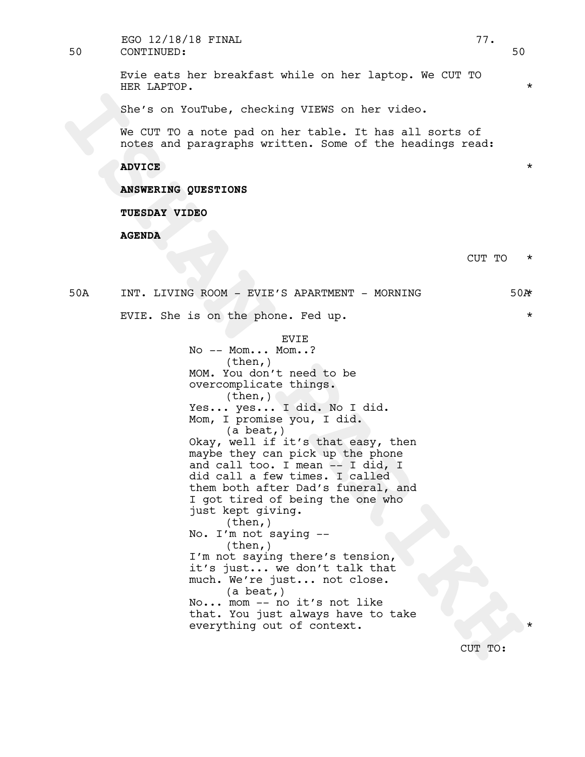50 CONTINUED: 50 EGO 12/18/18 FINAL 77.

> Evie eats her breakfast while on her laptop. We CUT TO HER LAPTOP.

She's on YouTube, checking VIEWS on her video.

We CUT TO a note pad on her table. It has all sorts of notes and paragraphs written. Some of the headings read:

**ADVICE** \*

**ANSWERING QUESTIONS**

**TUESDAY VIDEO**

**AGENDA**

CUT TO \*

50A INT. LIVING ROOM - EVIE'S APARTMENT - MORNING 50A\* EVIE. She is on the phone. Fed up.  $\star$ 

EVIE

She's on YouTube, checking VIEWS on her video.<br>
We CUT TO a note pad on her table. It has all acrts of<br>
notes and paragraphs witten. Some of the headings read:<br> **ABYONE MIXEMAL PARTNERS**<br> **ISHAND PARTNERS**<br> **ISHAND PARTNER** No -- Mom... Mom..? (then,) MOM. You don't need to be overcomplicate things.  $(then, )$ Yes... yes... I did. No I did.<br>Mom, I promise you, I did.<br>(a beat,) Okay, well if it's that easy, then maybe they can pick up the phone and call too. I mean -- I did, I did call a few times. I called them both after Dad's funeral, and I got tired of being the one who just kept giving.<br>(then,) No. I'm not saying  $-$  (then,) I'm not saying there's tension, it's just... we don't talk that much. We're just... not close. (a beat,) No... mom -- no it's not like that. You just always have to take everything out of context.

CUT TO: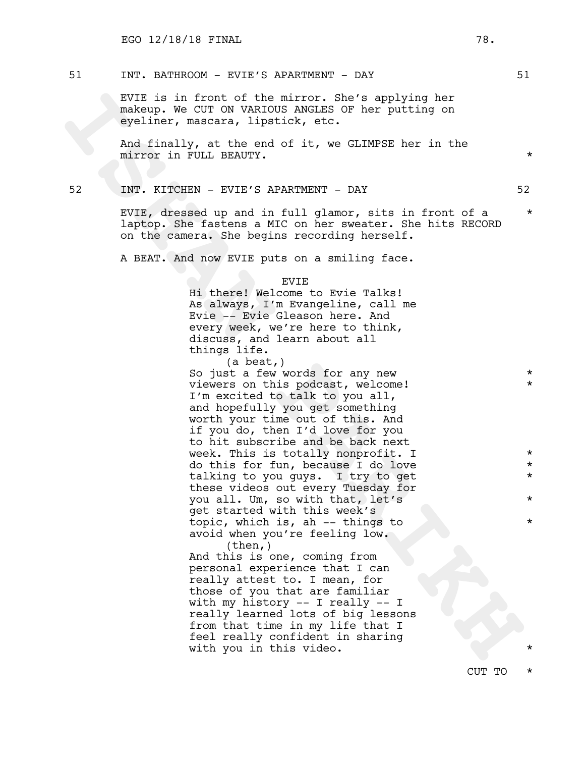# 51 INT. BATHROOM - EVIE'S APARTMENT - DAY 51

EVIE is in front of the mirror. She's applying her makeup. We CUT ON VARIOUS ANGLES OF her putting on eyeliner, mascara, lipstick, etc.

And finally, at the end of it, we GLIMPSE her in the mirror in FULL BEAUTY. \*

# 52 INT. KITCHEN - EVIE'S APARTMENT - DAY 52

EVIE, dressed up and in full glamor, sits in front of a \* laptop. She fastens a MIC on her sweater. She hits RECORD on the camera. She begins recording herself.

A BEAT. And now EVIE puts on a smiling face.

#### EVIE

Hi there! Welcome to Evie Talks! As always, I'm Evangeline, call me Evie -- Evie Gleason here. And every week, we're here to think, discuss, and learn about all things life.

EVE is in fract of the mirror. She's applying her<br>
ankenp. We CUT ON VANTOUS ANNGLES of her putting on<br>
evaluating, act, the end of it, we GLINERSE her in the<br>
And finally, at the end of it, we GLINERSE her in the<br>
mirror (a beat,) So just a few words for any new  $*$ viewers on this podcast, welcome! \* \* I'm excited to talk to you all, and hopefully you get something worth your time out of this. And if you do, then I'd love for you to hit subscribe and be back next week. This is totally nonprofit. I  $*$ do this for fun, because I do love \* talking to you guys. I try to get  $*$ these videos out every Tuesday for you all. Um, so with that, let's \* get started with this week's topic, which is, ah -- things to  $*$ avoid when you're feeling low. (then,)

And this is one, coming from personal experience that I can really attest to. I mean, for those of you that are familiar with my history -- I really -- I really learned lots of big lessons from that time in my life that I feel really confident in sharing with you in this video.

CUT TO \*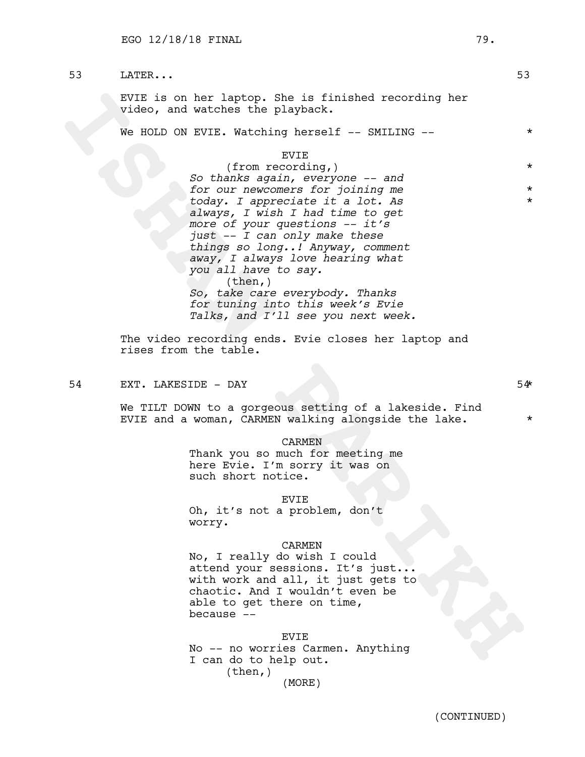53 LATER... 53

EVIE is on her laptop. She is finished recording her video, and watches the playback.

We HOLD ON EVIE. Watching herself -- SMILING -- \*

### EVIE

EVER is on her laptop. She is finished recording her<br>
video, and watches the playback.<br>
We HOLD ON EVIE. Watching herself -- SMILING --<br>
(from recording,)<br>  $SO$  then  $Mx$  squire at  $x$  or in proposition and<br>
from the condin (from recording,) \* *So thanks again, everyone -- and for our newcomers for joining me* \* *today. I appreciate it a lot. As* \* *always, I wish I had time to get more of your questions -- it's just -- I can only make these things so long..! Anyway, comment away, I always love hearing what you all have to say.*  $(then, )$ *So, take care everybody. Thanks for tuning into this week's Evie Talks, and I'll see you next week.*

The video recording ends. Evie closes her laptop and rises from the table.

54 EXT. LAKESIDE – DAY 54\* SAMES SAMES SAMES AT LAKES SAMES AND SAMES SAMES AND SAMES SAMES SAMES SAMES SAMES AND SAMES SAMES SAMES AND SAMES SAMES AND SAMES AND SAMES SAMES AND SAMES AND SAMES AND SAMES AND SAMES AND SAME

We TILT DOWN to a gorgeous setting of a lakeside. Find EVIE and a woman, CARMEN walking alongside the lake.  $*$ 

### CARMEN

Thank you so much for meeting me here Evie. I'm sorry it was on such short notice.

#### EVIE

Oh, it's not a problem, don't worry.

### CARMEN

No, I really do wish I could attend your sessions. It's just... with work and all, it just gets to chaotic. And I wouldn't even be able to get there on time, because --

EVIE No -- no worries Carmen. Anything I can do to help out. (then,) (MORE)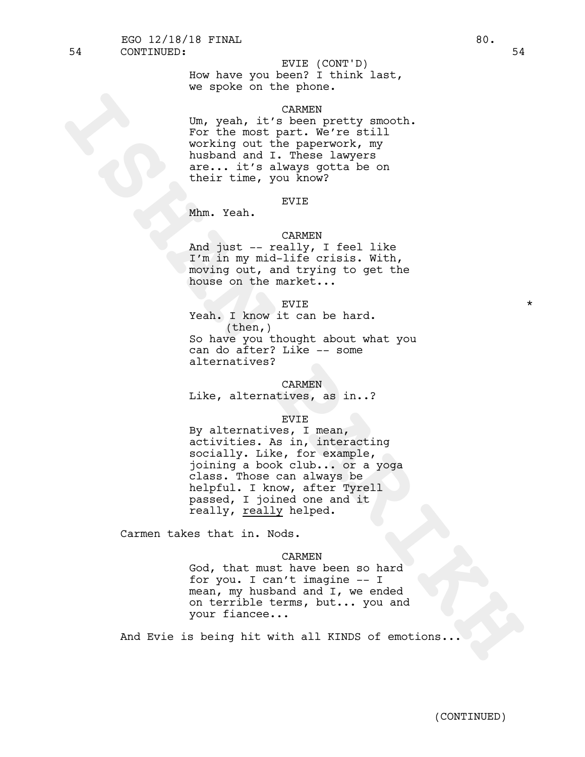# EVIE (CONT'D)

How have you been? I think last, we spoke on the phone.

# CARMEN

Um, yeah, it's been pretty smooth. For the most part. We're still working out the paperwork, my husband and I. These lawyers are... it's always gotta be on their time, you know?

### EVIE

Mhm. Yeah.

### CARMEN

And just -- really, I feel like I'm in my mid-life crisis. With, moving out, and trying to get the house on the market...

# $EVIE$   $\star$

Yeah. I know it can be hard.  $(\text{then},)$ So have you thought about what you can do after? Like -- some alternatives?

### CARMEN

Like, alternatives, as in..?

### EVIE

Casser (1991)<br>
ISH, yeah, it's been pretty smooth.<br>
Northa mont hart we have the fittil<br>
husband and I. These classress<br>
their time, you know?<br>
their time, you know?<br>
And just - really, I feel like<br>
Xhm. Teah.<br>
Name of the By alternatives, I mean,<br>activities. As in, interacting<br>socially. Like, for example, joining a book club... or a yoga class. Those can always be helpful. I know, after Tyrell passed, I joined one and it really, really helped.

Carmen takes that in. Nods.

### CARMEN

God, that must have been so hard for you. I can't imagine -- I mean, my husband and I, we ended on terrible terms, but... you and your fiancee...

And Evie is being hit with all KINDS of emotions...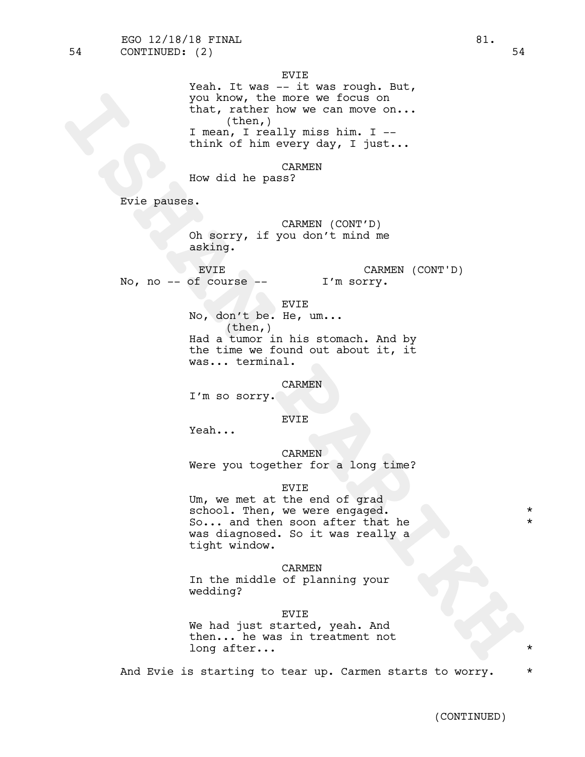EVIE

you know, the more we focus on<br> **IRAN, rather how we can move on...**<br> **IRAN, rather how we can move on...**<br> **IRAN, really miss him.** II-1,<br>
think of him every day, I just...<br>
Eow did he pass?<br>
EV1e panses.<br> **ISMAN PARTICUL** Yeah. It was -- it was rough. But, you know, the more we focus on that, rather how we can move on... (then,) I mean, I really miss him. I - think of him every day, I just...

CARMEN

How did he pass?

Evie pauses.

CARMEN (CONT'D) Oh sorry, if you don't mind me asking.

EVIE No, no  $--$  of course  $--$ CARMEN (CONT'D) \* I'm sorry.

EVIE

No, don't be. He, um...  $(\text{then},)$ Had a tumor in his stomach. And by the time we found out about it, it was... terminal.

CARMEN

I'm so sorry.

# EVIE

Yeah...

CARMEN Were you together for a long time?

# EVIE

Um, we met at the end of grad school. Then, we were engaged.  $*$ So... and then soon after that he \* was diagnosed. So it was really a tight window.

### CARMEN

In the middle of planning your wedding?

### EVIE

We had just started, yeah. And then... he was in treatment not long after...

And Evie is starting to tear up. Carmen starts to worry.  $*$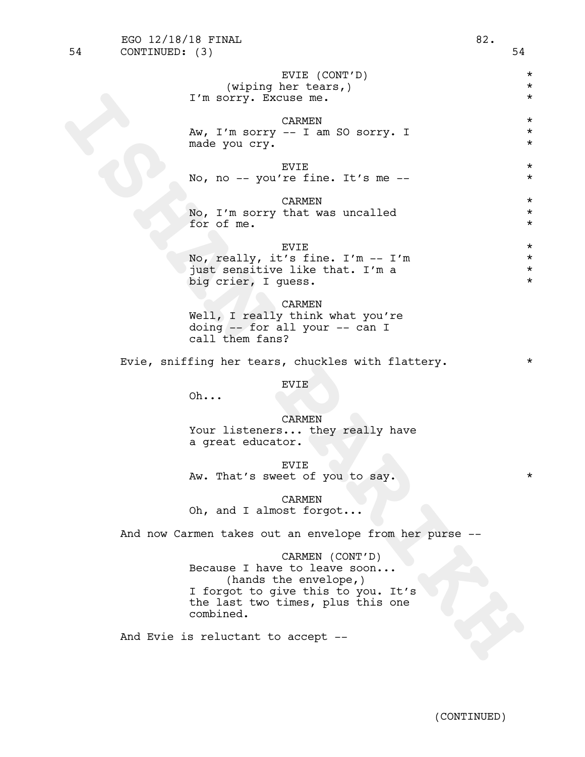| 54 | CONTINUED: (3) |                                                                                                                                                                  | 54                                          |
|----|----------------|------------------------------------------------------------------------------------------------------------------------------------------------------------------|---------------------------------------------|
|    |                | EVIE (CONT'D)<br>(wiping her tears,)<br>I'm sorry. Excuse me.                                                                                                    | $^\star$<br>$^\star$<br>$^\star$            |
|    |                | CARMEN<br>Aw, I'm sorry -- I am SO sorry. I<br>made you cry.                                                                                                     | $^\star$<br>$^\star$<br>$^\star$            |
|    |                | EVIE<br>No, no -- you're fine. It's me --                                                                                                                        | $^\star$<br>$^\star$                        |
|    |                | CARMEN<br>No, I'm sorry that was uncalled<br>for of me.                                                                                                          | $^\star$<br>$^\star$<br>$^\star$            |
|    |                | <b>EVIE</b><br>No, really, it's fine. I'm -- I'm<br>just sensitive like that. I'm a<br>big crier, I guess.                                                       | $^\star$<br>$^\star$<br>$^\star$<br>$\star$ |
|    |                | CARMEN<br>Well, I really think what you're<br>doing $--$ for all your $--$ can I<br>call them fans?                                                              |                                             |
|    |                | Evie, sniffing her tears, chuckles with flattery.                                                                                                                | $^\star$                                    |
|    |                | <b>EVIE</b><br>Oh                                                                                                                                                |                                             |
|    |                | <b>CARMEN</b><br>Your listeners they really have<br>a great educator.                                                                                            |                                             |
|    |                | EVIE<br>Aw. That's sweet of you to say.                                                                                                                          |                                             |
|    |                | CARMEN<br>Oh, and I almost forgot                                                                                                                                |                                             |
|    |                | And now Carmen takes out an envelope from her purse --                                                                                                           |                                             |
|    |                | CARMEN (CONT'D)<br>Because I have to leave soon<br>(hands the envelope,)<br>I forgot to give this to you. It's<br>the last two times, plus this one<br>combined. |                                             |
|    |                | And Evie is reluctant to accept --                                                                                                                               |                                             |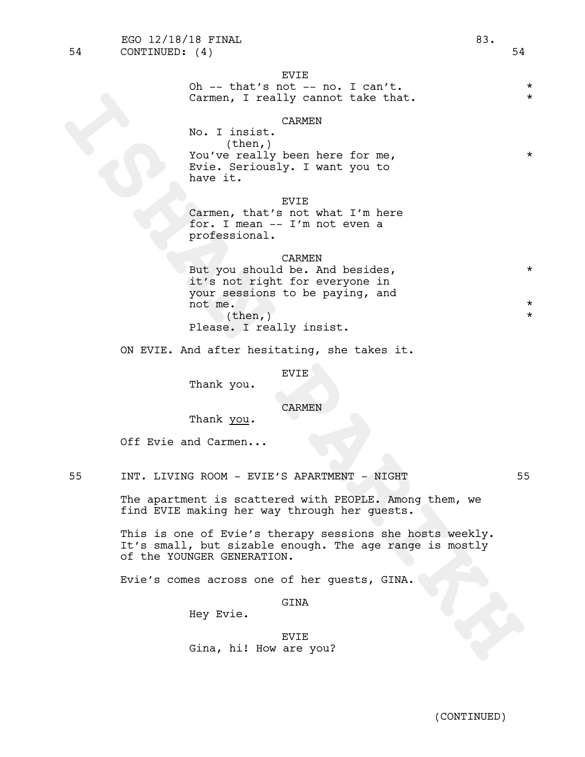# CARMEN

No. I insist. (then,) You've really been here for me, Evie. Seriously. I want you to have it.

EVIE

Carmen, that's not what I'm here for. I mean -- I'm not even a professional.

### CARMEN

Carmen, I really cannot take that.<br>
No. I insist<br>
No. I was like heare for me.<br>
You've selly been here for me.<br>
have it.<br>
Now it.<br>
The second part of the second of the second of the second of the second of the second of th But you should be. And besides,  $*$ it's not right for everyone in your sessions to be paying, and not me.  $*$  $\times$  (then,)  $\star$ Please. I really insist.

ON EVIE. And after hesitating, she takes it.

EVIE

Thank you.

CARMEN

Thank you*.*

Off Evie and Carmen...

55 INT. LIVING ROOM - EVIE'S APARTMENT - NIGHT 55

The apartment is scattered with PEOPLE. Among them, we find EVIE making her way through her guests.

This is one of Evie's therapy sessions she hosts weekly.<br>It's small, but sizable enough. The age range is mostly of the YOUNGER GENERATION.

Evie's comes across one of her guests, GINA.

GINA

Hey Evie.

EVIE Gina, hi! How are you?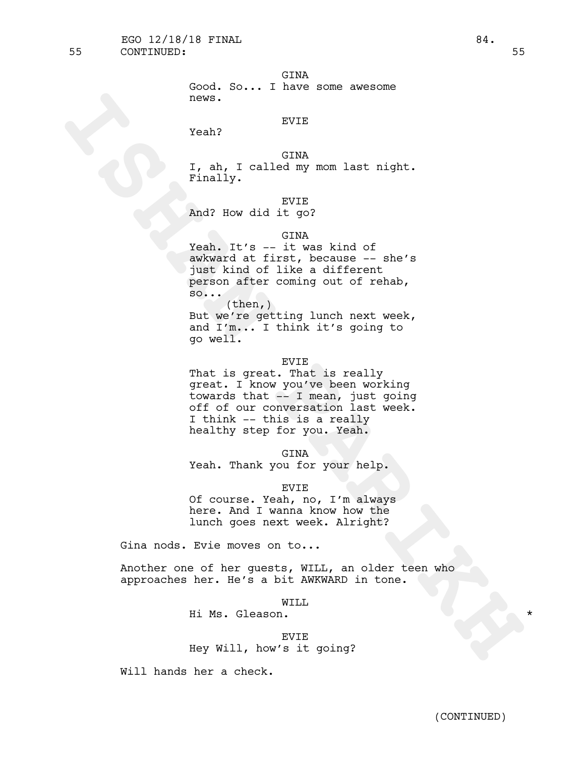```
GINA
```

|       |  |  | Good. So I have some awesome |
|-------|--|--|------------------------------|
| news. |  |  |                              |

# EVIE

Yeah?

GINA I, ah, I called my mom last night. Finally.

EVIE

And? How did it go?

# GINA

Yeah. It's -- it was kind of awkward at first, because -- she's just kind of like a different person after coming out of rehab, so...

(then,) But we're getting lunch next week, and I'm... I think it's going to go well.

### EVIE

news.<br>
Yank?<br>
Yank, I called my nom last night.<br>
Finally.<br>
In a surface of the set of the set of the set of the set of the set of the set of the set of the set of the set of the set of the set of the set of the set of the That is great. That is really great. I know you've been working towards that -- I mean, just going off of our conversation last week. <sup>I</sup> think -- this is <sup>a</sup> really healthy step for you. Yeah.

GINA

Yeah. Thank you for your help.

EVIE

Of course. Yeah, no, I'm always here. And I wanna know how the lunch goes next week. Alright?

Gina nods. Evie moves on to...

Another one of her guests, WILL, an older teen who approaches her. He's a bit AWKWARD in tone.

WILL

Hi Ms. Gleason.

EVIE Hey Will, how's it going?

Will hands her a check.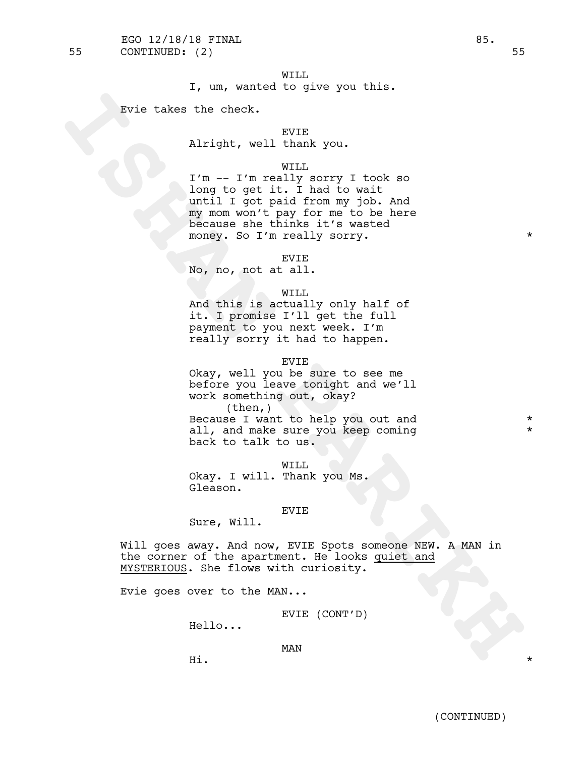I, um, wanted to give you this.

Evie takes the check.

# EVIE

Alright, well thank you.

### WILL

I'm -- I'm really sorry I took so long to get it. I had to wait until I got paid from my job. And my mom won't pay for me to be here because she thinks it's wasted money. So I'm really sorry.  $*$ 

#### EVIE

No, no, not at all.

### WILL

And this is actually only half of it. I promise I'll get the full payment to you next week. I'm really sorry it had to happen.

#### EVIE

Evie takes the check.<br>
Niright, well thank you.<br>
I'm - I'm really sorry I took so<br>
Iong to get it. I had to wat<br>
including the particle from the strike interests<br>
money of the time were absorbed<br>
money. So I'm really youry Okay, well you be sure to see me before you leave tonight and we'll work something out, okay? (then,) Because I want to help you out and \* all, and make sure you keep coming back to talk to us.

### WILL

Okay. <sup>I</sup> will. Thank you Ms. Gleason.

### EVIE

Sure, Will.

Will goes away. And now, EVIE Spots someone NEW. A MAN in the corner of the apartment. He looks quiet and MYSTERIOUS. She flows with curiosity.

Evie goes over to the MAN...

EVIE (CONT'D)

Hello...

Hi. \*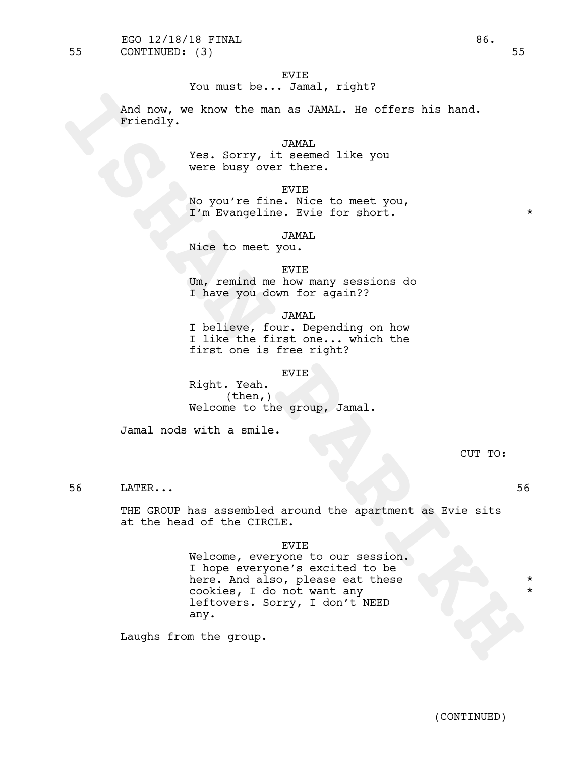You must be... Jamal, right?

And now, we know the man as JAMAL. He offers his hand. Friendly.

> JAMAL Yes. Sorry, it seemed like you were busy over there.

EVIE No you're fine. Nice to meet you, I'm Evangeline. Evie for short. \* \*

JAMAL

Nice to meet you.

EVIE Um, remind me how many sessions do I have you down for again??

JAMAL I believe, four. Depending on how I like the first one... which the first one is free right?

### EVIE

Right. Yeah.  $(then, )$ Welcome to the group, Jamal.

Jamal nods with a smile.

CUT TO:

56 LATER... 56

THE GROUP has assembled around the apartment as Evie sits at the head of the CIRCLE.

EVIE

And now, we know the man as JAMAL. He offers his hand.<br> **ISHAN**<br>
Years Sorry, it seemed like you<br>
were busy over there.<br>
No you're filme. Nise to meet you,<br>
IT m Evangeline. Evie for short.<br>
Nise to meet you.<br>
Now may seem Welcome, everyone to our session. <sup>I</sup> hope everyone's excited to be here. And also, please eat these cookies, I do not want any \* leftovers. Sorry, I don't NEED any.

Laughs from the group.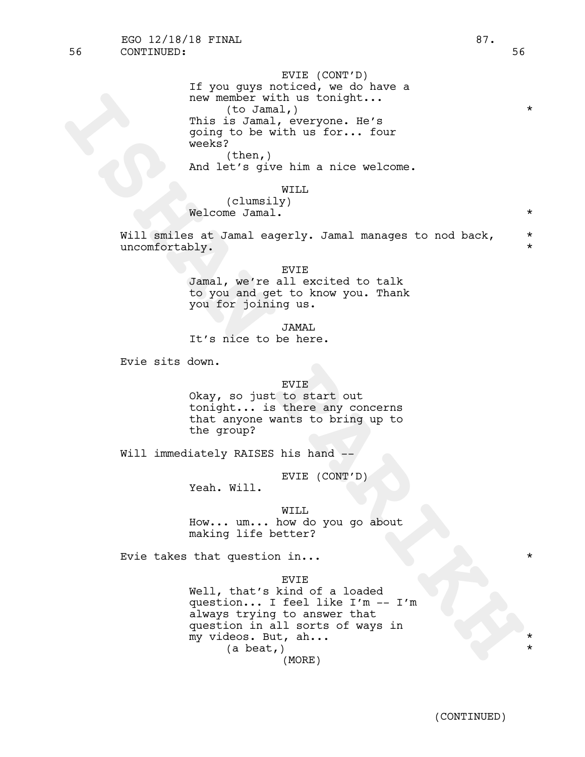56 CONTINUED: 56 EGO  $12/18/18$  FINAL  $87.$ 

EVIE (CONT'D) If you guys noticed, we do have a new member with us tonight... (to Jamal,) \* This is Jamal, everyone. He's going to be with us for... four weeks?  $(then, )$ And let's give him a nice welcome.

WILL

(clumsily) Welcome Jamal.  $\star$ 

Will smiles at Jamal eagerly. Jamal manages to nod back,  $*$ uncomfortably. \*

> EVIE Jamal, we're all excited to talk to you and get to know you. Thank you for joining us.

JAMAL It's nice to be here.

Evie sits down.

# EVIE

Okay, so just to start out tonight... is there any concerns that anyone wants to bring up to the group?

Will immediately RAISES his hand --

EVIE (CONT'D)

Yeah. Will.

WILL

How... um... how do you go about making life better?

Evie takes that question in...  $\star$ 

EVIE

new member with us tonight...<br>
This is Jana, everyone. Be's<br>
going to be with us for... four<br>
weeks?<br>
And left sive him a nice welcome.<br>
And left sive him a nice welcome.<br>
(clumsily)<br>
(clumsily)<br>
Welcome Janal.<br>
Will smile Well, that's kind of a loaded question... I feel like I'm -- I'm always trying to answer that question in all sorts of ways in my videos. But, ah... \* (a beat,) (MORE)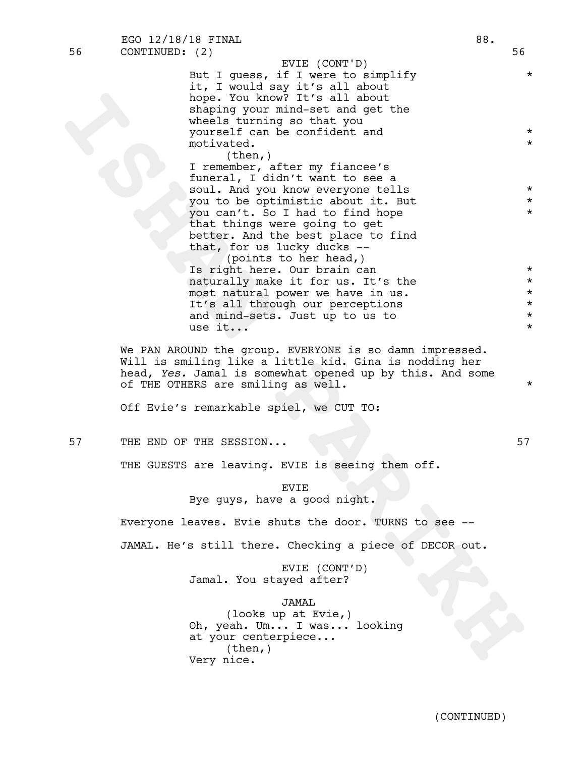But I guess, if I were to simplify  $*$ it, I would say it's all about hope. You know? It's all about shaping your mind-set and get the wheels turning so that you yourself can be confident and \* motivated.  $\star$ (then,) I remember, after my fiancee's EVIE (CONT'D)

bope You know? It's all about<br>phaping your wind-set and get the<br>wheals urning so that you<br>wind-set and get the<br>yoursait Can be confident and<br>noting them, force my fiance's<br>aluminously ident in the set a<br>wind by a set a sim funeral, I didn't want to see a soul. And you know everyone tells  $*$ <br>you to be entimistic about it. But you to be optimistic about it. But \* you can't. So I had to find hope \* that things were going to get better. And the best place to find that, for us lucky ducks --

(points to her head,) Is right here. Our brain can  $\star$ naturally make it for us. It's the  $*$ most natural power we have in us.  $*$ It's all through our perceptions \* and mind-sets. Just up to us to  $*$ use it...

We PAN AROUND the group. EVERYONE is so damn impressed. Will is smiling like a little kid. Gina is nodding her head, *Yes.* Jamal is somewhat opened up by this. And some of THE OTHERS are smiling as well.

Off Evie's remarkable spiel, we CUT TO:

57 THE END OF THE SESSION... 57

THE GUESTS are leaving. EVIE is seeing them off.

EVIE Bye guys, have a good night.

Everyone leaves. Evie shuts the door. TURNS to see --

JAMAL. He's still there. Checking a piece of DECOR out.

EVIE (CONT'D) Jamal. You stayed after?

JAMAL

(looks up at Evie,) Oh, yeah. Um... I was... looking at your centerpiece... (then,) Very nice.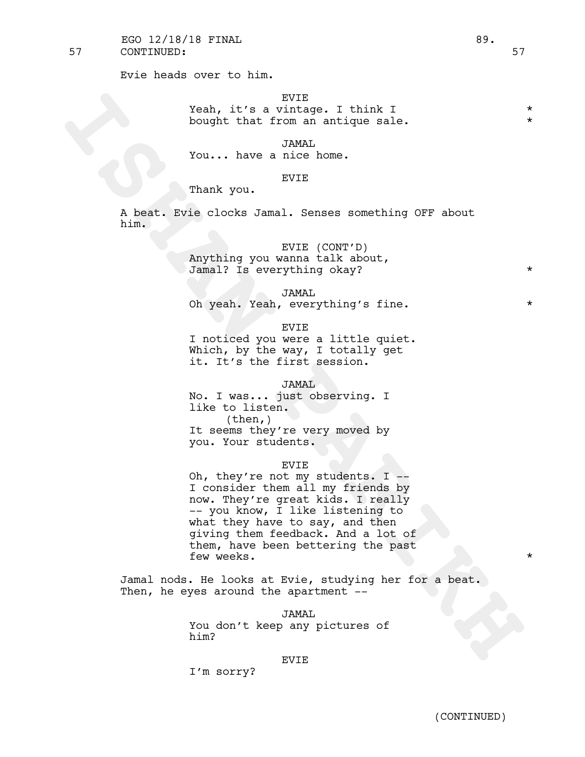Evie heads over to him.

# EVIE

Yeah, it's a vintage. I think I  $*$ <br>bought that from an antique gale bought that from an antique sale.

JAMAL

You... have a nice home.

### EVIE

Thank you.

A beat. Evie clocks Jamal. Senses something OFF about him.

# EVIE (CONT'D)

Anything you wanna talk about, Jamal? Is everything okay? \*

JAMAL

Oh yeah. Yeah, everything's fine.

EVIE

I noticed you were a little quiet. Which, by the way, I totally get it. It's the first session.

# JAMAL

No. I was... just observing. I like to listen.<br>(then,) It seems they're very moved by you. Your students.

### EVIE

Yeah, it's a <sup>EVIE</sup><br>
bought that from an unique sale.<br>
INMA<br>
You... have a nice home.<br>
INMA<br>
You... have a nice home.<br>
Thank you.<br>
A beat. Evie clocks Jamal. Senses something OFF about<br>
him.<br>
XIMA put went talk about,<br>
Jam Oh, they're not my students. I  $-$ <br>I consider them all my friends by now. They're great kids. <sup>I</sup> really -- you know, <sup>I</sup> like listening to what they have to say, and then giving them feedback. And a lot of them, have been bettering the past few weeks.  $\star$ 

Jamal nods. He looks at Evie, studying her for a beat. Then, he eyes around the apartment --

> JAMAL You don't keep any pictures of him?

### EVIE

I'm sorry?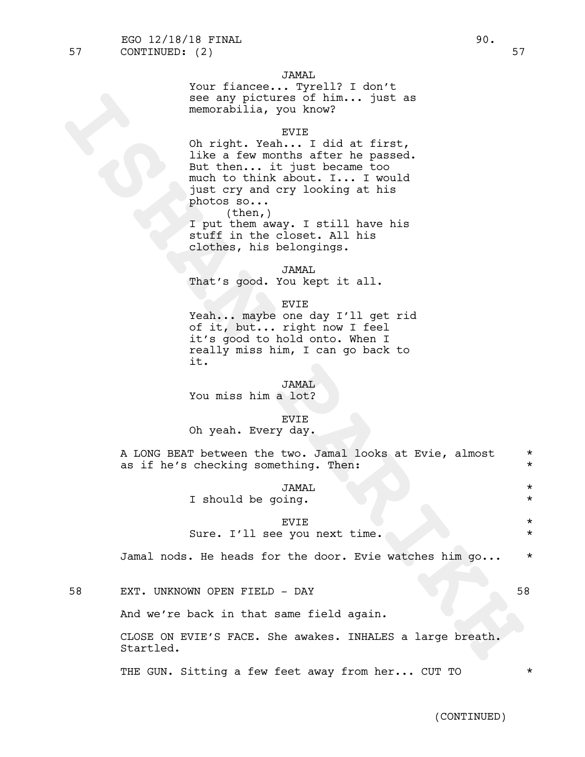Your fiancee... Tyrell? I don't see any pictures of him... just as memorabilia, you know?

### EVIE

sea any pictures of him... just as<br>memorabilia, you know?<br>Oh right. Yeah:<br>Ilke a few months after he passed.<br>Ilke a few months after he passed.<br>Hut then ... it just became too<br>nuch to himle about. T... I would<br>put or y and Oh right. Yeah... I did at first, like a few months after he passed. But then... it just became too much to think about. I... I would just cry and cry looking at his photos so... (then,) I put them away. I still have his

stuff in the closet. All his clothes, his belongings.

JAMAL That's good. You kept it all.

### EVIE

Yeah... maybe one day I'll get rid of it, but... right now I feel it's good to hold onto. When I really miss him, I can go back to it.

# JAMAL

You miss him a lot?

### EVIE

Oh yeah. Every day.

A LONG BEAT between the two. Jamal looks at Evie, almost \* as if he's checking something. Then:

### JAMAL \*

I should be going.  $*$ 

# EVIE \*

# Sure. I'll see you next time. Notified that the set of the set of the set of the set of the set of the set of the set of the set of the set of the set of the set of the set of the set of the set of the set of the set of th

Jamal nods. He heads for the door. Evie watches him  $q_0 \ldots$  \*

58 EXT. UNKNOWN OPEN FIELD - DAY 58

And we're back in that same field again.

CLOSE ON EVIE'S FACE. She awakes. INHALES a large breath. Startled.

THE GUN. Sitting a few feet away from her... CUT TO  $*$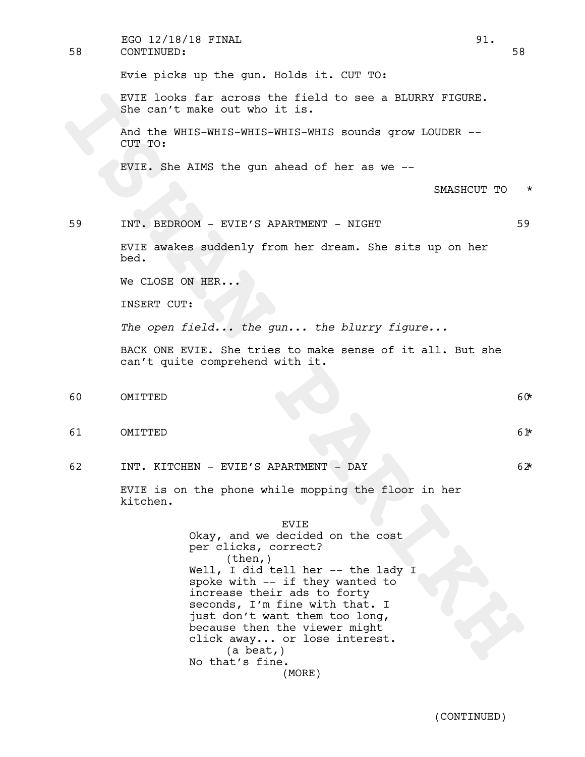| 58 | EGO 12/18/18 FINAL<br>CONTINUED:                                                                                                                                                                                                                                                                                                                                              | 91.<br>58 |
|----|-------------------------------------------------------------------------------------------------------------------------------------------------------------------------------------------------------------------------------------------------------------------------------------------------------------------------------------------------------------------------------|-----------|
|    | Evie picks up the gun. Holds it. CUT TO:                                                                                                                                                                                                                                                                                                                                      |           |
|    | EVIE looks far across the field to see a BLURRY FIGURE.<br>She can't make out who it is.                                                                                                                                                                                                                                                                                      |           |
|    | And the WHIS-WHIS-WHIS-WHIS-WHIS sounds grow LOUDER --<br>CUT TO:                                                                                                                                                                                                                                                                                                             |           |
|    | EVIE. She AIMS the gun ahead of her as we --                                                                                                                                                                                                                                                                                                                                  |           |
|    | SMASHCUT TO                                                                                                                                                                                                                                                                                                                                                                   | $^\star$  |
| 59 | INT. BEDROOM - EVIE'S APARTMENT - NIGHT                                                                                                                                                                                                                                                                                                                                       | 59        |
|    | EVIE awakes suddenly from her dream. She sits up on her<br>bed.                                                                                                                                                                                                                                                                                                               |           |
|    | We CLOSE ON HER                                                                                                                                                                                                                                                                                                                                                               |           |
|    | INSERT CUT:                                                                                                                                                                                                                                                                                                                                                                   |           |
|    | The open field the gun the blurry figure                                                                                                                                                                                                                                                                                                                                      |           |
|    | BACK ONE EVIE. She tries to make sense of it all. But she<br>can't quite comprehend with it.                                                                                                                                                                                                                                                                                  |           |
| 60 | OMITTED                                                                                                                                                                                                                                                                                                                                                                       | 60*       |
| 61 | OMITTED                                                                                                                                                                                                                                                                                                                                                                       | 61*       |
| 62 | INT. KITCHEN - EVIE'S APARTMENT - DAY                                                                                                                                                                                                                                                                                                                                         | 62*       |
|    | EVIE is on the phone while mopping the floor in her<br>kitchen.                                                                                                                                                                                                                                                                                                               |           |
|    | EVIE<br>Okay, and we decided on the cost<br>per clicks, correct?<br>(then, )<br>Well, I did tell her -- the lady I<br>spoke with -- if they wanted to<br>increase their ads to forty<br>seconds, I'm fine with that. I<br>just don't want them too long,<br>because then the viewer might<br>click away or lose interest.<br>$(a \text{ beat,})$<br>No that's fine.<br>(MORE) |           |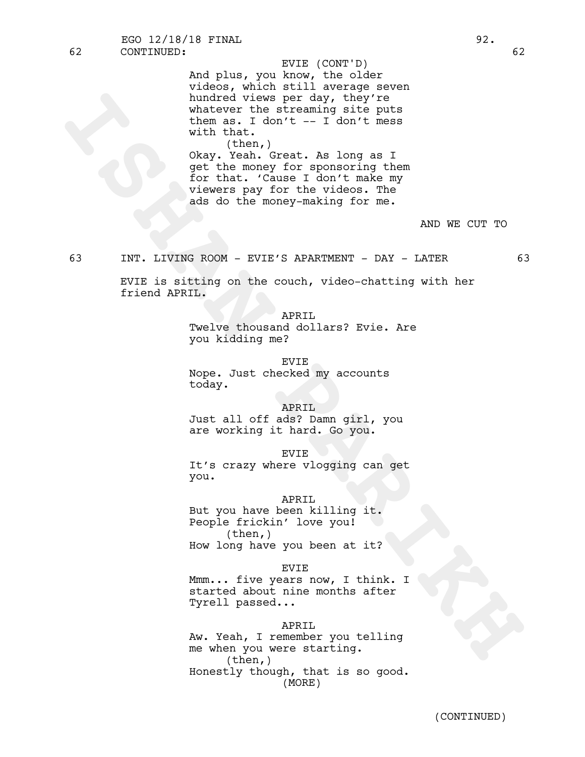indred view per day, they key the streaming either the streaming either the sum as I don't -- I don't moss<br>with the n.<br>
Okay, Yeal, Czeat, As long as I<br>
okay, Yeal, Czeat, As long as I<br>
okay, Yeal, Czeat, As long as I<br>
or And plus, you know, the older videos, which still average seven hundred views per day, they're whatever the streaming site puts them as. I don't  $-$  I don't mess with that. (then,) Okay. Yeah. Great. As long as I get the money for sponsoring them for that. 'Cause I don't make my EVIE (CONT'D)

viewers pay for the videos. The ads do the money-making for me.

AND WE CUT TO

# 63 INT. LIVING ROOM - EVIE'S APARTMENT - DAY - LATER 63

EVIE is sitting on the couch, video-chatting with her friend APRIL.

APRIL

Twelve thousand dollars? Evie. Are you kidding me?

EVIE

Nope. Just checked my accounts today.

APRIL

Just all off ads? Damn girl, you are working it hard. Go you.

EVIE

It's crazy where vlogging can get you.

### APRIL

But you have been killing it. People frickin' love you!  $(then, )$ How long have you been at it?

#### EVIE

Mmm... five years now, I think. I started about nine months after Tyrell passed...

#### APRIL

Aw. Yeah, I remember you telling me when you were starting. (then,) Honestly though, that is so good. (MORE)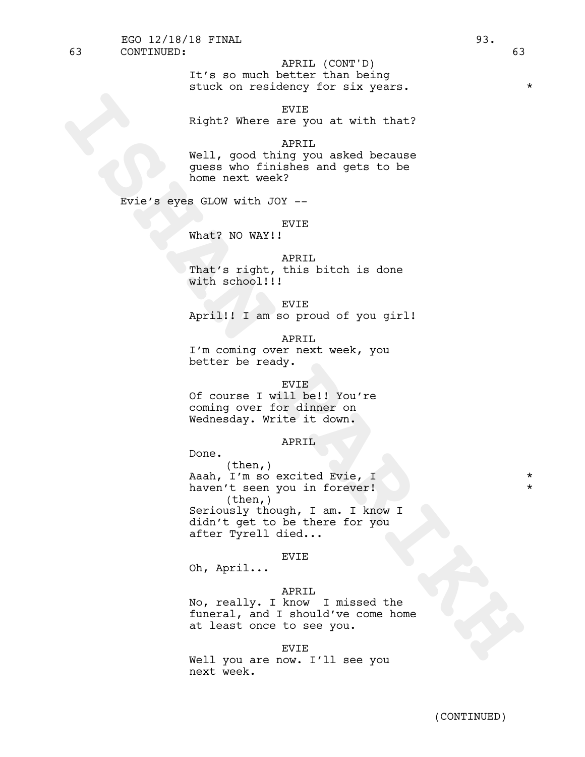EVIE Right? Where are you at with that?

# APRIL

Well, good thing you asked because guess who finishes and gets to be home next week?

Evie's eyes GLOW with JOY --

### EVIE

What? NO WAY!!

### APRIL

That's right, this bitch is done with school!!!

EVIE

April!! I am so proud of you girl!

APRIL

I'm coming over next week, you better be ready.

# EV<sub>TE</sub>

Of course I will be!! You're coming over for dinner on Wednesday. Write it down.

# APRIL

Done.

Right? Where are you at with that?<br>
Well, good thing you asked because<br>
near who fining you asked because<br>
home next week?<br>
INDEY are whole and gets to be<br>
Next 2 NO WAY!!<br>
That's zight, this bitch is done<br>
with school!!!<br> (then,) Aaah, I'm so excited Evie, I haven't seen you in forever! (then,) Seriously though, I am. I know I didn't get to be there for you after Tyrell died...

### EVIE

Oh, April...

### APRIL

No, really. I know I missed the funeral, and I should've come home at least once to see you.

EVIE Well you are now. I'll see you next week.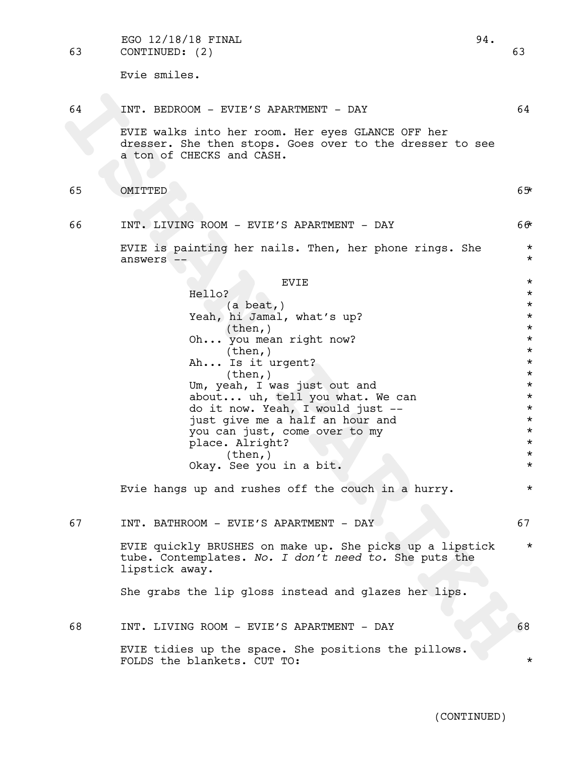63 CONTINUED: (2) 63 EGO  $12/18/18$  FINAL  $94.$ 

Evie smiles.

# 64 INT. BEDROOM - EVIE'S APARTMENT - DAY 64

EVIE walks into her room. Her eyes GLANCE OFF her dresser. She then stops. Goes over to the dresser to see a ton of CHECKS and CASH.

65 OMITTED 65\*

66 INT. LIVING ROOM - EVIE'S APARTMENT - DAY 66\* EVIE is painting her nails. Then, her phone rings. She \*

answers -- \*

64 INT. REDROOM - EVIE'S APARTMENT - DAY<br>
INTERNATION a Since Consideration of the change of the change of the change of the change of the change of the change of the change of the change of the change of the change of the  $EVIE$   $\star$ Hello?  $\star$ (a beat,) \* Yeah, hi Jamal, what's up? \*  $(\text{then},)$  \* Oh... you mean right now?  $*$ (then,) \* Ah... Is it urgent?  $\times$  (then, )  $\star$ Um, yeah, I was just out and  $*$ about... uh, tell you what. We can  $*$ do it now. Yeah, I would just --<br>iust give me a half an hour and \* just give me a half an hour and \* you can just, come over to my  $\star$ <br>place. Alright? place. Alright?  $(\text{then,})$ <br>See you in a bit.<br> $\star$ Okay. See you in a bit. \*

Evie hangs up and rushes off the couch in a hurry.  $*$ 

67 INT. BATHROOM - EVIE'S APARTMENT - DAY 67

EVIE quickly BRUSHES on make up. She picks up a lipstick \* tube. Contemplates. *No. I don't need to.* She puts the lipstick away.

She grabs the lip gloss instead and glazes her lips.

68 INT. LIVING ROOM - EVIE'S APARTMENT - DAY 68 EVIE tidies up the space. She positions the pillows. FOLDS the blankets. CUT TO: \*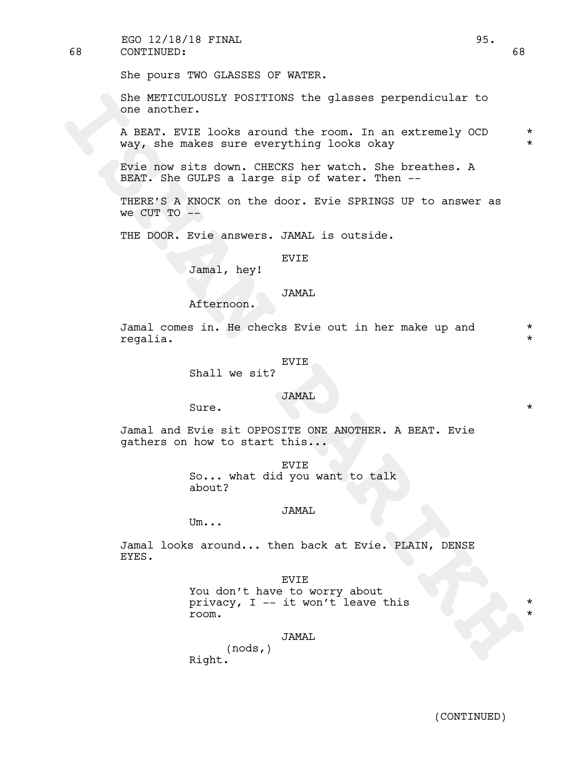68 CONTINUED: 68 EGO 12/18/18 FINAL 95.

She pours TWO GLASSES OF WATER.

She METICULOUSLY POSITIONS the glasses perpendicular to one another.

She METCHOUSEN' DOSITIONS the glasses perpendicular to<br>
one another.<br>
A BEAT, EVIE looks around the room. In an extremely OCD<br>
Nevy, disc makes our everything looks okey<br>
Fore now atta down. CHEXES her watch. She breathes. A BEAT. EVIE looks around the room. In an extremely OCD  $*$ way, she makes sure everything looks okay \*

Evie now sits down. CHECKS her watch. She breathes. A BEAT. She GULPS a large sip of water. Then --

THERE'S A KNOCK on the door. Evie SPRINGS UP to answer as we CUT TO  $-$ 

THE DOOR. Evie answers. JAMAL is outside.

# EVIE

Jamal, hey!

### JAMAL

Afternoon.

Jamal comes in. He checks Evie out in her make up and  $*$ regalia. \*

#### EVIE

Shall we sit?

# JAMAL

Sure.  $\qquad \qquad \star$ 

Jamal and Evie sit OPPOSITE ONE ANOTHER. A BEAT. Evie gathers on how to start this...

> EVIE So... what did you want to talk about?

### JAMAL

Um...

Jamal looks around... then back at Evie. PLAIN, DENSE EYES.

EVIE

You don't have to worry about privacy,  $I$  -- it won't leave this room. \*

JAMAL

(nods,) Right.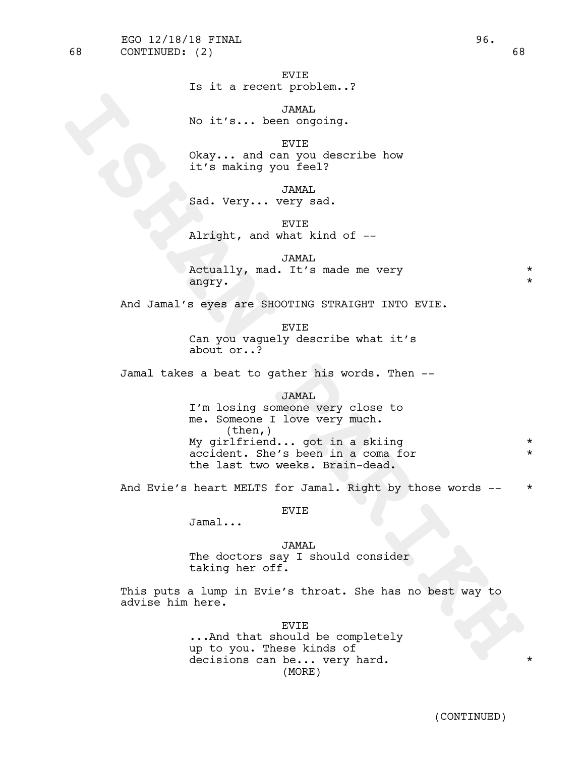# Is it a recent problem..?

JAMAL No it's... been ongoing.

EVIE Okay... and can you describe how it's making you feel?

JAMAL Sad. Very... very sad.

EVIE Alright, and what kind of --

JAMAL Actually, mad. It's made me very \*  $\texttt{angry.}\qquad\qquad$ 

And Jamal's eyes are SHOOTING STRAIGHT INTO EVIE.

EVIE Can you vaguely describe what it's about or..?

Jamal takes a beat to gather his words. Then --

JAMAL

No it's... been ongoing.<br>
Next, ... and complete<br>
Sixty... and comple bow<br>
it's making you feel?<br>
Sad. Very... wery sad.<br>
Sad. Very... wery sad.<br>
Next, any 7<br>
Airight, and what kind of --<br>
Artually, mad. It's made me wery<br> I'm losing someone very close to me. Someone <sup>I</sup> love very much. (then,) My girlfriend... got in a skiing \* accident. She's been in a coma for  $*$ the last two weeks. Brain-dead.

And Evie's heart MELTS for Jamal. Right by those words -- \*

EVIE

Jamal...

JAMAL The doctors say I should consider taking her off.

This puts a lump in Evie's throat. She has no best way to advise him here.

> EVIE ...And that should be completely up to you. These kinds of decisions can be... very hard. (MORE)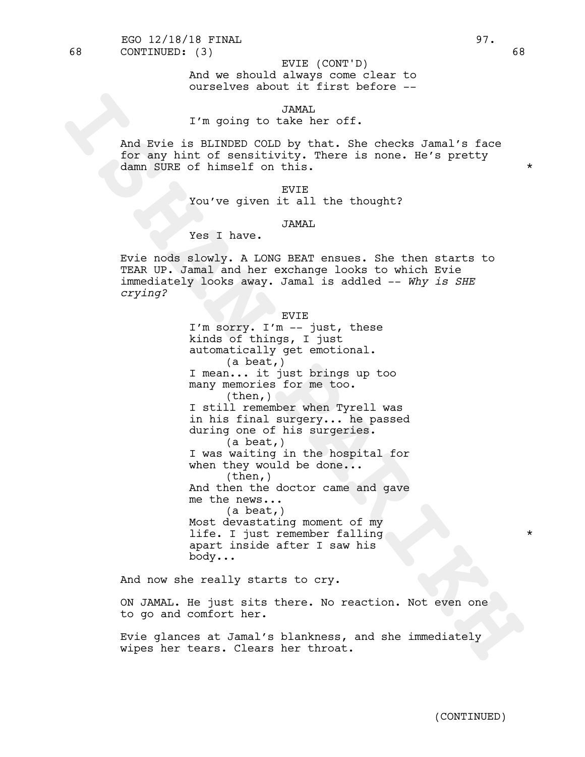And we should always come clear to ourselves about it first before -- EVIE (CONT'D)

# JAMAL

# I'm going to take her off.

And Evie is BLINDED COLD by that. She checks Jamal's face for any hint of sensitivity. There is none. He's pretty damn SURE of himself on this.

> EVIE You've given it all the thought?

### JAMAL

# Yes I have.

Evie nods slowly. A LONG BEAT ensues. She then starts to TEAR UP. Jamal and her exchange looks to which Evie immediately looks away. Jamal is addled -- *Why is SHE crying?*

EVIE

I'm going to taken.<br>
And Eyie is BLINDED COLD by that, She checks Jammal's face<br>
for any himt of sensitivity. There is none, He's pretty<br>
damn SURE 7<br>
You've given it all the thought?<br>
You've given it all the thought?<br>
You I'm sorry. I'm -- just, these kinds of things, I just automatically get emotional. (a beat,) I mean... it just brings up too many memories for me too. (then,) I still remember when Tyrell was in his final surgery... he passed during one of his surgeries.<br>(a beat,) I was waiting in the hospital for when they would be done...<br>(then,) And then the doctor came and gave me the news...<br>(a beat,) Most devastating moment of my life. I just remember falling  $*$ apart inside after I saw his body...

And now she really starts to cry.

ON JAMAL. He just sits there. No reaction. Not even one to go and comfort her.

Evie glances at Jamal's blankness, and she immediately wipes her tears. Clears her throat.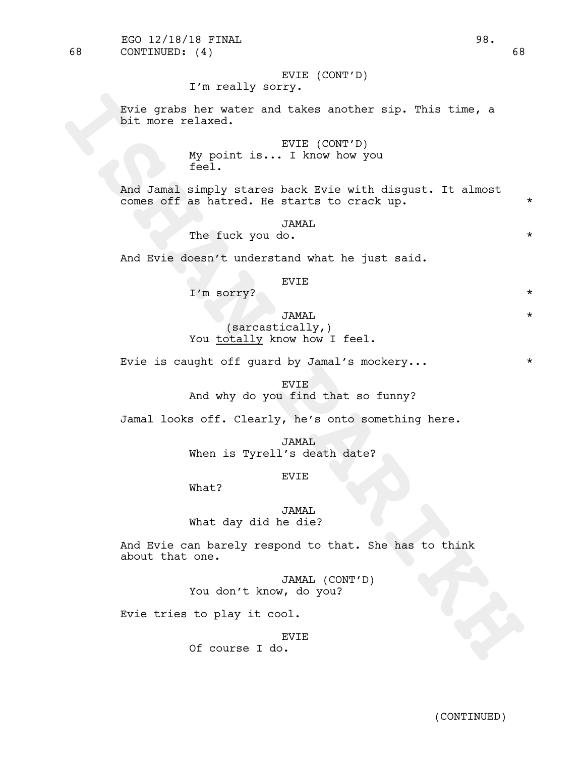# EVIE (CONT'D)

# I'm really sorry.

Evie grabs her water and takes another sip. This time, a bit more relaxed.

# EVIE (CONT'D) My point is... I know how you feel.

Evie grabe her water and takes another eip. This time, a<br>bit more relaxed.<br>WIE (CONT'D)<br>And Jamai simply stares back Evie with disgust. It almost<br>comes off as hatred. Be started to creak up.<br>The fuck you do.<br>And Evie doesn And Jamal simply stares back Evie with disgust. It almost comes off as hatred. He starts to crack up.  $*$ 

# JAMAL

The fuck you do.

And Evie doesn't understand what he just said.

### EVIE

I'm sorry? \*

JAMAL \* (sarcastically,) You totally know how I feel.

Evie is caught off quard by Jamal's mockery...  $*$ 

# EVIE And why do you find that so funny?

Jamal looks off. Clearly, he's onto something here.

JAMAL When is Tyrell's death date?

### EVIE

What?

JAMAL What day did he die?

And Evie can barely respond to that. She has to think about that one.

> JAMAL (CONT'D) You don't know, do you?

Evie tries to play it cool.

EVIE

Of course I do.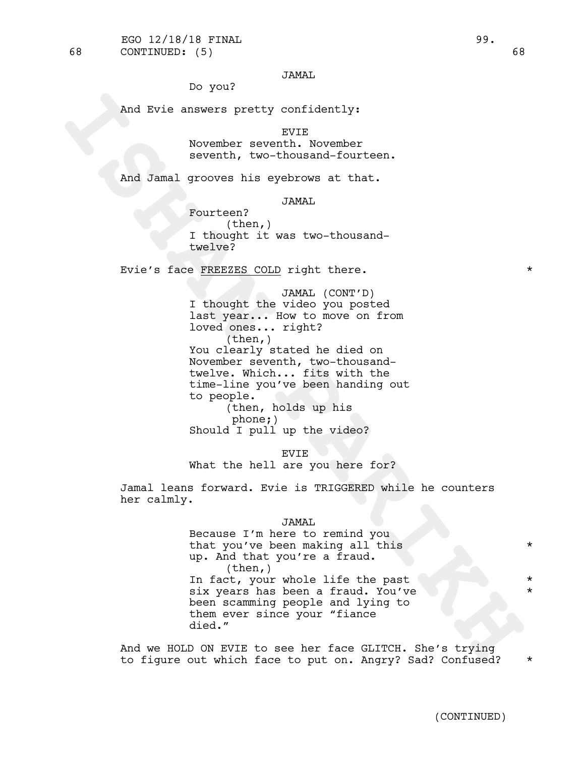# JAMAL

Do you?

And Evie answers pretty confidently:

EVIE

November seventh. November seventh, two-thousand-fourteen.

And Jamal grooves his eyebrows at that.

JAMAL

Fourteen? (then,) I thought it was two-thousandtwelve?

Evie's face FREEZES COLD right there. \*

And Ryie answers pretty confidently:<br>
November seventh, November<br> **ISHAN PARTIC SECTS (THE SECTS AND THE SECTS AND THE SECTS AND THE CHAPE CONFIGURE 2014 (1) The state of the state of the state of the state of the state of** JAMAL (CONT'D) I thought the video you posted last year... How to move on from loved ones... right? (then,) You clearly stated he died on November seventh, two-thousandtwelve. Which... fits with the time-line you've been handing out to people. (then, holds up his phone;)

Should I pull up the video?

EVIE

What the hell are you here for?

Jamal leans forward. Evie is TRIGGERED while he counters her calmly.

#### JAMAL

Because I'm here to remind you that you've been making all this \*\*\* up. And that you're <sup>a</sup> fraud. (then,) In fact, your whole life the past six years has been a fraud. You've been scamming people and lying to them ever since your "fiance died."

And we HOLD ON EVIE to see her face GLITCH. She's trying to figure out which face to put on. Angry? Sad? Confused? \*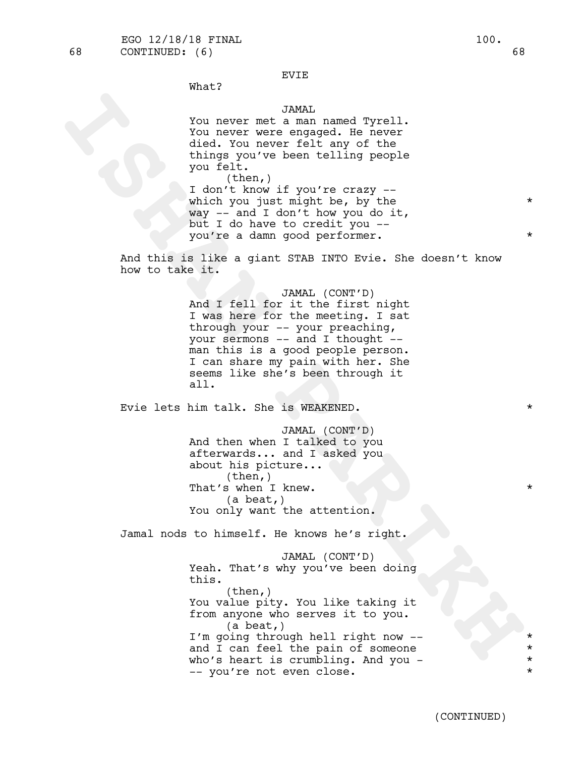EVIE

# What?

# JAMAL

You never met a man named Tyrell. You never were engaged. He never died. You never felt any of the things you've been telling people you felt.

 $(then, )$ I don't know if you're crazy - which you just might be, by the  $\qquad \qquad *$ way -- and I don't how you do it, but I do have to credit you - you're a damn good performer.

And this is like a giant STAB INTO Evie. She doesn't know how to take it.

> JAMAL (CONT'D) And I fell for it the first night I was here for the meeting. I sat through your -- your preaching, your sermons -- and I thought - man this is a good people person. I can share my pain with her. She seems like she's been through it all.

Evie lets him talk. She is WEAKENED.

JAMAL (CONT'D) And then when I talked to you afterwards... and I asked you about his picture...<br>(then,) That's when I knew. (a beat,) You only want the attention.

Jamal nods to himself. He knows he's right.

Xou never met a mann amed Tyrell.<br>
You never a mann amed Tyrell.<br>
You never a mann amed Tyrell.<br>
You develope and the minimal symphonic state of the state of the<br>
things you've been telling prople<br>
you felt.<br>
I don't know JAMAL (CONT'D) Yeah. That's why you've been doing this.  $(then, )$ You value pity. You like taking it from anyone who serves it to you. (a beat,) I'm going through hell right now -and I can feel the pain of someone who's heart is crumbling. And you - \* -- you're not even close. \*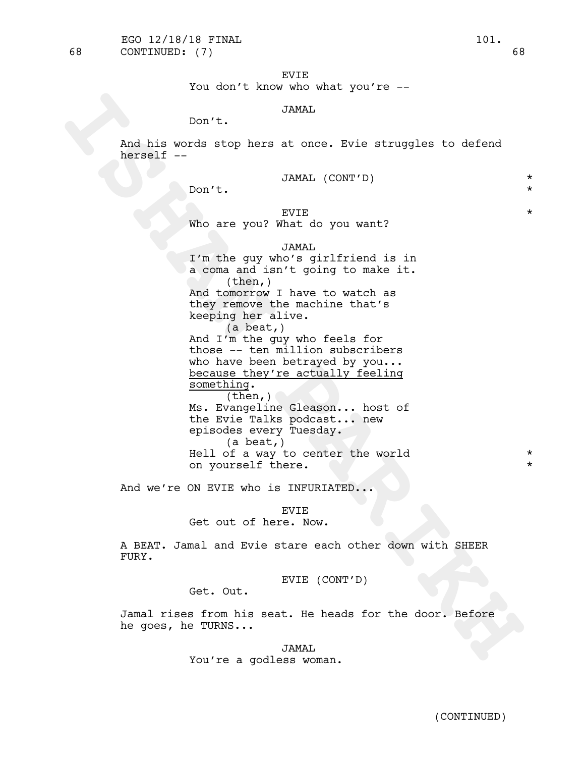EVIE

You don't know who what you're --

# JAMAL

Don't.

And his words stop hers at once. Evie struggles to defend herself --

|  | JAMAL (CONT'D) |  |
|--|----------------|--|
|--|----------------|--|

Don't.  $\star$ 

# $EVIE$   $\star$

Who are you? What do you want?

# JAMAL

Don't. JAKAL<br>
Rod his words stop here at once. Evie struggles to defend<br>
herself --<br>
Non't. JAKAL (CONT'D)<br>
Who are you? Which you want?<br>
T'm the guy who's sightified is in<br>
a coma and isn't going to make it.<br>
Mad to who's I'm the guy who's girlfriend is in a coma and isn't going to make it. (then,) And tomorrow I have to watch as they remove the machine that's keeping her alive. (a beat,) And I'm the guy who feels for those -- ten million subscribers who have been betrayed by you... because they're actually feeling something.  $(then, )$ Ms. Evangeline Gleason... host of the Evie Talks podcast... new episodes every Tuesday.<br>(a beat,) Hell of a way to center the world  $*$ on yourself there.

And we're ON EVIE who is INFURIATED...

# EVIE

Get out of here. Now.

A BEAT. Jamal and Evie stare each other down with SHEER FURY.

EVIE (CONT'D)

Get. Out.

Jamal rises from his seat. He heads for the door. Before he goes, he TURNS...

> JAMAL You're a godless woman.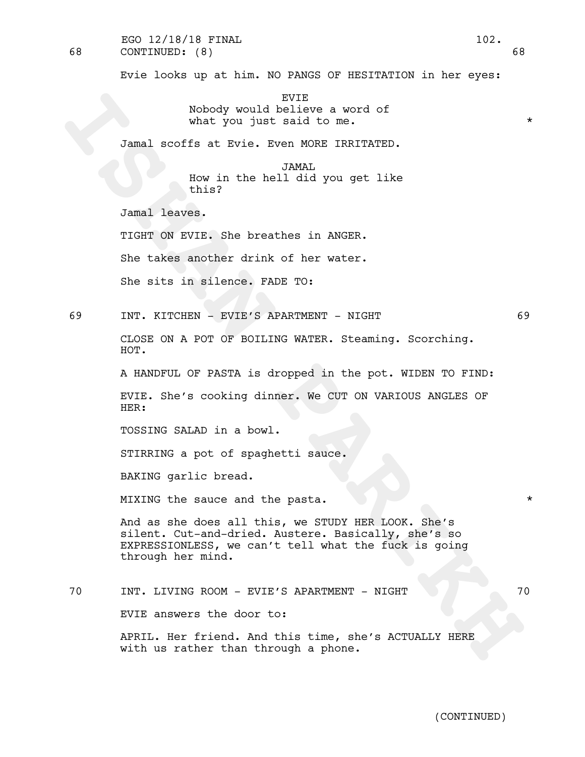68 CONTINUED: (8) 68 EGO 12/18/18 FINAL 102.

Evie looks up at him. NO PANGS OF HESITATION in her eyes:

EVIE Nobody would believe a word of what you just said to me.  $*$ 

Jamal scoffs at Evie. Even MORE IRRITATED.

JAMAL

How in the hell did you get like this?

Jamal leaves.

TIGHT ON EVIE. She breathes in ANGER.

She takes another drink of her water.

She sits in silence. FADE TO:

69 INT. KITCHEN - EVIE'S APARTMENT - NIGHT 69

CLOSE ON A POT OF BOILING WATER. Steaming. Scorching. HOT.

A HANDFUL OF PASTA is dropped in the pot. WIDEN TO FIND:

EVIE. She's cooking dinner. We CUT ON VARIOUS ANGLES OF HER:

TOSSING SALAD in a bowl.

STIRRING a pot of spaghetti sauce.

BAKING garlic bread.

MIXING the sauce and the pasta.  $*$ 

Nobody would believe a word of<br>what you just said to me.<br>Jamal scoffs at Evie. Even MRES IRRITATED.<br>Eva in the hell did you get like<br>whin Paral leaves.<br>TIGIT ON EVIE. She breathes in ANGER.<br>She takes enother drink of her w And as she does all this, we STUDY HER LOOK. She's silent. Cut-and-dried. Austere. Basically, she's so EXPRESSIONLESS, we can't tell what the fuck is going through her mind.

70 INT. LIVING ROOM - EVIE'S APARTMENT - NIGHT 70

EVIE answers the door to:

APRIL. Her friend. And this time, she's ACTUALLY HERE with us rather than through a phone.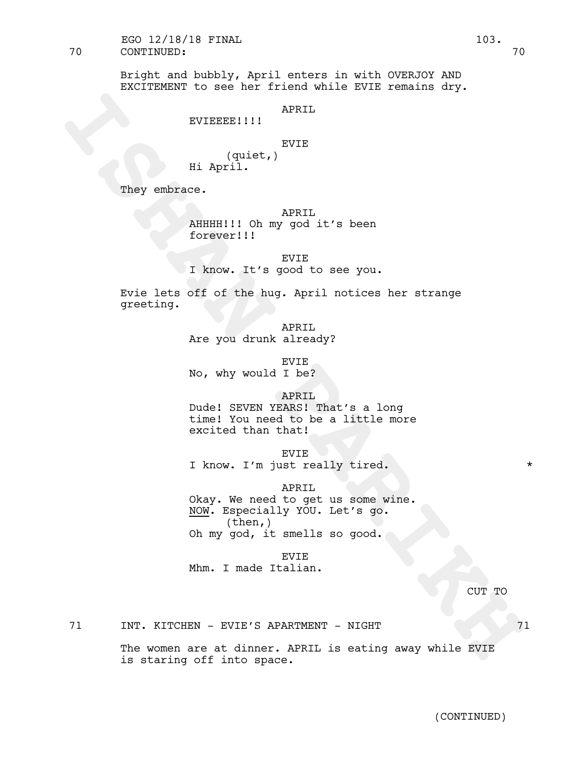70 CONTINUED: 70 EGO 12/18/18 FINAL 103.

> Bright and bubbly, April enters in with OVERJOY AND EXCITEMENT to see her friend while EVIE remains dry.

# APRIL

# EVIEEEE!!!!

# EVIE

(quiet,) Hi April.

They embrace.

APRIL.

AHHHH!!! Oh my god it's been forever!!!

EVIE

I know. It's good to see you.

Evie lets off of the hug. April notices her strange greeting.

> APRIL Are you drunk already?

EVIE No, why would I be?

APRIL

Dude! SEVEN YEARS! That's a long time! You need to be a little more excited than that!

EVIE

I know. I'm just really tired. \*

APRIL

**ISHERALLY ARRIVE (quiet, BYIE**<br> **ISHAN PARTIME (quiet, BYIE**<br> **ISHAN PARTIME ARRIVE ARRIVE ARRIVE AND A PARTIME ARRY AND LAND PARTIME TO THE SURFACE PARTIME TO THE PARTIME ARRY THE PARTIME PARTIME PARTIME PARTIME PARTIME** Okay. We need to get us some wine.<br>NOW. Especially YOU. Let's go.<br>(then,) Oh my god, it smells so good.

EVIE

Mhm. I made Italian.

CUT TO

71 INT. KITCHEN - EVIE'S APARTMENT - NIGHT 71

The women are at dinner. APRIL is eating away while EVIE is staring off into space.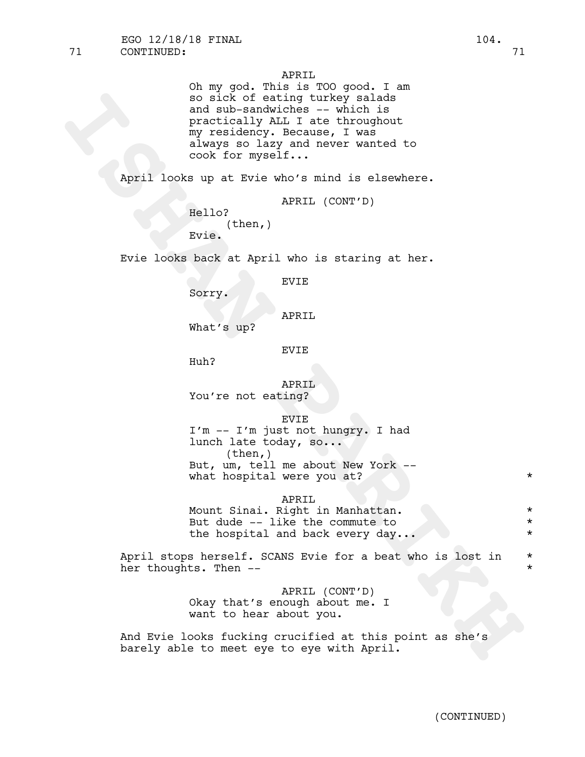APRIL

so sick of eating turkey salade<br>
and auth-sandorches -- which is<br>
practically ALL I at throughout<br>
my residency. Because, I was<br>
any of the mysel and nover wanted to<br>
accept any of the mysel.<br>
April looks up at Evie who's Oh my god. This is TOO good. I am so sick of eating turkey salads and sub-sandwiches -- which is practically ALL I ate throughout my residency. Because, I was always so lazy and never wanted to cook for myself...

April looks up at Evie who's mind is elsewhere.

```
APRIL (CONT'D)
```

```
Hello?
      (then,)
Evie.
```
Evie looks back at April who is staring at her.

EVIE

Sorry.

APRIL

What's up?

EVIE

Huh?

APRIL You're not eating?

EVIE

I'm -- I'm just not hungry. I had lunch late today, so...<br>(then,) But, um, tell me about New York -- what hospital were you at? \*

APRIL

Mount Sinai. Right in Manhattan.  $*$ But dude -- like the commute to  $*$ the hospital and back every day...

April stops herself. SCANS Evie for a beat who is lost in \* her thoughts. Then --  $\star$ 

> APRIL (CONT'D) Okay that's enough about me. I want to hear about you.

And Evie looks fucking crucified at this point as she's barely able to meet eye to eye with April.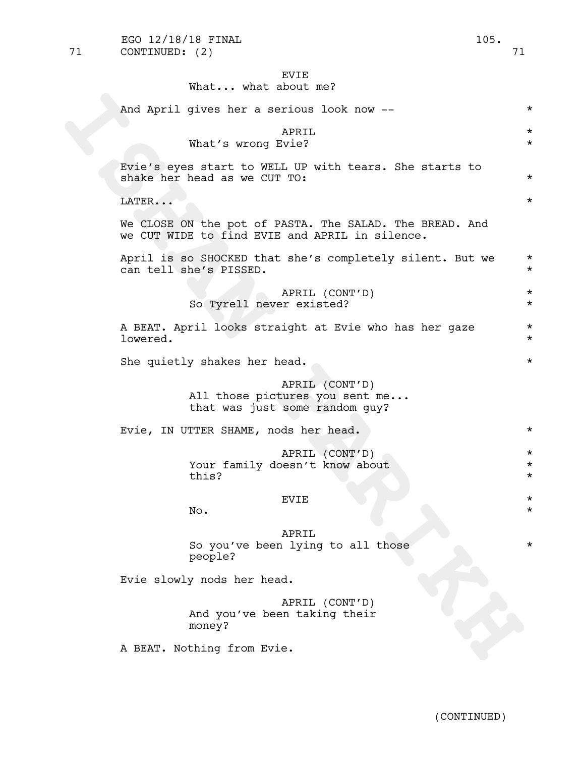# EVIE

# What... what about me?

| And April gives her a serious look now --                                                                 | $\star$                       |
|-----------------------------------------------------------------------------------------------------------|-------------------------------|
| APRIL<br>What's wrong Evie?                                                                               | $^\star$<br>$\star$           |
| Evie's eyes start to WELL UP with tears. She starts to<br>shake her head as we CUT TO:                    | $\star$                       |
| LATER                                                                                                     | $\star$                       |
| We CLOSE ON the pot of PASTA. The SALAD. The BREAD. And<br>we CUT WIDE to find EVIE and APRIL in silence. |                               |
| April is so SHOCKED that she's completely silent. But we<br>can tell she's PISSED.                        | $\star$<br>$\star$            |
| APRIL (CONT'D)<br>So Tyrell never existed?                                                                | $\star$<br>$\star$            |
| A BEAT. April looks straight at Evie who has her gaze<br>lowered.                                         | $\star$<br>$\star$            |
| She quietly shakes her head.                                                                              | $^\star$                      |
| APRIL (CONT'D)<br>All those pictures you sent me<br>that was just some random guy?                        |                               |
| Evie, IN UTTER SHAME, nods her head.                                                                      | $^\star$                      |
| APRIL (CONT'D)<br>Your family doesn't know about<br>this?                                                 | $\star$<br>$\star$<br>$\star$ |
| EVIE<br>No.                                                                                               | $^\star$<br>$^\star$          |
| APRIL<br>So you've been lying to all those<br>people?                                                     | $^\star$                      |
| Evie slowly nods her head.                                                                                |                               |
| APRIL (CONT'D)<br>And you've been taking their<br>money?                                                  |                               |
| A BEAT. Nothing from Evie.                                                                                |                               |
|                                                                                                           |                               |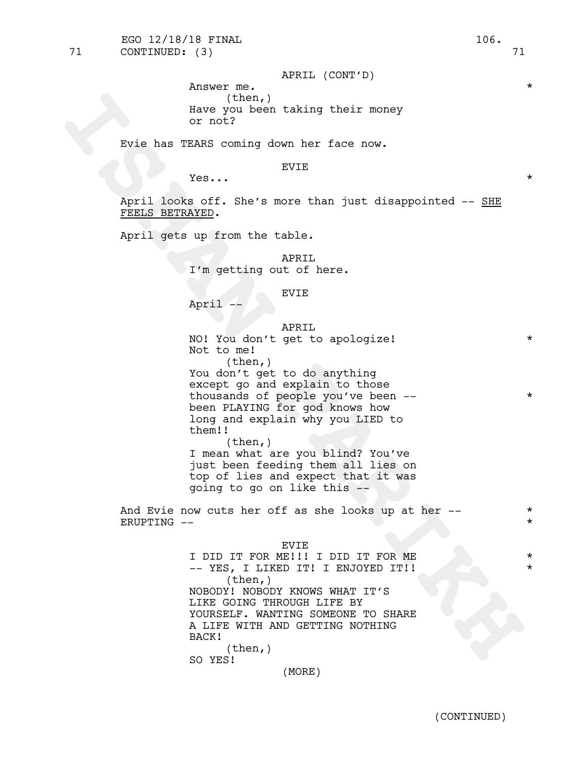FEELS BETRAYED.

thousands of people you've been --  $*$ been PLAYING for god knows how

long and explain why you LIED to them!! (then,) I mean what are you blind? You've just been feeding them all lies on top of lies and expect that it was going to go on like this --

And Evie now cuts her off as she looks up at her -- $ERUPTING$  --

#### EVIE

The street of the street of the street of the street of the street of the street of the street of the street of the street of the street of the street of the street of the street of the street of the street of the street o <sup>I</sup> DID IT FOR ME!!! <sup>I</sup> DID IT FOR ME \* -- YES, <sup>I</sup> LIKED IT! <sup>I</sup> ENJOYED IT!! \*  $(\text{then},)$ NOBODY! NOBODY KNOWS WHAT IT'S LIKE GOING THROUGH LIFE BY YOURSELF. WANTING SOMEONE TO SHARE A LIFE WITH AND GETTING NOTHING BACK! (then,) SO YES!

(MORE)

### APRIL (CONT'D)

Answer me. (then,) Have you been taking their money or not?

Evie has TEARS coming down her face now.

### EVIE

APRIL

EVIE

APRIL

You don't get to do anything except go and explain to those

NO! You don't get to apologize! \*

I'm getting out of here.

April looks off. She's more than just disappointed -- SHE

 $Yes...$  \*

April gets up from the table.

April --

Not to me!

(then,)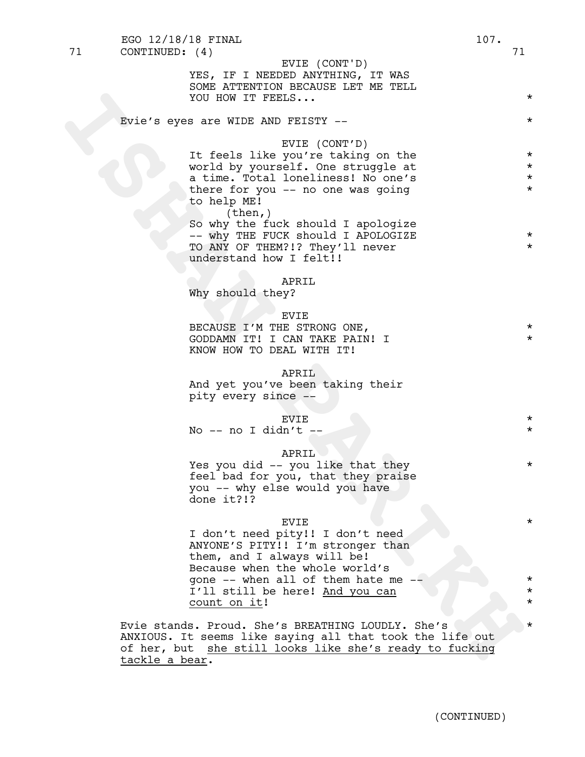|    | EGO 12/18/18 FINAL                                                                                                                                                                         | 107. |                                          |
|----|--------------------------------------------------------------------------------------------------------------------------------------------------------------------------------------------|------|------------------------------------------|
| 71 | CONTINUED: (4)<br>EVIE (CONT'D)<br>YES, IF I NEEDED ANYTHING, IT WAS<br>SOME ATTENTION BECAUSE LET ME TELL<br>YOU HOW IT FEELS                                                             |      | 71<br>$\star$                            |
|    | Evie's eyes are WIDE AND FEISTY --                                                                                                                                                         |      | $\star$                                  |
|    | EVIE (CONT'D)<br>It feels like you're taking on the<br>world by yourself. One struggle at<br>a time. Total loneliness! No one's<br>there for you -- no one was going<br>to help ME!        |      | $\star$<br>$\star$<br>$\star$<br>$\star$ |
|    | (then, )<br>So why the fuck should I apologize<br>-- why THE FUCK should I APOLOGIZE<br>TO ANY OF THEM?!? They'll never<br>understand how I felt!!                                         |      | $\star$<br>$\star$                       |
|    | APRIL<br>Why should they?                                                                                                                                                                  |      |                                          |
|    | <b>EVIE</b><br>BECAUSE I'M THE STRONG ONE,<br>GODDAMN IT! I CAN TAKE PAIN! I<br>KNOW HOW TO DEAL WITH IT!                                                                                  |      | $\star$<br>$\star$                       |
|    | APRIL<br>And yet you've been taking their<br>pity every since --                                                                                                                           |      |                                          |
|    | EVIE<br>No $-$ no I didn't $-$                                                                                                                                                             |      | $\star$<br>$\star$                       |
|    | APRIL<br>Yes you did -- you like that they<br>feel bad for you, that they praise<br>you -- why else would you have<br>done it?!?                                                           |      | $\star$                                  |
|    | EVIE<br>I don't need pity!! I don't need<br>ANYONE'S PITY!! I'm stronger than<br>them, and I always will be!<br>Because when the whole world's                                             |      | $\star$                                  |
|    | gone -- when all of them hate me --<br>I'll still be here! And you can                                                                                                                     |      | $\star$<br>$\star$                       |
|    | <u>count on it!</u>                                                                                                                                                                        |      | $\star$                                  |
|    | Evie stands. Proud. She's BREATHING LOUDLY. She's<br>ANXIOUS. It seems like saying all that took the life out<br>of her, but she still looks like she's ready to fucking<br>tackle a bear. |      | $\star$                                  |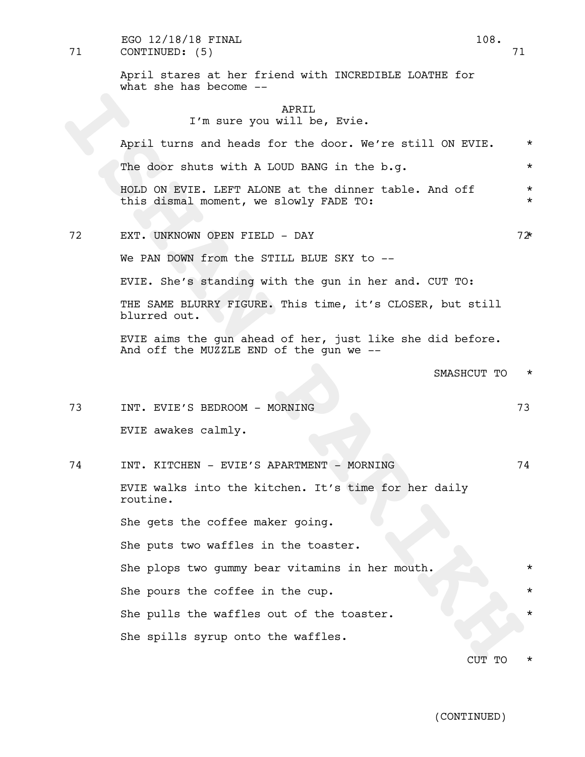71 CONTINUED: (5) 71 EGO  $12/18/18$  FINAL  $108$ .

> April stares at her friend with INCREDIBLE LOATHE for what she has become  $-$

# APRTT. I'm sure you will be, Evie.

The sure you will be, Evie.<br>
Next Part of North Contents and heads for the door. We're still ON EVIE.<br>
The door shutte with A LOOD BANG in the b.g.<br>
Nelso of EVIE. LEFT ALONE at the dimner table. And off<br>
this dismal nomen April turns and heads for the door. We're still ON EVIE. \* The door shuts with A LOUD BANG in the b.g.  $*$ HOLD ON EVIE. LEFT ALONE at the dinner table. And off  $*$ this dismal moment, we slowly FADE TO: 72 EXT. UNKNOWN OPEN FIELD - DAY 72\* We PAN DOWN from the STILL BLUE SKY to --EVIE. She's standing with the gun in her and. CUT TO: THE SAME BLURRY FIGURE. This time, it's CLOSER, but still blurred out. EVIE aims the gun ahead of her, just like she did before. And off the MUZZLE END of the gun we -- SMASHCUT TO  $*$ 73 INT. EVIE'S BEDROOM - MORNING 73 EVIE awakes calmly. 74 INT. KITCHEN - EVIE'S APARTMENT - MORNING 74 EVIE walks into the kitchen. It's time for her daily routine. She gets the coffee maker going. She puts two waffles in the toaster. She plops two gummy bear vitamins in her mouth. She pours the coffee in the cup. She pulls the waffles out of the toaster. She spills syrup onto the waffles.

CUT TO \*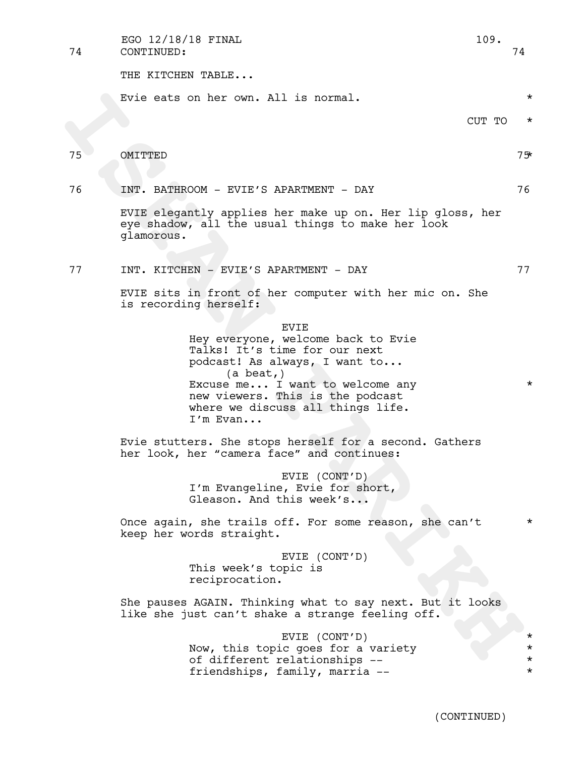74 CONTINUED: 74 EGO 12/18/18 FINAL 109.

THE KITCHEN TABLE...

Evie eats on her own. All is normal.  $\star$ 

# 75 OMITTED 75\*

# 76 INT. BATHROOM - EVIE'S APARTMENT - DAY 76

EVIE elegantly applies her make up on. Her lip gloss, her eye shadow, all the usual things to make her look glamorous.

77 INT. KITCHEN - EVIE'S APARTMENT - DAY 77

EVIE sits in front of her computer with her mic on. She is recording herself:

EVIE

Evie eats on her own. All is normal.<br>
ISBN 001710<br>
ISBN 001710<br>
INTEREENT PARTINGON - EVIEY'S APARTMENT - DAY<br>
INTEREENT PARTINGON - EVIEY'S APARTMENT - DAY<br>
THE SURFAIRE PARTING TO THE PARTING THE SURFAIRE OF THE SURFAIRE Hey everyone, welcome back to Evie Talks! It's time for our next podcast! As always, I want to... (a beat,) Excuse me... I want to welcome any \* new viewers. This is the podcast where we discuss all things life.<br>I'm Evan...

Evie stutters. She stops herself for a second. Gathers her look, her "camera face" and continues:

> EVIE (CONT'D) I'm Evangeline, Evie for short, Gleason. And this week's...

Once again, she trails off. For some reason, she can't  $*$ keep her words straight.

> EVIE (CONT'D) This week's topic is reciprocation.

She pauses AGAIN. Thinking what to say next. But it looks like she just can't shake a strange feeling off.

> EVIE (CONT'D) \* Now, this topic goes for a variety<br>
> of different relationships --<br>  $\star$ of different relationships -- \* friendships, family, marria --  $*$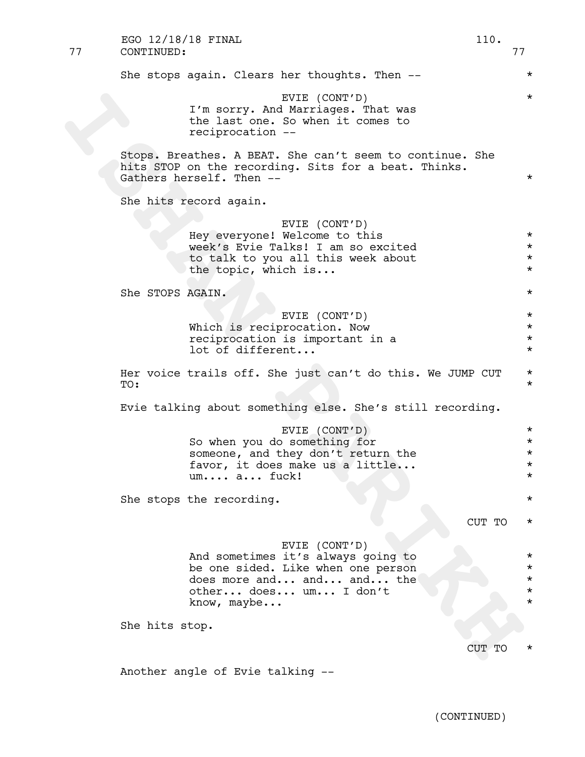| 77 | EGO 12/18/18 FINAL<br>CONTINUED: |                                                                                                                                                                | 110.   | 77                                           |
|----|----------------------------------|----------------------------------------------------------------------------------------------------------------------------------------------------------------|--------|----------------------------------------------|
|    |                                  | She stops again. Clears her thoughts. Then --                                                                                                                  |        | $^\star$                                     |
|    |                                  | EVIE (CONT'D)<br>I'm sorry. And Marriages. That was<br>the last one. So when it comes to<br>reciprocation --                                                   |        | $^\star$                                     |
|    |                                  | Stops. Breathes. A BEAT. She can't seem to continue. She<br>hits STOP on the recording. Sits for a beat. Thinks.<br>Gathers herself. Then --                   |        | $^\star$                                     |
|    |                                  | She hits record again.                                                                                                                                         |        |                                              |
|    |                                  | EVIE (CONT'D)<br>Hey everyone! Welcome to this<br>week's Evie Talks! I am so excited<br>to talk to you all this week about<br>the topic, which is              |        | $^\star$<br>$^\star$<br>$\star$<br>$\star$   |
|    | She STOPS AGAIN.                 |                                                                                                                                                                |        | $^\star$                                     |
|    |                                  | EVIE (CONT'D)<br>Which is reciprocation. Now<br>reciprocation is important in a<br>lot of different                                                            |        | $^\star$<br>$\star$<br>$\star$<br>$^\star$   |
|    | TO:                              | Her voice trails off. She just can't do this. We JUMP CUT                                                                                                      |        | $^\star$<br>$^\star$                         |
|    |                                  | Evie talking about something else. She's still recording.                                                                                                      |        |                                              |
|    |                                  | EVIE (CONT'D)<br>So when you do something for<br>someone, and they don't return the<br>favor, it does make us a little<br>um a fuck!                           |        | $^\star$<br>$^\star$<br>$^\star$<br>$^\star$ |
|    |                                  | She stops the recording.                                                                                                                                       |        | $^\star$                                     |
|    |                                  |                                                                                                                                                                | CUT TO | *                                            |
|    |                                  | EVIE (CONT'D)<br>And sometimes it's always going to<br>be one sided. Like when one person<br>does more and and and the<br>other does um I don't<br>know, maybe |        | $^\star$<br>$^\star$<br>$^\star$<br>$\star$  |
|    | She hits stop.                   |                                                                                                                                                                |        |                                              |
|    |                                  |                                                                                                                                                                | CUT TO |                                              |
|    |                                  | Another angle of Evie talking --                                                                                                                               |        |                                              |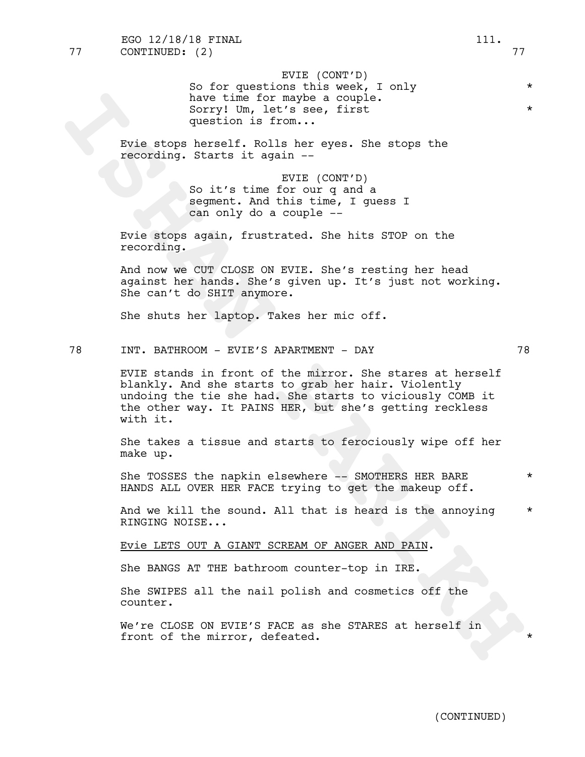EVIE (CONT'D) So for questions this week, I only  $*$ have time for maybe a couple. Sorry! Um, let's see, first question is from...

Evie stops herself. Rolls her eyes. She stops the recording. Starts it again --

> EVIE (CONT'D) So it's time for our q and a segment. And this time, I guess I can only do a couple --

Evie stops again, frustrated. She hits STOP on the recording.

And now we CUT CLOSE ON EVIE. She's resting her head against her hands. She's given up. It's just not working. She can't do SHIT anymore.

She shuts her laptop. Takes her mic off.

# 78 INT. BATHROOM - EVIE'S APARTMENT - DAY 78

Now the formatyes a couple.<br>
Sorry! Um, let's eee, first.<br>
Yere stops herself. Rolls here...<br>
Fore stops herself. Rolls here were. She stops the<br>
recording. Starts it equin-<br>
So it's time form our q and a<br>
compact. And thi EVIE stands in front of the mirror. She stares at herself blankly. And she starts to grab her hair. Violently undoing the tie she had. She starts to viciously COMB it the other way. It PAINS HER, but she's getting reckless with it.

She takes a tissue and starts to ferociously wipe off her make up.

She TOSSES the napkin elsewhere -- SMOTHERS HER BARE \* HANDS ALL OVER HER FACE trying to get the makeup off.

And we kill the sound. All that is heard is the annoying  $*$ RINGING NOISE...

Evie LETS OUT A GIANT SCREAM OF ANGER AND PAIN.

She BANGS AT THE bathroom counter-top in IRE.

She SWIPES all the nail polish and cosmetics off the counter.

We're CLOSE ON EVIE'S FACE as she STARES at herself in front of the mirror, defeated.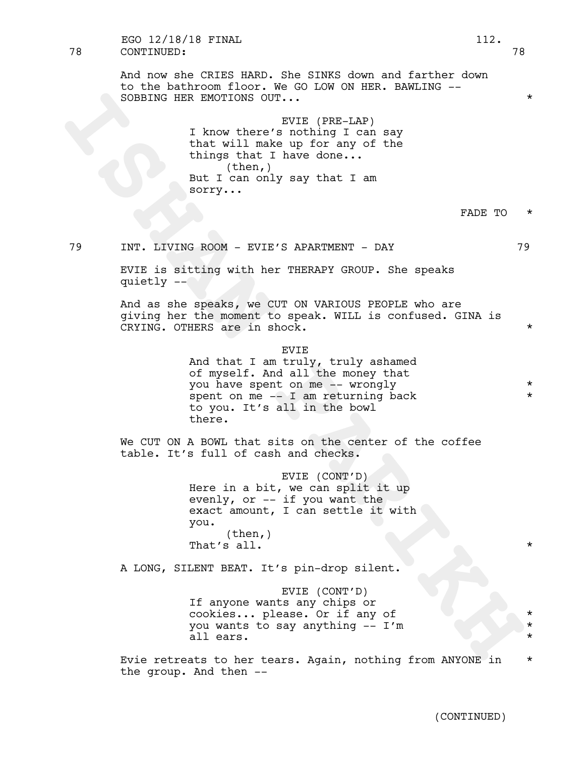And now she CRIES HARD. She SINKS down and farther down to the bathroom floor. We GO LOW ON HER. BAWLING -- SOBBING HER EMOTIONS OUT... \*

> EVIE (PRE-LAP) I know there's nothing I can say that will make up for any of the things that I have done... (then,) But I can only say that I am sorry...

# FADE TO  $*$

79 INT. LIVING ROOM - EVIE'S APARTMENT - DAY 79

EVIE is sitting with her THERAPY GROUP. She speaks quietly --

And as she speaks, we CUT ON VARIOUS PEOPLE who are giving her the moment to speak. WILL is confused. GINA is CRYING. OTHERS are in shock. \*

> EVIE And that I am truly, truly ashamed of myself. And all the money that you have spent on me -- wrongly  $*$ spent on me  $--$  I am returning back  $*$ to you. It's all in the bowl there.

We CUT ON A BOWL that sits on the center of the coffee table. It's full of cash and checks.

SOBEING HER ENOTIONS OUT...<br>
I know thene 'BVIES (PRE-LAP)<br>
1. In the colling and a nothing I can say<br>
things that 1 hake nothing I can say<br>
things that 1 hake nothing<br>
But I can colly sq that I am<br>
But I', we can<br>
But I', EVIE (CONT'D) Here in a bit, we can split it up evenly, or -- if you want the exact amount, I can settle it with you. (then,) That's all.  $\star$ 

A LONG, SILENT BEAT. It's pin-drop silent.

EVIE (CONT'D) If anyone wants any chips or cookies... please. Or if any of \* you wants to say anything  $- I'm$   $*$ all ears.

Evie retreats to her tears. Again, nothing from ANYONE in \* the group. And then --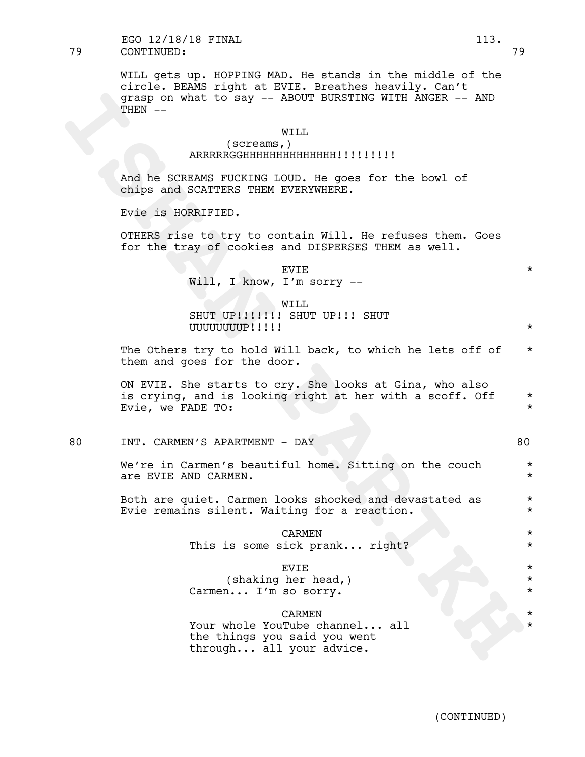## 79 CONTINUED: 79 EGO 12/18/18 FINAL 113.

WILL gets up. HOPPING MAD. He stands in the middle of the circle. BEAMS right at EVIE. Breathes heavily. Can't grasp on what to say -- ABOUT BURSTING WITH ANGER -- AND THEN --

## WILL

# (screams,) ARRRRRGGHHHHHHHHHHHHHH!!!!!!!!!

And he SCREAMS FUCKING LOUD. He goes for the bowl of chips and SCATTERS THEM EVERYWHERE.

Evie is HORRIFIED.

OTHERS rise to try to contain Will. He refuses them. Goes for the tray of cookies and DISPERSES THEM as well.

> $EVIE$   $\star$ Will, I know, I'm sorry --

> WILL SHUT UP!!!!!!! SHUT UP!!! SHUT UUUUUUUUP!!!!! \*

The Others try to hold Will back, to which he lets off of  $*$ them and goes for the door.

Graph on what to say -- ABOUT BURSTING WITH ANGER -- AND<br>
INTERNATION<br>
INTERNATION<br>
INTERNATION CONTINUES INTERNATIONAL CONTINUES CONTINUES ARE<br>
RIVE AND ARREST FUCKS FUCKS INTO SURVAPHENCY CONTINUES FIRE A SURVAPHENCY OF ON EVIE. She starts to cry. She looks at Gina, who also is crying, and is looking right at her with a scoff. Off  $*$ Evie, we FADE TO:  $\star$ 

#### 80 INT. CARMEN'S APARTMENT - DAY 80

We're in Carmen's beautiful home. Sitting on the couch  $*$ are EVIE AND CARMEN.  $\star$ 

Both are quiet. Carmen looks shocked and devastated as \* Evie remains silent. Waiting for a reaction.  $*$ 

> CARMEN \* This is some sick prank... right? \* \* \* \*

# EVIE \*

(shaking her head,) Carmen... I'm so sorry.

#### **CARMEN**

Your whole YouTube channel... all the things you said you went through... all your advice.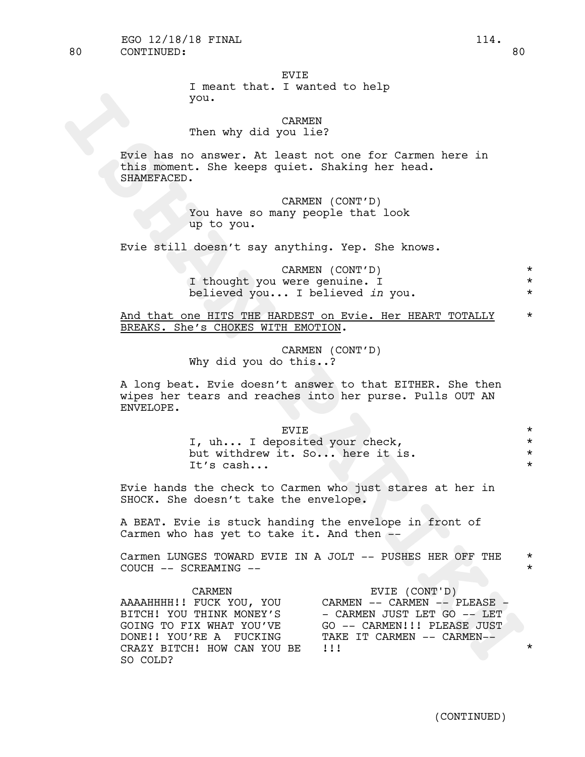#### EVIE

I meant that. I wanted to help you.

# CARMEN

# Then why did you lie?

| EVTE.                           |  |
|---------------------------------|--|
| I, uh I deposited your check,   |  |
| but withdrew it. So here it is. |  |
| Tt's cash                       |  |

| you.                                                                                                                                                                                                                                                               |                               |
|--------------------------------------------------------------------------------------------------------------------------------------------------------------------------------------------------------------------------------------------------------------------|-------------------------------|
| <b>CARMEN</b><br>Then why did you lie?                                                                                                                                                                                                                             |                               |
| Evie has no answer. At least not one for Carmen here in<br>this moment. She keeps quiet. Shaking her head.<br>SHAMEFACED.                                                                                                                                          |                               |
| CARMEN (CONT'D)<br>You have so many people that look<br>up to you.                                                                                                                                                                                                 |                               |
| Evie still doesn't say anything. Yep. She knows.                                                                                                                                                                                                                   |                               |
| CARMEN (CONT'D)<br>I thought you were genuine. I<br>believed you I believed in you.                                                                                                                                                                                | $\star$<br>$\star$<br>$\star$ |
| And that one HITS THE HARDEST on Evie. Her HEART TOTALLY<br>BREAKS. She's CHOKES WITH EMOTION.                                                                                                                                                                     | $\star$                       |
| CARMEN (CONT'D)<br>Why did you do this?                                                                                                                                                                                                                            |                               |
| A long beat. Evie doesn't answer to that EITHER. She then<br>wipes her tears and reaches into her purse. Pulls OUT AN<br>ENVELOPE.                                                                                                                                 |                               |
| <b>EVIE</b>                                                                                                                                                                                                                                                        | $\star$                       |
| I, uh I deposited your check,                                                                                                                                                                                                                                      | $\star$<br>$\star$            |
| but withdrew it. So here it is.<br>It's cash                                                                                                                                                                                                                       | $\star$                       |
| Evie hands the check to Carmen who just stares at her in<br>SHOCK. She doesn't take the envelope.                                                                                                                                                                  |                               |
| A BEAT. Evie is stuck handing the envelope in front of<br>Carmen who has yet to take it. And then --                                                                                                                                                               |                               |
| Carmen LUNGES TOWARD EVIE IN A JOLT -- PUSHES HER OFF THE<br>COUCH -- SCREAMING --                                                                                                                                                                                 | $\star$<br>$\star$            |
| CARMEN<br>EVIE (CONT'D)<br>AAAAHHHH!! FUCK YOU, YOU<br>CARMEN -- CARMEN -- PLEASE -<br>BITCH! YOU THINK MONEY'S<br>- CARMEN JUST LET GO -- LET<br>GOING TO FIX WHAT YOU'VE<br>GO -- CARMEN!!! PLEASE JUST<br>TAKE IT CARMEN -- CARMEN--<br>DONE!! YOU'RE A FUCKING |                               |
| CRAZY BITCH! HOW CAN YOU BE<br>$\frac{1}{2}$<br>SO COLD?                                                                                                                                                                                                           | $\star$                       |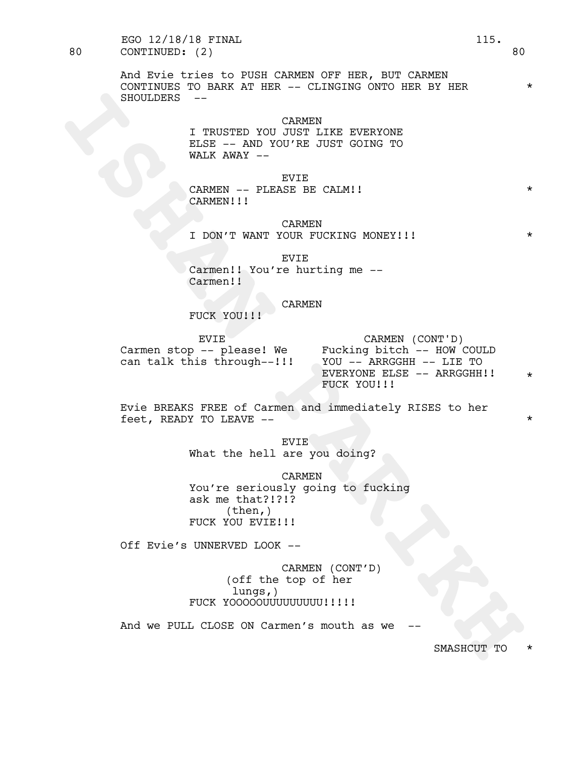80 CONTINUED: (2) 80 EGO 12/18/18 FINAL 115.

> And Evie tries to PUSH CARMEN OFF HER, BUT CARMEN CONTINUES TO BARK AT HER  $--$  CLINGING ONTO HER BY HER  $\star$ SHOULDERS --

> > CARMEN I TRUSTED YOU JUST LIKE EVERYONE ELSE -- AND YOU'RE JUST GOING TO WALK AWAY --

EVIE CARMEN -- PLEASE BE CALM!! CARMEN!!!

CARMEN I DON'T WANT YOUR FUCKING MONEY!!! \*

EVIE Carmen!! You're hurting me -- Carmen!!

CARMEN

FUCK YOU!!!

EVIE

Carmen stop -- please! We \* Fucking bitch -- HOW COULD<br>can talk this through--!!! \* YOU -- ARRGGHH -- LIE TO<br>EVERYONE ELSE -- ARRGGHH!! \* can talk this through--!!! YOU -- ARRGGHH -- LIE TO<br>EVERYONE ELSE -- ARRGGHH!! CARMEN (CONT'D) \* FUCK YOU!!!

Evie BREAKS FREE of Carmen and immediately RISES to her feet, READY TO LEAVE --  $\star$ 

> EVIE What the hell are you doing?

**INDEXES**<br> **INTERESTED YOU CANNER**<br> **INDEXERENCE TO AND TO A THE SUPER ONE OF THE SUPER WALK AWAY --<br>
CARMENT -- BLEASE BE CALMILI<br>
CARMENT III<br>
<b>CARMENT -- DEASE BE CALMILI**<br> **IDON'T WANT YOUR FUCKING MONEY!!!**<br> **CARMENT** CARMEN You're seriously going to fucking ask me that?!?!? (then,) FUCK YOU EVIE!!!!

Off Evie's UNNERVED LOOK --

CARMEN (CONT'D) (off the top of her lungs,) FUCK YOOOOOUUUUUUUUU!!!!!

And we PULL CLOSE ON Carmen's mouth as we

SMASHCUT TO \*

\*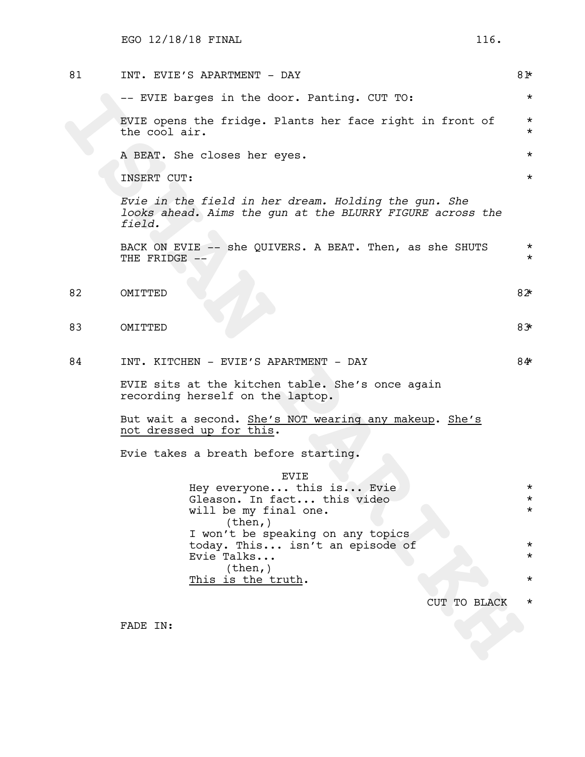| 81 | INT. EVIE'S APARTMENT - DAY                                                                                                 | 81*                |  |  |  |
|----|-----------------------------------------------------------------------------------------------------------------------------|--------------------|--|--|--|
|    | -- EVIE barges in the door. Panting. CUT TO:                                                                                | $\star$            |  |  |  |
|    | EVIE opens the fridge. Plants her face right in front of<br>the cool air.                                                   | $\star$<br>$\star$ |  |  |  |
|    | A BEAT. She closes her eyes.                                                                                                | $\star$            |  |  |  |
|    | INSERT CUT:                                                                                                                 | $\star$            |  |  |  |
|    | Evie in the field in her dream. Holding the gun. She<br>looks ahead. Aims the gun at the BLURRY FIGURE across the<br>field. |                    |  |  |  |
|    | BACK ON EVIE -- she QUIVERS. A BEAT. Then, as she SHUTS<br>THE FRIDGE --                                                    | $\star$<br>$\star$ |  |  |  |
| 82 | OMITTED                                                                                                                     | $82*$              |  |  |  |
| 83 | OMITTED                                                                                                                     | 83                 |  |  |  |
| 84 | INT. KITCHEN - EVIE'S APARTMENT - DAY                                                                                       | 84*                |  |  |  |
|    | EVIE sits at the kitchen table. She's once again<br>recording herself on the laptop.                                        |                    |  |  |  |
|    | But wait a second. She's NOT wearing any makeup. She's<br>not dressed up for this.                                          |                    |  |  |  |
|    | Evie takes a breath before starting.                                                                                        |                    |  |  |  |
|    | <b>EVIE</b><br>Hey everyone this is Evie<br>Gleason. In fact this video<br>will be my final one.<br>(then, )                | $\star$<br>$\star$ |  |  |  |
|    | I won't be speaking on any topics<br>today. This isn't an episode of<br>Evie Talks                                          | $\star$<br>$\star$ |  |  |  |
|    | (then, )<br><u>This is the truth</u> .                                                                                      | $\star$            |  |  |  |
|    | CUT TO BLACK                                                                                                                | $^\star$           |  |  |  |
|    | FADE IN:                                                                                                                    |                    |  |  |  |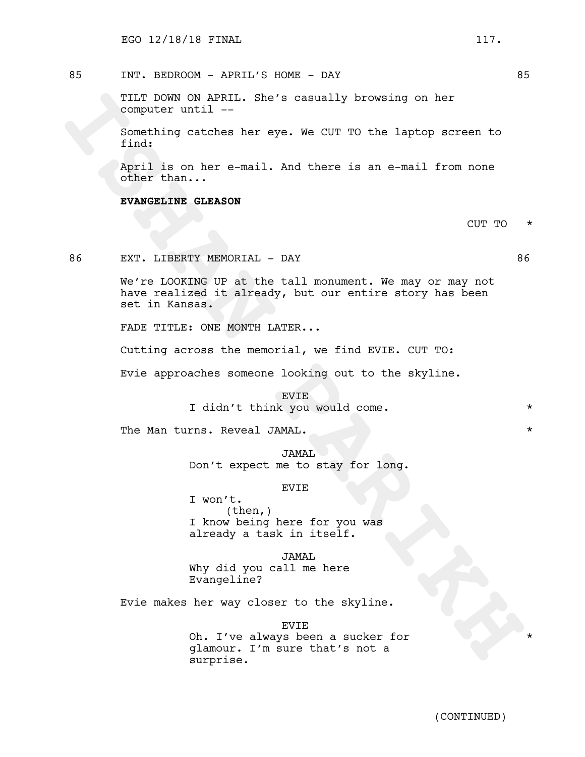85 INT. BEDROOM - APRIL'S HOME - DAY 85

TILT DOWN ON APRIL. She's casually browsing on her computer until --

Something catches her eye. We CUT TO the laptop screen to find:

April is on her e-mail. And there is an e-mail from none other than...

**EVANGELINE GLEASON**

CUT TO \*

86 EXT. LIBERTY MEMORIAL - DAY 66

**ITALE DOWNS ANSILE.** She's casually browsing on her computer until ... She's casually browsing on her computer until ... All there is an e-mail from none other than...<br> **INSTANTS CONSILE ANSILE ANSILE AND AND AND AND CONS** We're LOOKING UP at the tall monument. We may or may not have realized it already, but our entire story has been set in Kansas.

FADE TITLE: ONE MONTH LATER...

Cutting across the memorial, we find EVIE. CUT TO:

Evie approaches someone looking out to the skyline.

EVIE I didn't think you would come.  $*$ 

The Man turns. Reveal JAMAL.  $\star$ 

JAMAL Don't expect me to stay for long.

#### EVIE

I won't. (then,) I know being here for you was already a task in itself.

JAMAL Why did you call me here Evangeline?

Evie makes her way closer to the skyline.

EVIE Oh. I've always been a sucker for glamour. I'm sure that's not a surprise.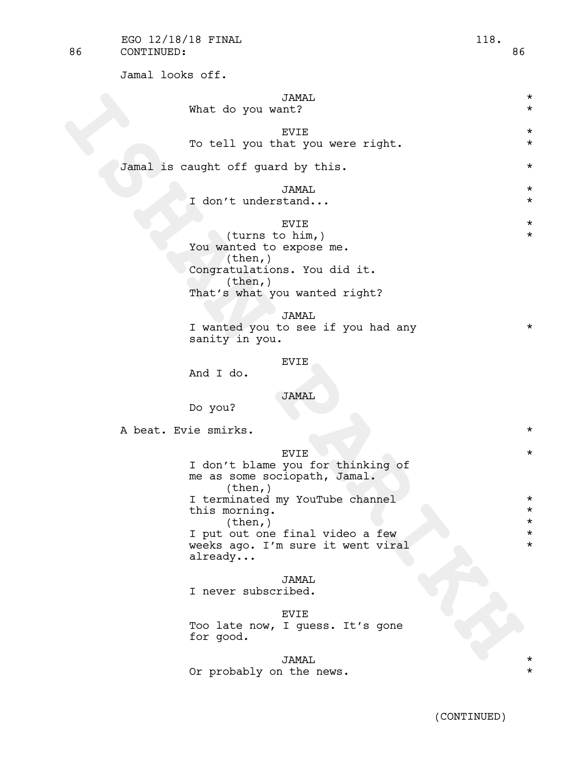Jamal looks off.

| Jamal looks OII.     |                                    |                                                                   |                      |
|----------------------|------------------------------------|-------------------------------------------------------------------|----------------------|
|                      |                                    | JAMAL                                                             | $^\star$             |
|                      | What do you want?                  |                                                                   | $\star$              |
|                      |                                    | <b>EVIE</b>                                                       | $\star$              |
|                      |                                    | To tell you that you were right.                                  | $^\star$             |
|                      |                                    |                                                                   |                      |
|                      | Jamal is caught off guard by this. |                                                                   | $^\star$             |
|                      |                                    | JAMAL                                                             | $^\star$             |
|                      | I don't understand                 |                                                                   | $\star$              |
|                      |                                    | <b>EVIE</b>                                                       | $\star$              |
|                      | (turns to him,)                    |                                                                   | $^\star$             |
|                      | You wanted to expose me.           |                                                                   |                      |
|                      | (then, )                           | Congratulations. You did it.                                      |                      |
|                      | (then, )                           |                                                                   |                      |
|                      |                                    | That's what you wanted right?                                     |                      |
|                      |                                    | JAMAL                                                             |                      |
|                      |                                    | I wanted you to see if you had any                                | $^\star$             |
|                      | sanity in you.                     |                                                                   |                      |
|                      |                                    | <b>EVIE</b>                                                       |                      |
|                      | And I do.                          |                                                                   |                      |
|                      |                                    | <b>JAMAL</b>                                                      |                      |
|                      | Do you?                            |                                                                   |                      |
| A beat. Evie smirks. |                                    |                                                                   | $\star$              |
|                      |                                    |                                                                   |                      |
|                      |                                    | <b>EVIE</b>                                                       | $^\star$             |
|                      |                                    | I don't blame you for thinking of<br>me as some sociopath, Jamal. |                      |
|                      | $(\text{then},)$                   |                                                                   |                      |
|                      |                                    | I terminated my YouTube channel                                   | $^\star$             |
|                      | this morning.<br>(then, )          |                                                                   | $^\star$<br>$^\star$ |
|                      |                                    | I put out one final video a few                                   | $^\star$             |
|                      |                                    | weeks ago. I'm sure it went viral                                 | $^\star$             |
|                      | $\texttt{already}$                 |                                                                   |                      |
|                      |                                    | JAMAL                                                             |                      |
|                      | I never subscribed.                |                                                                   |                      |
|                      |                                    | <b>EVIE</b>                                                       |                      |
|                      |                                    | Too late now, I guess. It's gone                                  |                      |
|                      | for good.                          |                                                                   |                      |
|                      |                                    | JAMAT.                                                            |                      |

JAMAL \* Or probably on the news.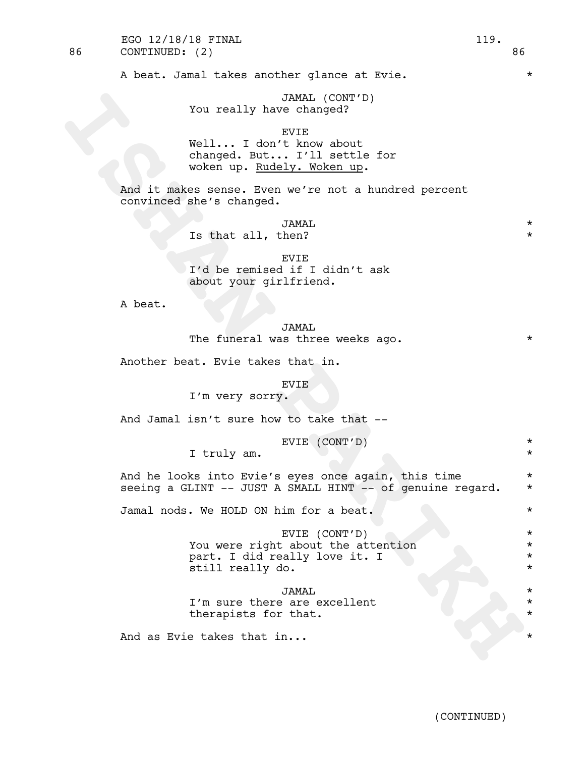A beat. Jamal takes another glance at Evie.  $*$ 

JAMAL (CONT'D) You really have changed?

EVIE

Well... I don't know about changed. But... I'll settle for woken up. Rudely. Woken up.

And it makes sense. Even we're not a hundred percent convinced she's changed.

> JAMAL \* Is that all, then?

EVIE I'd be remised if I didn't ask about your girlfriend.

A beat.

JAMAL The funeral was three weeks ago.  $*$ 

Another beat. Evie takes that in.

EVIE

I'm very sorry.

And Jamal isn't sure how to take that --

EVIE (CONT'D) \*

I truly am.

And he looks into Evie's eyes once again, this time  $*$ seeing a GLINT  $--$  JUST A SMALL HINT  $--$  of genuine regard.  $*$ 

Jamal nods. We HOLD ON him for a beat. \*

You really have changed?<br>
Well... I don't know sbout<br>
when mp. EVGEV. I'll settle for<br>
when mp. EVGEV, Woken mp.<br>
And it makes energy . Woken mp.<br>
And it makes energy . IVARAL<br>
Is that all, then?<br>
I'd be remised if I didn' EVIE (CONT'D) \* You were right about the attention  $*$ part. I did really love it. I \* still really do.  $*$ 

JAMAL \* I'm sure there are excellent  $*$ therapists for that.

And as Evie takes that in...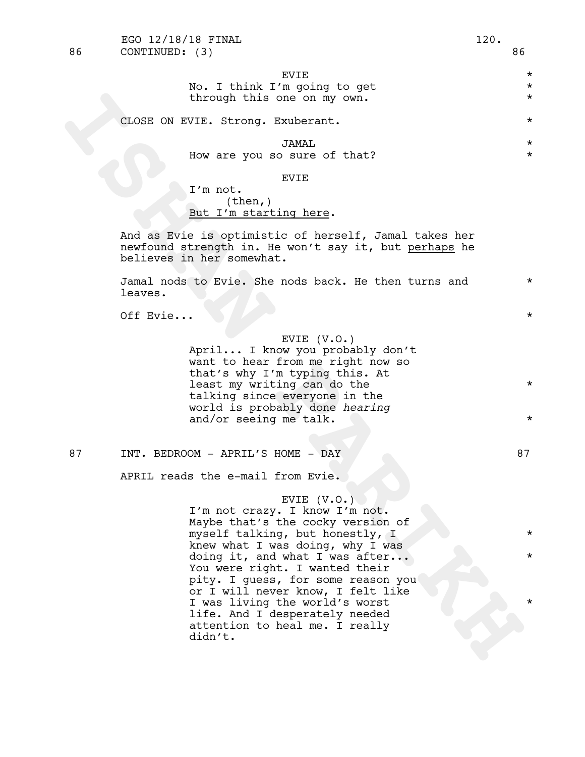# closs ON EVIE. Strong, Explorant.<br> **ISHAN PART STAND STAND**<br> **ISHAN PART STAND**<br> **ISHAN PART COND,**<br> **ISHAN PART COND**<br> **ISHAN PART STAND**<br> **ISHAN PART COND IS CONDITE TO A PART ON THE PART ON THE PART OF THE PART OF THE P**  $EVIE$   $\star$ No. I think I'm going to get  $*$ through this one on my own. CLOSE ON EVIE. Strong. Exuberant. \* JAMAL \* How are you so sure of that? EVIE I'm not. (then,) But I'm starting here. And as Evie is optimistic of herself, Jamal takes her newfound strength in. He won't say it, but perhaps he believes in her somewhat. Jamal nods to Evie. She nods back. He then turns and  $*$ leaves. Off Evie...  $\star$ EVIE (V.O.) April... I know you probably don't want to hear from me right now so that's why I'm typing this. At least my writing can do the  $*$ talking since everyone in the world is probably done *hearing* and/or seeing me talk.  $\star$ 87 INT. BEDROOM - APRIL'S HOME - DAY 87 APRIL reads the e-mail from Evie. EVIE (V.O.)<br>I'm not crazy. I know I'm not. Maybe that's the cocky version of myself talking, but honestly, I \* knew what I was doing, why I was doing it, and what I was after...  $\qquad \qquad *$ You were right. I wanted their pity. I guess, for some reason you or I will never know, I felt like I was living the world's worst life. And I desperately needed attention to heal me. I really didn't. 86 CONTINUED: (3) 86 EGO 12/18/18 FINAL 120.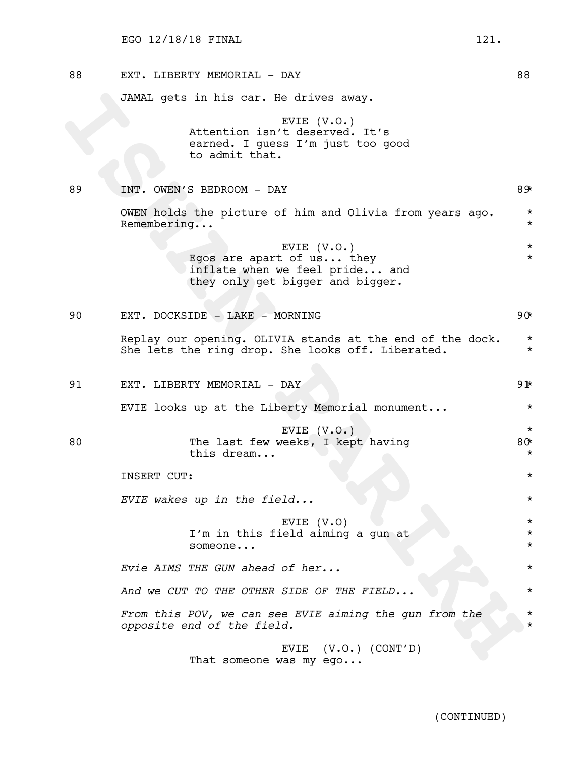| 88 | EXT. LIBERTY MEMORIAL - DAY                                                                                    | 88                               |
|----|----------------------------------------------------------------------------------------------------------------|----------------------------------|
|    | JAMAL gets in his car. He drives away.                                                                         |                                  |
|    | EVIE $(V.O.)$<br>Attention isn't deserved. It's<br>earned. I guess I'm just too good<br>to admit that.         |                                  |
| 89 | INT. OWEN'S BEDROOM - DAY                                                                                      | 89⊁                              |
|    | OWEN holds the picture of him and Olivia from years ago.<br>Remembering<br>EVIE $(V.O.)$                       | $\star$<br>$\star$<br>$\star$    |
|    | Egos are apart of us they<br>inflate when we feel pride and<br>they only get bigger and bigger.                | $\star$                          |
| 90 | EXT. DOCKSIDE - LAKE - MORNING                                                                                 | $90*$                            |
|    | Replay our opening. OLIVIA stands at the end of the dock.<br>She lets the ring drop. She looks off. Liberated. | $\star$<br>$\star$               |
| 91 | EXT. LIBERTY MEMORIAL - DAY                                                                                    | 91∗                              |
|    | EVIE looks up at the Liberty Memorial monument                                                                 | $^\star$                         |
| 80 | EVIE $(V.O.)$<br>The last few weeks, I kept having<br>this dream                                               | $\star$<br>$80*$<br>$^\star$     |
|    | INSERT CUT:                                                                                                    | $^\star$                         |
|    | EVIE wakes up in the field                                                                                     | $^\star$                         |
|    | EVIE (V.O)<br>I'm in this field aiming a gun at<br>someone                                                     | $^\star$<br>$^\star$<br>$^\star$ |
|    | Evie AIMS THE GUN ahead of her                                                                                 | $^\star$                         |
|    | And we CUT TO THE OTHER SIDE OF THE FIELD                                                                      | $^\star$                         |
|    | From this POV, we can see EVIE aiming the gun from the<br>opposite end of the field.                           | $^\star$<br>$^\star$             |
|    | $(V.O.)$ $(CONT'D)$<br>EVIE<br>That someone was my ego                                                         |                                  |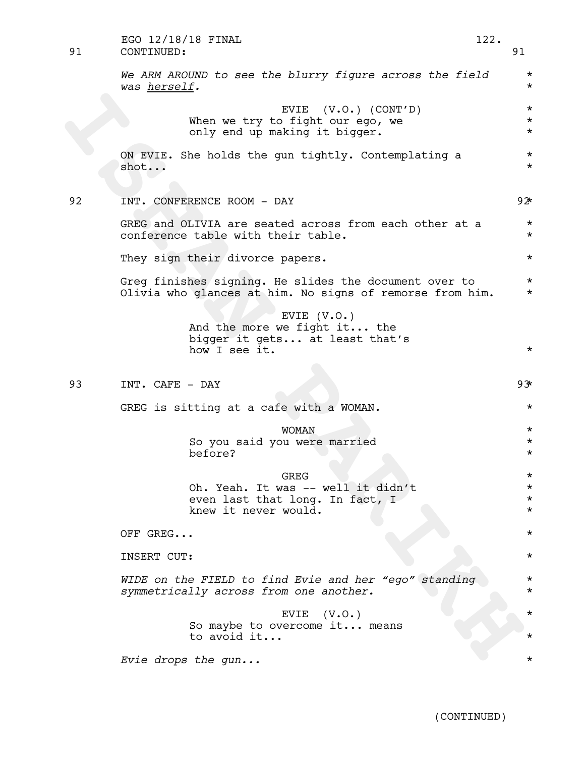| 91 | EGO 12/18/18 FINAL<br>CONTINUED:                                                                                  | 122. | 91                              |  |  |
|----|-------------------------------------------------------------------------------------------------------------------|------|---------------------------------|--|--|
|    | We ARM AROUND to see the blurry figure across the field<br>was herself.                                           |      | $\star$<br>$^\star$             |  |  |
|    | EVIE $(V.O.)$ $(CONT'D)$<br>When we try to fight our ego, we<br>only end up making it bigger.                     |      | $\star$<br>$\star$<br>$^\star$  |  |  |
|    | ON EVIE. She holds the gun tightly. Contemplating a<br>shot                                                       |      | $\star$<br>$^\star$             |  |  |
| 92 | INT. CONFERENCE ROOM - DAY                                                                                        |      | 92                              |  |  |
|    | GREG and OLIVIA are seated across from each other at a<br>conference table with their table.                      |      | $^\star$<br>$^\star$            |  |  |
|    | They sign their divorce papers.                                                                                   |      | $\star$                         |  |  |
|    | Greg finishes signing. He slides the document over to<br>Olivia who glances at him. No signs of remorse from him. |      | $^\star$<br>$^\star$            |  |  |
|    | EVIE $(V.O.)$<br>And the more we fight it the<br>bigger it gets at least that's<br>how I see it.                  |      | $^\star$                        |  |  |
| 93 | INT. CAFE - DAY                                                                                                   |      | 93                              |  |  |
|    | GREG is sitting at a cafe with a WOMAN.                                                                           |      | $^\star$                        |  |  |
|    | <b>WOMAN</b>                                                                                                      |      | $^\star$                        |  |  |
|    | So you said you were married<br>before?                                                                           |      | $^\star$<br>$^\star$            |  |  |
|    | GREG                                                                                                              |      | $^\star$                        |  |  |
|    | Oh. Yeah. It was -- well it didn't<br>even last that long. In fact, I<br>knew it never would.                     |      | $^\star$<br>$^\star$<br>$\star$ |  |  |
|    | OFF GREG                                                                                                          |      | $\star$                         |  |  |
|    | INSERT CUT:                                                                                                       |      |                                 |  |  |
|    | WIDE on the FIELD to find Evie and her "ego" standing<br>symmetrically across from one another.                   |      | $^\star$<br>$^\star$            |  |  |
|    | EVIE $(V.O.)$                                                                                                     |      | $^\star$                        |  |  |
|    | So maybe to overcome it means<br>to avoid it                                                                      |      |                                 |  |  |
|    | Evie drops the gun                                                                                                |      |                                 |  |  |